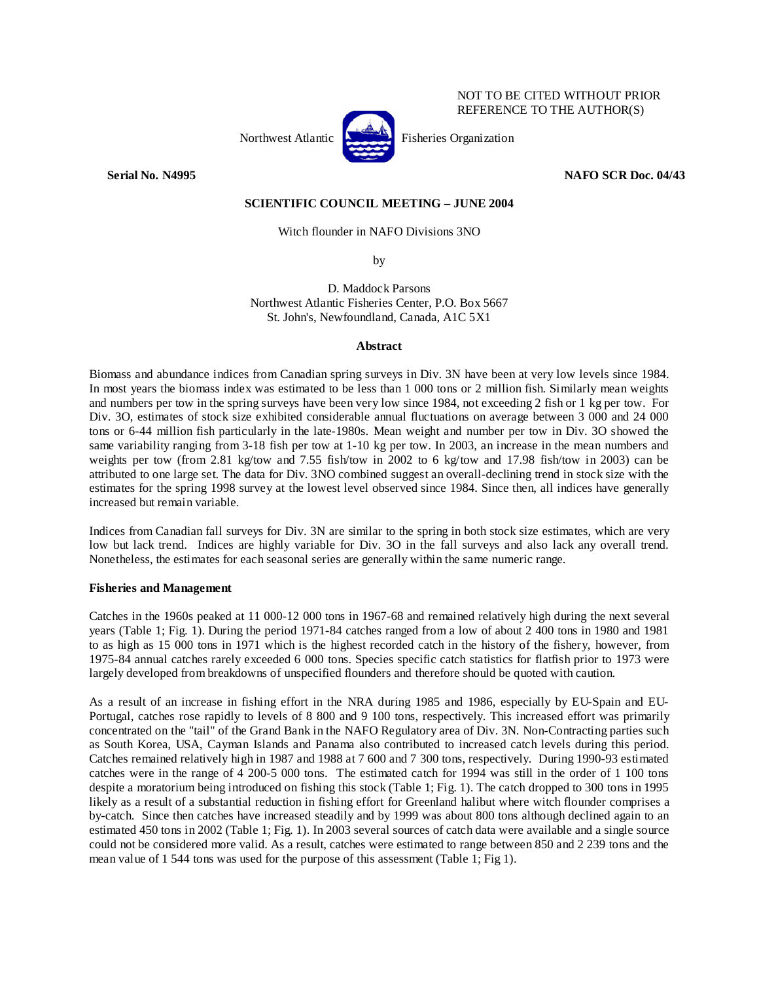

**Serial No. N4995 NAFO SCR Doc. 04/43** 

NOT TO BE CITED WITHOUT PRIOR REFERENCE TO THE AUTHOR(S)

# **SCIENTIFIC COUNCIL MEETING – JUNE 2004**

## Witch flounder in NAFO Divisions 3NO

by

D. Maddock Parsons Northwest Atlantic Fisheries Center, P.O. Box 5667 St. John's, Newfoundland, Canada, A1C 5X1

#### **Abstract**

Biomass and abundance indices from Canadian spring surveys in Div. 3N have been at very low levels since 1984. In most years the biomass index was estimated to be less than 1 000 tons or 2 million fish. Similarly mean weights and numbers per tow in the spring surveys have been very low since 1984, not exceeding 2 fish or 1 kg per tow. For Div. 3O, estimates of stock size exhibited considerable annual fluctuations on average between 3 000 and 24 000 tons or 6-44 million fish particularly in the late-1980s. Mean weight and number per tow in Div. 3O showed the same variability ranging from 3-18 fish per tow at 1-10 kg per tow. In 2003, an increase in the mean numbers and weights per tow (from 2.81 kg/tow and 7.55 fish/tow in 2002 to 6 kg/tow and 17.98 fish/tow in 2003) can be attributed to one large set. The data for Div. 3NO combined suggest an overall-declining trend in stock size with the estimates for the spring 1998 survey at the lowest level observed since 1984. Since then, all indices have generally increased but remain variable.

Indices from Canadian fall surveys for Div. 3N are similar to the spring in both stock size estimates, which are very low but lack trend. Indices are highly variable for Div. 3O in the fall surveys and also lack any overall trend. Nonetheless, the estimates for each seasonal series are generally within the same numeric range.

## **Fisheries and Management**

Catches in the 1960s peaked at 11 000-12 000 tons in 1967-68 and remained relatively high during the next several years (Table 1; Fig. 1). During the period 1971-84 catches ranged from a low of about 2 400 tons in 1980 and 1981 to as high as 15 000 tons in 1971 which is the highest recorded catch in the history of the fishery, however, from 1975-84 annual catches rarely exceeded 6 000 tons. Species specific catch statistics for flatfish prior to 1973 were largely developed from breakdowns of unspecified flounders and therefore should be quoted with caution.

As a result of an increase in fishing effort in the NRA during 1985 and 1986, especially by EU-Spain and EU-Portugal, catches rose rapidly to levels of 8 800 and 9 100 tons, respectively. This increased effort was primarily concentrated on the "tail" of the Grand Bank in the NAFO Regulatory area of Div. 3N. Non-Contracting parties such as South Korea, USA, Cayman Islands and Panama also contributed to increased catch levels during this period. Catches remained relatively high in 1987 and 1988 at 7 600 and 7 300 tons, respectively. During 1990-93 estimated catches were in the range of 4 200-5 000 tons. The estimated catch for 1994 was still in the order of 1 100 tons despite a moratorium being introduced on fishing this stock (Table 1; Fig. 1). The catch dropped to 300 tons in 1995 likely as a result of a substantial reduction in fishing effort for Greenland halibut where witch flounder comprises a by-catch. Since then catches have increased steadily and by 1999 was about 800 tons although declined again to an estimated 450 tons in 2002 (Table 1; Fig. 1). In 2003 several sources of catch data were available and a single source could not be considered more valid. As a result, catches were estimated to range between 850 and 2 239 tons and the mean value of 1 544 tons was used for the purpose of this assessment (Table 1; Fig 1).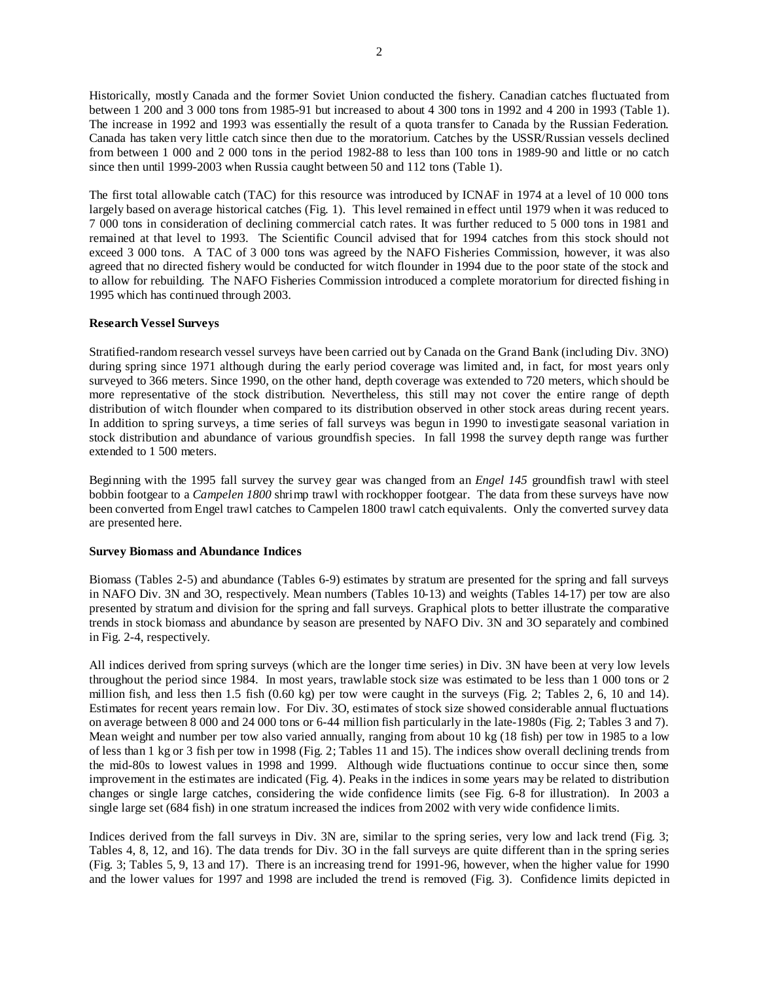Historically, mostly Canada and the former Soviet Union conducted the fishery. Canadian catches fluctuated from between 1 200 and 3 000 tons from 1985-91 but increased to about 4 300 tons in 1992 and 4 200 in 1993 (Table 1). The increase in 1992 and 1993 was essentially the result of a quota transfer to Canada by the Russian Federation. Canada has taken very little catch since then due to the moratorium. Catches by the USSR/Russian vessels declined from between 1 000 and 2 000 tons in the period 1982-88 to less than 100 tons in 1989-90 and little or no catch since then until 1999-2003 when Russia caught between 50 and 112 tons (Table 1).

The first total allowable catch (TAC) for this resource was introduced by ICNAF in 1974 at a level of 10 000 tons largely based on average historical catches (Fig. 1). This level remained in effect until 1979 when it was reduced to 7 000 tons in consideration of declining commercial catch rates. It was further reduced to 5 000 tons in 1981 and remained at that level to 1993. The Scientific Council advised that for 1994 catches from this stock should not exceed 3 000 tons. A TAC of 3 000 tons was agreed by the NAFO Fisheries Commission, however, it was also agreed that no directed fishery would be conducted for witch flounder in 1994 due to the poor state of the stock and to allow for rebuilding. The NAFO Fisheries Commission introduced a complete moratorium for directed fishing in 1995 which has continued through 2003.

# **Research Vessel Surveys**

Stratified-random research vessel surveys have been carried out by Canada on the Grand Bank (including Div. 3NO) during spring since 1971 although during the early period coverage was limited and, in fact, for most years only surveyed to 366 meters. Since 1990, on the other hand, depth coverage was extended to 720 meters, which should be more representative of the stock distribution. Nevertheless, this still may not cover the entire range of depth distribution of witch flounder when compared to its distribution observed in other stock areas during recent years. In addition to spring surveys, a time series of fall surveys was begun in 1990 to investigate seasonal variation in stock distribution and abundance of various groundfish species. In fall 1998 the survey depth range was further extended to 1 500 meters.

Beginning with the 1995 fall survey the survey gear was changed from an *Engel 145* groundfish trawl with steel bobbin footgear to a *Campelen 1800* shrimp trawl with rockhopper footgear. The data from these surveys have now been converted from Engel trawl catches to Campelen 1800 trawl catch equivalents. Only the converted survey data are presented here.

## **Survey Biomass and Abundance Indices**

Biomass (Tables 2-5) and abundance (Tables 6-9) estimates by stratum are presented for the spring and fall surveys in NAFO Div. 3N and 3O, respectively. Mean numbers (Tables 10-13) and weights (Tables 14-17) per tow are also presented by stratum and division for the spring and fall surveys. Graphical plots to better illustrate the comparative trends in stock biomass and abundance by season are presented by NAFO Div. 3N and 3O separately and combined in Fig. 2-4, respectively.

All indices derived from spring surveys (which are the longer time series) in Div. 3N have been at very low levels throughout the period since 1984. In most years, trawlable stock size was estimated to be less than 1 000 tons or 2 million fish, and less then 1.5 fish (0.60 kg) per tow were caught in the surveys (Fig. 2; Tables 2, 6, 10 and 14). Estimates for recent years remain low. For Div. 3O, estimates of stock size showed considerable annual fluctuations on average between 8 000 and 24 000 tons or 6-44 million fish particularly in the late-1980s (Fig. 2; Tables 3 and 7). Mean weight and number per tow also varied annually, ranging from about 10 kg (18 fish) per tow in 1985 to a low of less than 1 kg or 3 fish per tow in 1998 (Fig. 2; Tables 11 and 15). The indices show overall declining trends from the mid-80s to lowest values in 1998 and 1999. Although wide fluctuations continue to occur since then, some improvement in the estimates are indicated (Fig. 4). Peaks in the indices in some years may be related to distribution changes or single large catches, considering the wide confidence limits (see Fig. 6-8 for illustration). In 2003 a single large set (684 fish) in one stratum increased the indices from 2002 with very wide confidence limits.

Indices derived from the fall surveys in Div. 3N are, similar to the spring series, very low and lack trend (Fig. 3; Tables 4, 8, 12, and 16). The data trends for Div. 3O in the fall surveys are quite different than in the spring series (Fig. 3; Tables 5, 9, 13 and 17). There is an increasing trend for 1991-96, however, when the higher value for 1990 and the lower values for 1997 and 1998 are included the trend is removed (Fig. 3). Confidence limits depicted in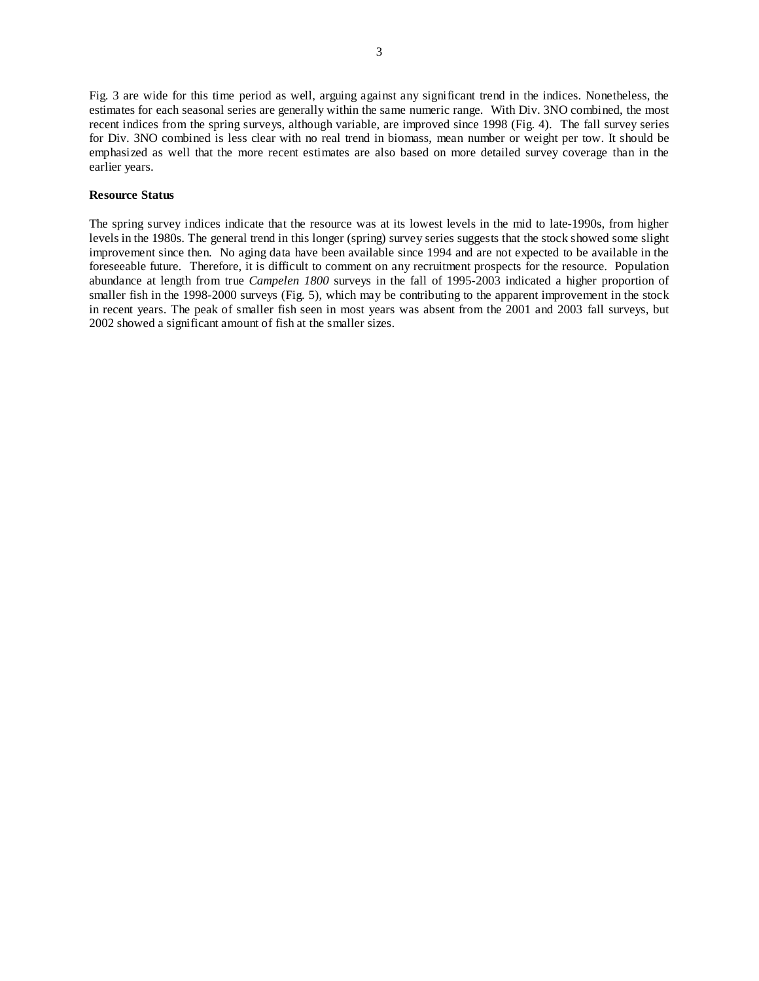Fig. 3 are wide for this time period as well, arguing against any significant trend in the indices. Nonetheless, the estimates for each seasonal series are generally within the same numeric range. With Div. 3NO combined, the most recent indices from the spring surveys, although variable, are improved since 1998 (Fig. 4). The fall survey series for Div. 3NO combined is less clear with no real trend in biomass, mean number or weight per tow. It should be emphasized as well that the more recent estimates are also based on more detailed survey coverage than in the earlier years.

## **Resource Status**

The spring survey indices indicate that the resource was at its lowest levels in the mid to late-1990s, from higher levels in the 1980s. The general trend in this longer (spring) survey series suggests that the stock showed some slight improvement since then. No aging data have been available since 1994 and are not expected to be available in the foreseeable future. Therefore, it is difficult to comment on any recruitment prospects for the resource. Population abundance at length from true *Campelen 1800* surveys in the fall of 1995-2003 indicated a higher proportion of smaller fish in the 1998-2000 surveys (Fig. 5), which may be contributing to the apparent improvement in the stock in recent years. The peak of smaller fish seen in most years was absent from the 2001 and 2003 fall surveys, but 2002 showed a significant amount of fish at the smaller sizes.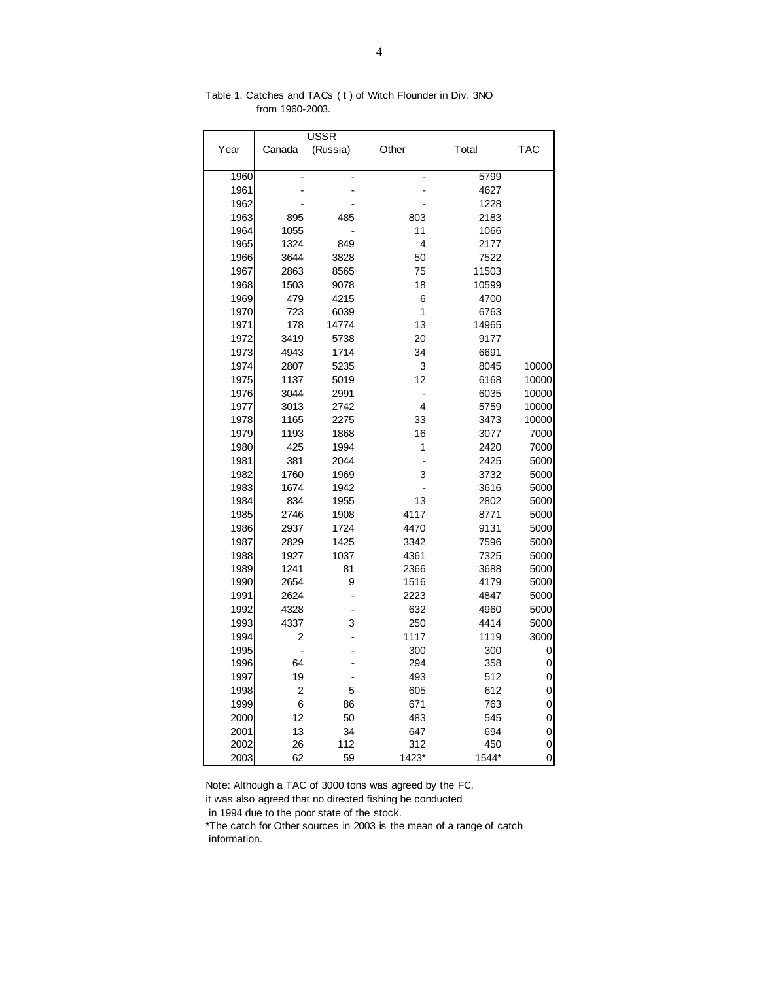| Year | Canada         | <b>USSR</b><br>(Russia) | Other          | Total | <b>TAC</b> |
|------|----------------|-------------------------|----------------|-------|------------|
| 1960 |                |                         |                | 5799  |            |
| 1961 |                |                         |                | 4627  |            |
| 1962 |                |                         |                | 1228  |            |
| 1963 | 895            | 485                     | 803            | 2183  |            |
| 1964 | 1055           |                         | 11             | 1066  |            |
| 1965 | 1324           | 849                     | 4              | 2177  |            |
| 1966 | 3644           | 3828                    | 50             | 7522  |            |
| 1967 | 2863           | 8565                    | 75             | 11503 |            |
| 1968 | 1503           | 9078                    | 18             | 10599 |            |
| 1969 | 479            | 4215                    | 6              | 4700  |            |
| 1970 | 723            | 6039                    | 1              | 6763  |            |
| 1971 | 178            | 14774                   | 13             | 14965 |            |
| 1972 | 3419           | 5738                    | 20             | 9177  |            |
| 1973 | 4943           | 1714                    | 34             | 6691  |            |
| 1974 | 2807           | 5235                    | 3              | 8045  | 10000      |
| 1975 | 1137           | 5019                    | 12             | 6168  | 10000      |
| 1976 | 3044           | 2991                    | $\overline{a}$ | 6035  | 10000      |
| 1977 | 3013           | 2742                    | 4              | 5759  | 10000      |
| 1978 | 1165           | 2275                    | 33             | 3473  | 10000      |
| 1979 | 1193           | 1868                    | 16             | 3077  | 7000       |
| 1980 | 425            | 1994                    | 1              | 2420  | 7000       |
| 1981 | 381            | 2044                    | $\overline{a}$ | 2425  | 5000       |
| 1982 | 1760           | 1969                    | 3              | 3732  | 5000       |
| 1983 | 1674           | 1942                    |                | 3616  | 5000       |
| 1984 | 834            | 1955                    | 13             | 2802  | 5000       |
| 1985 | 2746           | 1908                    | 4117           | 8771  | 5000       |
| 1986 | 2937           | 1724                    | 4470           | 9131  | 5000       |
| 1987 | 2829           | 1425                    | 3342           | 7596  | 5000       |
| 1988 | 1927           | 1037                    | 4361           | 7325  | 5000       |
| 1989 | 1241           | 81                      | 2366           | 3688  | 5000       |
| 1990 | 2654           | 9                       | 1516           | 4179  | 5000       |
| 1991 | 2624           |                         | 2223           | 4847  | 5000       |
| 1992 | 4328           |                         | 632            | 4960  | 5000       |
| 1993 | 4337           | 3                       | 250            | 4414  | 5000       |
| 1994 | 2              |                         | 1117           | 1119  | 3000       |
| 1995 | $\overline{a}$ |                         | 300            | 300   | 0          |
| 1996 | 64             |                         | 294            | 358   | 0          |
| 1997 | 19             |                         | 493            | 512   | 0          |
| 1998 | $\overline{c}$ | 5                       | 605            | 612   | 0          |
| 1999 | 6              | 86                      | 671            | 763   | 0          |
| 2000 | 12             | 50                      | 483            | 545   | 0          |
| 2001 | 13             | 34                      | 647            | 694   | 0          |
| 2002 | 26             | 112                     | 312            | 450   | 0          |
| 2003 | 62             | 59                      | 1423*          | 1544* | 0          |

Table 1. Catches and TACs ( t ) of Witch Flounder in Div. 3NO from 1960-2003.

Note: Although a TAC of 3000 tons was agreed by the FC,

it was also agreed that no directed fishing be conducted

in 1994 due to the poor state of the stock.

\*The catch for Other sources in 2003 is the mean of a range of catch information.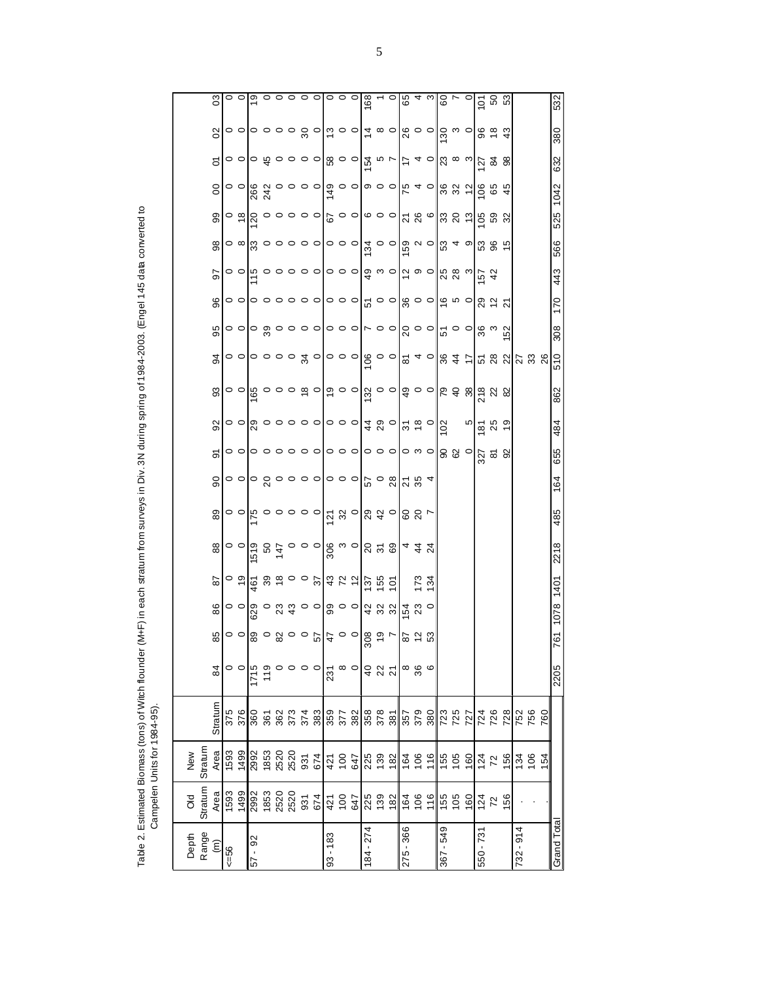Table 2. Estimated Biomass (tons) of Witch flounder (M+F) in each stratum from surveys in Div. 3N during spring of 1984-2003. (Engel 145 data converted to<br>Campelen Units for 1984-95). Table 2. Estimated Biomass (tons) of Witch flounder (M+F) in each stratum from surveys in Div. 3N during spring of 1984-2003. (Engel 145 data converted to Campelen Units for 1984-95).

|                | $\mathfrak{S}$       | $\circ$ $\circ$ |                                                                                                                                                                                                                                                                                                                           |                                                                     |      |                                                                                                                                                                                                                                                                                                                    |         |         |                   |          |         |           |            | 168                     |                                           |                  |                                    |                                                                                                                                                                                                                                                                                                                     |            |     | $\frac{62}{10}$ $\frac{10}{10}$ $\frac{10}{10}$ $\frac{10}{10}$ $\frac{10}{10}$ $\frac{10}{10}$                                                                                                                                                                                                                           |                  |                |           |          |     | 532         |
|----------------|----------------------|-----------------|---------------------------------------------------------------------------------------------------------------------------------------------------------------------------------------------------------------------------------------------------------------------------------------------------------------------------|---------------------------------------------------------------------|------|--------------------------------------------------------------------------------------------------------------------------------------------------------------------------------------------------------------------------------------------------------------------------------------------------------------------|---------|---------|-------------------|----------|---------|-----------|------------|-------------------------|-------------------------------------------|------------------|------------------------------------|---------------------------------------------------------------------------------------------------------------------------------------------------------------------------------------------------------------------------------------------------------------------------------------------------------------------|------------|-----|---------------------------------------------------------------------------------------------------------------------------------------------------------------------------------------------------------------------------------------------------------------------------------------------------------------------------|------------------|----------------|-----------|----------|-----|-------------|
|                | 02                   |                 |                                                                                                                                                                                                                                                                                                                           |                                                                     |      |                                                                                                                                                                                                                                                                                                                    |         |         |                   |          |         |           |            |                         |                                           |                  |                                    | $\mathbb{R}^{\circ}$ $\circ$ $\mathbb{R}^{\circ}$ $\circ$ $\circ$                                                                                                                                                                                                                                                   |            |     |                                                                                                                                                                                                                                                                                                                           | 884              |                |           |          |     | 380         |
|                | 5                    |                 | ㅇㅇ ㅇ \$ ㅇㅇㅇㅇ ☆ ㅇㅅ                                                                                                                                                                                                                                                                                                         |                                                                     |      |                                                                                                                                                                                                                                                                                                                    |         |         |                   |          |         |           |            |                         |                                           |                  |                                    |                                                                                                                                                                                                                                                                                                                     |            |     | $\left  \vec{\mathcal{F}} \right _{\mathcal{A}} \sim \left\  \vec{\omega} \right\ _{\mathcal{A}} \approx 2.8$                                                                                                                                                                                                             |                  |                |           |          |     | 632         |
|                | $\overline{0}$       | $\circ$ $\circ$ |                                                                                                                                                                                                                                                                                                                           | s d o o o o $\left \frac{a}{a}\right $ o o $\left $                 |      |                                                                                                                                                                                                                                                                                                                    |         |         |                   |          |         |           |            | $\circ$ $\circ$         |                                           |                  |                                    |                                                                                                                                                                                                                                                                                                                     |            |     | $54$ $\frac{10}{2}$ $\frac{10}{2}$ $\frac{10}{2}$ $\frac{10}{2}$ $\frac{10}{2}$                                                                                                                                                                                                                                           |                  | 45             |           |          |     |             |
|                | 99                   | $\frac{8}{10}$  | $\overline{0}$                                                                                                                                                                                                                                                                                                            |                                                                     |      | $\circ$ $\circ$ $\circ$ $\circ$ $\circ$ $\circ$ $\circ$ $\circ$                                                                                                                                                                                                                                                    |         |         |                   |          |         |           |            |                         |                                           |                  |                                    | $\frac{1}{2}$ $\frac{1}{2}$ $\frac{1}{2}$ $\frac{1}{2}$ $\frac{1}{2}$ $\frac{1}{2}$ $\frac{1}{2}$ $\frac{1}{2}$ $\frac{1}{2}$ $\frac{1}{2}$ $\frac{1}{2}$ $\frac{1}{2}$ $\frac{1}{2}$ $\frac{1}{2}$ $\frac{1}{2}$ $\frac{1}{2}$ $\frac{1}{2}$ $\frac{1}{2}$ $\frac{1}{2}$ $\frac{1}{2}$ $\frac{1}{2}$ $\frac{1}{2}$ |            |     | $\frac{1}{2}$ $\frac{1}{2}$ $\frac{1}{2}$ $\frac{1}{2}$ $\frac{1}{2}$                                                                                                                                                                                                                                                     |                  |                |           |          |     | 1042<br>525 |
|                | 8                    | ဝ ∞             |                                                                                                                                                                                                                                                                                                                           | $\alpha \circ \alpha \circ \alpha$                                  |      |                                                                                                                                                                                                                                                                                                                    |         |         |                   |          |         |           |            | $\frac{1}{4}$ o o       |                                           |                  | $\frac{8}{5}$ $\sim$ $\frac{8}{5}$ |                                                                                                                                                                                                                                                                                                                     |            |     | <b>385</b>                                                                                                                                                                                                                                                                                                                |                  |                |           |          |     | 566         |
|                | 50                   |                 |                                                                                                                                                                                                                                                                                                                           |                                                                     |      |                                                                                                                                                                                                                                                                                                                    |         |         |                   |          |         |           |            |                         |                                           |                  |                                    |                                                                                                                                                                                                                                                                                                                     |            |     | $2^{\circ}$ $\circ$ $\frac{1}{2}$ $\frac{1}{2}$ $\frac{1}{2}$ $\frac{1}{2}$ $\frac{1}{2}$ $\frac{1}{2}$ $\frac{1}{2}$ $\frac{1}{2}$ $\frac{1}{2}$ $\frac{1}{2}$ $\frac{1}{2}$ $\frac{1}{2}$ $\frac{1}{2}$ $\frac{1}{2}$ $\frac{1}{2}$ $\frac{1}{2}$ $\frac{1}{2}$ $\frac{1}{2}$ $\frac{1}{2}$ $\frac{1}{2}$ $\frac{1}{2}$ | 42               |                |           |          |     | 443         |
|                | 96                   |                 |                                                                                                                                                                                                                                                                                                                           |                                                                     |      |                                                                                                                                                                                                                                                                                                                    |         |         |                   |          |         |           |            | $\frac{1}{6}$ o o       |                                           |                  |                                    |                                                                                                                                                                                                                                                                                                                     |            |     | $\frac{1}{28}$ $\frac{1}{28}$ $\frac{1}{28}$ $\frac{1}{28}$ $\frac{1}{28}$ $\frac{1}{28}$ $\frac{1}{28}$ $\frac{1}{28}$ $\frac{1}{28}$                                                                                                                                                                                    |                  | $\overline{2}$ |           |          |     | 170         |
|                | 95                   | $\circ$ $\circ$ |                                                                                                                                                                                                                                                                                                                           | $\circ \circ \circ \circ \circ \circ \circ \circ \circ \circ \circ$ |      |                                                                                                                                                                                                                                                                                                                    |         |         |                   |          |         |           |            |                         |                                           |                  |                                    |                                                                                                                                                                                                                                                                                                                     |            |     | $ S \circ \circ  ^{\omega}$ ုပေးပြီးများ                                                                                                                                                                                                                                                                                  |                  |                |           |          |     | 308         |
|                | 94                   |                 | <b>ㅇㅇㅇㅇㅇ</b> ㅎㅇㅇㅇㅇㅇㅇㅇㅇㅇㅇㅇㅇㅇㅇㅇㅇ                                                                                                                                                                                                                                                                                            |                                                                     |      |                                                                                                                                                                                                                                                                                                                    |         |         |                   |          |         |           |            | 0000                    |                                           |                  | 240                                |                                                                                                                                                                                                                                                                                                                     |            |     | 347782                                                                                                                                                                                                                                                                                                                    |                  |                |           | 23<br>28 |     | 510         |
|                |                      |                 |                                                                                                                                                                                                                                                                                                                           |                                                                     |      |                                                                                                                                                                                                                                                                                                                    |         |         |                   |          |         |           |            |                         |                                           |                  |                                    |                                                                                                                                                                                                                                                                                                                     |            |     |                                                                                                                                                                                                                                                                                                                           |                  |                |           |          |     |             |
|                | 3                    |                 |                                                                                                                                                                                                                                                                                                                           |                                                                     |      |                                                                                                                                                                                                                                                                                                                    |         |         |                   |          |         |           |            |                         |                                           |                  |                                    |                                                                                                                                                                                                                                                                                                                     |            |     | $\left  \begin{smallmatrix} a & b & c \ d & c & d \end{smallmatrix} \right $                                                                                                                                                                                                                                              |                  |                |           |          |     | 862         |
|                | 92                   |                 |                                                                                                                                                                                                                                                                                                                           |                                                                     |      |                                                                                                                                                                                                                                                                                                                    |         |         |                   |          |         |           |            | 400                     | $\frac{1}{2}$ $\frac{1}{2}$ $\frac{1}{2}$ |                  |                                    | 102                                                                                                                                                                                                                                                                                                                 |            | ю   |                                                                                                                                                                                                                                                                                                                           | $\frac{187}{25}$ |                |           |          |     | 484         |
|                | $\overline{5}$       | $\circ$ $\circ$ |                                                                                                                                                                                                                                                                                                                           | $\circ \circ \circ \circ \circ$    $\circ \circ$                    |      |                                                                                                                                                                                                                                                                                                                    |         |         |                   |          |         |           |            | $\circ \circ \circ$     |                                           |                  | $\circ$ $\circ$ $\circ$            |                                                                                                                                                                                                                                                                                                                     | 88°        |     |                                                                                                                                                                                                                                                                                                                           | <u>ನ್</u> ಷ ಜ    |                |           |          |     | 655         |
|                | $\overline{0}$       |                 | $\alpha \circ \alpha$ $\alpha \circ \alpha \circ \alpha$ $\alpha \circ \alpha$                                                                                                                                                                                                                                            |                                                                     |      |                                                                                                                                                                                                                                                                                                                    |         |         |                   |          |         |           |            |                         |                                           | 784              |                                    |                                                                                                                                                                                                                                                                                                                     |            |     |                                                                                                                                                                                                                                                                                                                           |                  |                |           |          |     | 164         |
|                | 89                   |                 | $\circ$ $\circ$ $\left  \xi \circ \circ \circ \circ \circ \right $ $\left  \xi \circ \right $ $\left  g \circ \right $ $\left  g \circ \right $                                                                                                                                                                           |                                                                     |      |                                                                                                                                                                                                                                                                                                                    |         |         |                   |          |         |           |            |                         |                                           | 88 <sub>7</sub>  |                                    |                                                                                                                                                                                                                                                                                                                     |            |     |                                                                                                                                                                                                                                                                                                                           |                  |                |           |          |     | 485         |
|                | $_{88}$              | $\circ$ $\circ$ | 519                                                                                                                                                                                                                                                                                                                       |                                                                     |      | $350000$ $\frac{1}{2}$ $\frac{1}{2}$ $\frac{1}{2}$ $\frac{1}{2}$ $\frac{1}{2}$ $\frac{1}{2}$ $\frac{1}{2}$ $\frac{1}{2}$ $\frac{1}{2}$ $\frac{1}{2}$ $\frac{1}{2}$ $\frac{1}{2}$ $\frac{1}{2}$ $\frac{1}{2}$ $\frac{1}{2}$ $\frac{1}{2}$ $\frac{1}{2}$ $\frac{1}{2}$ $\frac{1}{2}$ $\frac{1}{2}$ $\frac{1}{2}$ $\$ |         |         |                   |          |         |           |            |                         |                                           | 4 4 5<br>4 4 9   |                                    |                                                                                                                                                                                                                                                                                                                     |            |     |                                                                                                                                                                                                                                                                                                                           |                  |                |           |          |     | 2218        |
|                | 78                   |                 | $\circ$ $\frac{1}{2}$ $\frac{3}{2}$ $\frac{3}{2}$ $\frac{3}{2}$ $\frac{3}{2}$ $\frac{3}{2}$ $\frac{3}{2}$ $\frac{3}{2}$ $\frac{3}{2}$ $\frac{3}{2}$ $\frac{3}{2}$ $\frac{3}{2}$ $\frac{3}{2}$ $\frac{3}{2}$ $\frac{3}{2}$ $\frac{3}{2}$ $\frac{3}{2}$ $\frac{3}{2}$ $\frac{3}{2}$ $\frac{3}{2}$ $\frac{3}{2}$ $\frac{3}{$ |                                                                     |      |                                                                                                                                                                                                                                                                                                                    |         |         |                   |          |         |           |            | $137$<br>$155$<br>$101$ |                                           | $\overline{173}$ | $\frac{34}{3}$                     |                                                                                                                                                                                                                                                                                                                     |            |     |                                                                                                                                                                                                                                                                                                                           |                  |                |           |          |     | 1401        |
|                | 86                   | $\circ$ $\circ$ | 629                                                                                                                                                                                                                                                                                                                       |                                                                     |      | $\circ$ $\alpha$ $\alpha$ $\circ$ $\circ$ $\alpha$ $\alpha$ $\alpha$ $\alpha$                                                                                                                                                                                                                                      |         |         |                   |          |         |           |            |                         |                                           | $154$<br>23      | $\circ$                            |                                                                                                                                                                                                                                                                                                                     |            |     |                                                                                                                                                                                                                                                                                                                           |                  |                |           |          |     | 1078        |
|                | 85                   |                 | $\frac{1}{2}$ $\frac{1}{2}$ $\frac{1}{2}$ $\frac{1}{2}$ $\frac{1}{2}$ $\frac{1}{2}$ $\frac{1}{2}$ $\frac{1}{2}$ $\frac{1}{2}$ $\frac{1}{2}$ $\frac{1}{2}$ $\frac{1}{2}$ $\frac{1}{2}$ $\frac{1}{2}$ $\frac{1}{2}$ $\frac{1}{2}$ $\frac{1}{2}$ $\frac{1}{2}$ $\frac{1}{2}$ $\frac{1}{2}$ $\frac{1}{2}$ $\frac{1}{2}$       |                                                                     |      |                                                                                                                                                                                                                                                                                                                    |         |         |                   |          |         |           |            |                         |                                           | 87<br>23         |                                    |                                                                                                                                                                                                                                                                                                                     |            |     |                                                                                                                                                                                                                                                                                                                           |                  |                |           |          |     | 761         |
| 84             |                      | $\circ$ $\circ$ | 1715                                                                                                                                                                                                                                                                                                                      | 119                                                                 |      | 0                                                                                                                                                                                                                                                                                                                  | $\circ$ | $\circ$ | 231               | $\infty$ | $\circ$ |           |            |                         |                                           | $\frac{8}{3}$    | $\circ$                            |                                                                                                                                                                                                                                                                                                                     |            |     |                                                                                                                                                                                                                                                                                                                           |                  |                |           |          |     | 2205        |
|                |                      |                 |                                                                                                                                                                                                                                                                                                                           |                                                                     |      |                                                                                                                                                                                                                                                                                                                    |         |         |                   |          |         |           |            |                         |                                           |                  |                                    |                                                                                                                                                                                                                                                                                                                     |            |     |                                                                                                                                                                                                                                                                                                                           |                  |                |           |          |     |             |
|                | Stratum              | 376<br>375      | 360                                                                                                                                                                                                                                                                                                                       | 361                                                                 | 362  |                                                                                                                                                                                                                                                                                                                    |         |         | $\frac{373}{388}$ | 377      | 382     |           | 358<br>378 | 381                     |                                           | 357<br>379       | 380                                |                                                                                                                                                                                                                                                                                                                     | 723<br>725 | 727 | 724                                                                                                                                                                                                                                                                                                                       | 726              | 728            | 752       | 756      | 760 |             |
| Stratur<br>New | Area                 | 1499<br>1593    |                                                                                                                                                                                                                                                                                                                           | 2992<br>1853                                                        |      | 2520<br>2520                                                                                                                                                                                                                                                                                                       |         |         | $rac{67}{421}$    |          | 647     |           | 225<br>139 | 182                     | 164                                       | 106              | 116                                | 155                                                                                                                                                                                                                                                                                                                 | 105        | 160 | 124                                                                                                                                                                                                                                                                                                                       | 72               | 156            | 134       | 106      | 154 |             |
| Stratum<br>ð   | Area                 | 1593<br>1499    | 2992                                                                                                                                                                                                                                                                                                                      | 1853                                                                | 2520 | 2520                                                                                                                                                                                                                                                                                                               |         |         | $rac{674}{421}$   |          | 647     |           | 225<br>139 | 182                     | 164                                       | 106              | 116                                | 155                                                                                                                                                                                                                                                                                                                 | 105        | 160 | 124                                                                                                                                                                                                                                                                                                                       | 72               | 156            |           |          |     |             |
| Range<br>Depth | $\widehat{\epsilon}$ | $56 = 56$       | 92<br>$-19$                                                                                                                                                                                                                                                                                                               |                                                                     |      |                                                                                                                                                                                                                                                                                                                    |         |         | $93 - 183$        |          |         | 184 - 274 |            |                         | 275 - 366                                 |                  |                                    | 367 - 549                                                                                                                                                                                                                                                                                                           |            |     | 550 - 731                                                                                                                                                                                                                                                                                                                 |                  |                | 732 - 914 |          |     | Grand Total |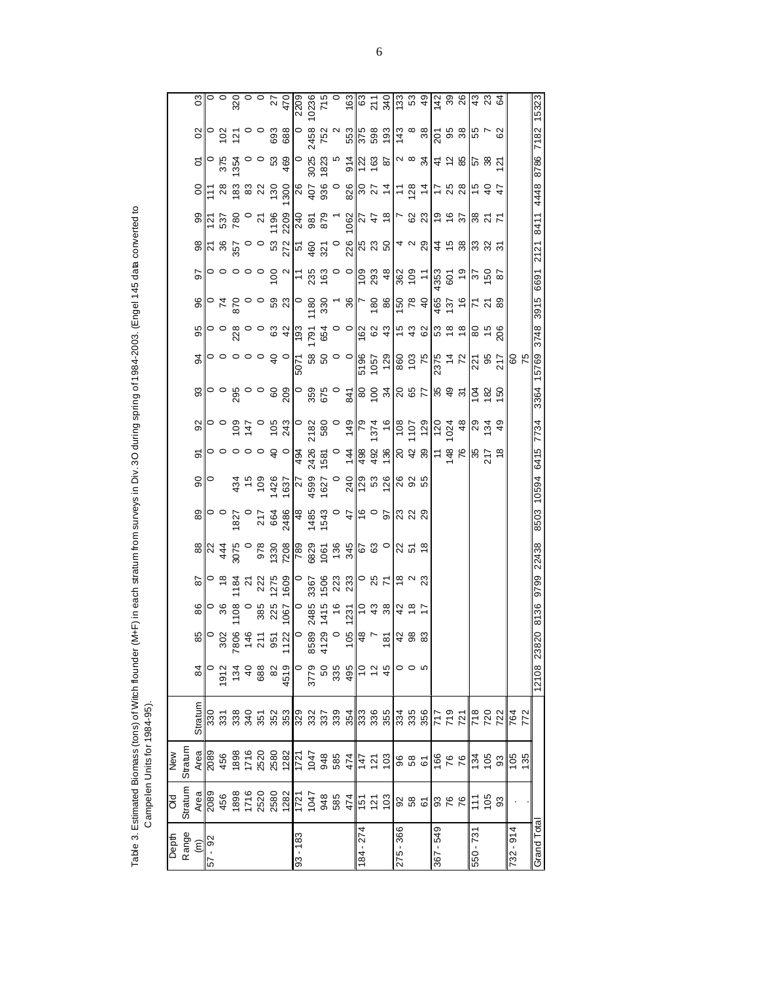Table 3. Estimated Biomass (tons) of Witch flounder (M+F) in each stratum from surveys in Div. 3O during spring of 1984-2003. (Engel 145 data converted to<br>Campelen Units for 1984-95). Table 3. Estimated Biomass (tons) of Witch flounder (M+F) in each stratum from surveys in Div. 3O during spring of 1984-2003. (Engel 145 data converted to Campelen Units for 1984-95).

| Depth                | <b>PIO</b>                                                                            | MeM                                                                                                                                                                                                                                                                                                           |                          |                    |                                                                                                                                                                                                                                                                                                           |      |                                                                                                                                                                                                                                                                                                                       |                                                                                                                                                                                                                                                                                                                                                                                                                                 |                |                |                |                                                                                                                                                                                                                                                                                                             |                                                           |       |                                                       |                                                                                                                                                                                                                                                                                                                     |                                                                                                                                                                                                                                                                                                                                      |      |                                                                                                                                                                                                                                                                                                                                                  |                                                                                                                                                                                                                                                                                                                           |                             |                                                                                                                                                                                                                                                                                                             |                                                                                                                                                                                                                                                                                                                     |
|----------------------|---------------------------------------------------------------------------------------|---------------------------------------------------------------------------------------------------------------------------------------------------------------------------------------------------------------------------------------------------------------------------------------------------------------|--------------------------|--------------------|-----------------------------------------------------------------------------------------------------------------------------------------------------------------------------------------------------------------------------------------------------------------------------------------------------------|------|-----------------------------------------------------------------------------------------------------------------------------------------------------------------------------------------------------------------------------------------------------------------------------------------------------------------------|---------------------------------------------------------------------------------------------------------------------------------------------------------------------------------------------------------------------------------------------------------------------------------------------------------------------------------------------------------------------------------------------------------------------------------|----------------|----------------|----------------|-------------------------------------------------------------------------------------------------------------------------------------------------------------------------------------------------------------------------------------------------------------------------------------------------------------|-----------------------------------------------------------|-------|-------------------------------------------------------|---------------------------------------------------------------------------------------------------------------------------------------------------------------------------------------------------------------------------------------------------------------------------------------------------------------------|--------------------------------------------------------------------------------------------------------------------------------------------------------------------------------------------------------------------------------------------------------------------------------------------------------------------------------------|------|--------------------------------------------------------------------------------------------------------------------------------------------------------------------------------------------------------------------------------------------------------------------------------------------------------------------------------------------------|---------------------------------------------------------------------------------------------------------------------------------------------------------------------------------------------------------------------------------------------------------------------------------------------------------------------------|-----------------------------|-------------------------------------------------------------------------------------------------------------------------------------------------------------------------------------------------------------------------------------------------------------------------------------------------------------|---------------------------------------------------------------------------------------------------------------------------------------------------------------------------------------------------------------------------------------------------------------------------------------------------------------------|
| Range                | Stratum                                                                               | Stratum                                                                                                                                                                                                                                                                                                       |                          |                    |                                                                                                                                                                                                                                                                                                           |      |                                                                                                                                                                                                                                                                                                                       |                                                                                                                                                                                                                                                                                                                                                                                                                                 |                |                |                |                                                                                                                                                                                                                                                                                                             |                                                           |       |                                                       |                                                                                                                                                                                                                                                                                                                     |                                                                                                                                                                                                                                                                                                                                      |      |                                                                                                                                                                                                                                                                                                                                                  |                                                                                                                                                                                                                                                                                                                           |                             |                                                                                                                                                                                                                                                                                                             |                                                                                                                                                                                                                                                                                                                     |
| $\widehat{\epsilon}$ | Area                                                                                  | Area                                                                                                                                                                                                                                                                                                          | Stratum                  | 84                 |                                                                                                                                                                                                                                                                                                           | 86   |                                                                                                                                                                                                                                                                                                                       |                                                                                                                                                                                                                                                                                                                                                                                                                                 |                | $\overline{6}$ | $\overline{6}$ |                                                                                                                                                                                                                                                                                                             |                                                           |       |                                                       |                                                                                                                                                                                                                                                                                                                     |                                                                                                                                                                                                                                                                                                                                      |      |                                                                                                                                                                                                                                                                                                                                                  |                                                                                                                                                                                                                                                                                                                           | $\Omega$                    |                                                                                                                                                                                                                                                                                                             |                                                                                                                                                                                                                                                                                                                     |
| 57 - 92              |                                                                                       |                                                                                                                                                                                                                                                                                                               |                          |                    |                                                                                                                                                                                                                                                                                                           |      |                                                                                                                                                                                                                                                                                                                       |                                                                                                                                                                                                                                                                                                                                                                                                                                 |                |                |                |                                                                                                                                                                                                                                                                                                             |                                                           |       |                                                       |                                                                                                                                                                                                                                                                                                                     |                                                                                                                                                                                                                                                                                                                                      |      |                                                                                                                                                                                                                                                                                                                                                  |                                                                                                                                                                                                                                                                                                                           |                             |                                                                                                                                                                                                                                                                                                             |                                                                                                                                                                                                                                                                                                                     |
|                      | 2089<br>456                                                                           | 2089<br>456                                                                                                                                                                                                                                                                                                   |                          | 912                |                                                                                                                                                                                                                                                                                                           |      |                                                                                                                                                                                                                                                                                                                       |                                                                                                                                                                                                                                                                                                                                                                                                                                 |                |                |                |                                                                                                                                                                                                                                                                                                             |                                                           |       |                                                       |                                                                                                                                                                                                                                                                                                                     |                                                                                                                                                                                                                                                                                                                                      |      |                                                                                                                                                                                                                                                                                                                                                  |                                                                                                                                                                                                                                                                                                                           |                             |                                                                                                                                                                                                                                                                                                             |                                                                                                                                                                                                                                                                                                                     |
|                      |                                                                                       |                                                                                                                                                                                                                                                                                                               |                          | 134                |                                                                                                                                                                                                                                                                                                           |      |                                                                                                                                                                                                                                                                                                                       |                                                                                                                                                                                                                                                                                                                                                                                                                                 |                |                |                |                                                                                                                                                                                                                                                                                                             |                                                           |       |                                                       |                                                                                                                                                                                                                                                                                                                     |                                                                                                                                                                                                                                                                                                                                      |      |                                                                                                                                                                                                                                                                                                                                                  |                                                                                                                                                                                                                                                                                                                           |                             |                                                                                                                                                                                                                                                                                                             |                                                                                                                                                                                                                                                                                                                     |
|                      |                                                                                       |                                                                                                                                                                                                                                                                                                               |                          | 488                |                                                                                                                                                                                                                                                                                                           |      |                                                                                                                                                                                                                                                                                                                       |                                                                                                                                                                                                                                                                                                                                                                                                                                 |                |                |                |                                                                                                                                                                                                                                                                                                             |                                                           |       |                                                       |                                                                                                                                                                                                                                                                                                                     |                                                                                                                                                                                                                                                                                                                                      |      |                                                                                                                                                                                                                                                                                                                                                  |                                                                                                                                                                                                                                                                                                                           |                             |                                                                                                                                                                                                                                                                                                             |                                                                                                                                                                                                                                                                                                                     |
|                      |                                                                                       |                                                                                                                                                                                                                                                                                                               |                          |                    |                                                                                                                                                                                                                                                                                                           |      |                                                                                                                                                                                                                                                                                                                       |                                                                                                                                                                                                                                                                                                                                                                                                                                 |                |                |                |                                                                                                                                                                                                                                                                                                             |                                                           |       |                                                       |                                                                                                                                                                                                                                                                                                                     |                                                                                                                                                                                                                                                                                                                                      |      |                                                                                                                                                                                                                                                                                                                                                  |                                                                                                                                                                                                                                                                                                                           |                             |                                                                                                                                                                                                                                                                                                             |                                                                                                                                                                                                                                                                                                                     |
|                      | $\begin{array}{r} 1898 \\ 1716 \\ 2800 \\ 2800 \\ 1721 \\ 1947 \\ \hline \end{array}$ | $\begin{array}{l} 1898 \\ 1716 \\ 1820 \\ 1830 \\ 1821 \\ 1714 \\ 1848 \\ 1954 \\ 196 \\ 1974 \\ 1985 \\ 1994 \\ 1994 \\ 1994 \\ 1994 \\ 1994 \\ 1994 \\ 1994 \\ 1994 \\ 1994 \\ 1994 \\ 1994 \\ 1994 \\ 1994 \\ 1994 \\ 1994 \\ 1994 \\ 1994 \\ 1994 \\ 1994 \\ 1994 \\ 1994 \\ 1994 \\ 1994 \\ 1994 \\ 199$ |                          | 82<br>4519         | $\frac{1}{8}$ = $\frac{1}{8}$ = $\frac{1}{8}$ = $\frac{1}{8}$ = $\frac{1}{8}$ = $\frac{1}{8}$ = $\frac{1}{8}$ = $\frac{1}{8}$ = $\frac{1}{8}$ = $\frac{1}{8}$ = $\frac{1}{8}$ = $\frac{1}{8}$ = $\frac{1}{8}$ = $\frac{1}{8}$ = $\frac{1}{8}$ = $\frac{1}{8}$ = $\frac{1}{8}$ = $\frac{1}{8}$ = $\frac{1$ |      | $\frac{55}{20}$ $\frac{1}{2}$ $\frac{1}{2}$ $\frac{1}{2}$ $\frac{1}{2}$ $\frac{1}{2}$ $\frac{1}{2}$ $\frac{1}{2}$ $\frac{1}{2}$ $\frac{1}{2}$ $\frac{1}{2}$ $\frac{1}{2}$ $\frac{1}{2}$ $\frac{1}{2}$ $\frac{1}{2}$ $\frac{1}{2}$ $\frac{1}{2}$ $\frac{1}{2}$ $\frac{1}{2}$ $\frac{1}{2}$ $\frac{1}{2}$ $\frac{1}{2}$ | $\frac{1}{3} \left[ \begin{matrix} 1 & 4 & 2 \\ 3 & 2 & 3 \\ 4 & 1 & 2 \end{matrix} \right] \left[ \begin{matrix} 1 & 2 & 2 \\ 2 & 2 & 3 \\ 3 & 2 & 3 \end{matrix} \right] \left[ \begin{matrix} 1 & 2 & 2 \\ 2 & 2 & 3 \\ 3 & 2 & 2 \end{matrix} \right] \left[ \begin{matrix} 1 & 2 & 2 \\ 2 & 2 & 3 \\ 3 & 2 & 2 \end{matrix} \right] \left[ \begin{matrix} 1 & 2 & 2 \\ 2 & 2 & 3 \\ 3 & 2 & 2 \end{matrix} \right] \left[$ | $\frac{1}{20}$ |                |                | $\frac{1}{28}$ $\frac{1}{28}$ $\frac{1}{28}$ $\frac{1}{28}$ $\frac{1}{28}$ $\frac{1}{28}$ $\frac{1}{28}$ $\frac{1}{28}$ $\frac{1}{28}$ $\frac{1}{28}$ $\frac{1}{28}$ $\frac{1}{28}$ $\frac{1}{28}$ $\frac{1}{28}$ $\frac{1}{28}$ $\frac{1}{28}$ $\frac{1}{28}$ $\frac{1}{28}$ $\frac{1}{28}$ $\frac{1}{28}$ | ျွေးေမွ ေခန္မွ ေမွ ေန႔ေမွ ခဲ့ ေန႔ ေမွ ေန႔ ေန႔ေခြ ခ်ိန္ ခ် |       | <u>ေျပေနိမ္တံ အေနတဲ့ အေနတဲ့ အေနတဲ့ အေနတဲ့ အေနတို့</u> | $\frac{1}{8}$ $\frac{1}{8}$ $\frac{2}{5}$ $\frac{2}{5}$ $\frac{2}{5}$ $\frac{2}{5}$ $\frac{2}{5}$ $\frac{2}{5}$ $\frac{2}{5}$ $\frac{2}{5}$ $\frac{2}{5}$ $\frac{2}{5}$ $\frac{2}{5}$ $\frac{2}{5}$ $\frac{2}{5}$ $\frac{2}{5}$ $\frac{2}{5}$ $\frac{2}{5}$ $\frac{2}{5}$ $\frac{2}{5}$ $\frac{2}{5}$ $\frac{2}{5}$ | $5$ $\circ$ $\circ$ $\circ$ $\circ$ $\circ$ $\circ$ $\circ$ $\left  \frac{1}{2} \right $ $\frac{1}{2}$ $\frac{1}{2}$ $\frac{1}{2}$ $\frac{1}{2}$ $\frac{1}{2}$ $\frac{1}{2}$ $\frac{1}{2}$ $\frac{1}{2}$ $\frac{1}{2}$ $\frac{1}{2}$ $\frac{1}{2}$ $\frac{1}{2}$ $\frac{1}{2}$ $\frac{1}{2}$ $\frac{1}{2}$ $\frac{1}{2}$ $\frac{1}{$ |      |                                                                                                                                                                                                                                                                                                                                                  | $S$ $\left  \frac{1}{2}$ $\frac{1}{2}$ $\frac{1}{2}$ $\frac{1}{2}$ $\frac{1}{2}$ $\frac{1}{2}$ $\frac{1}{2}$ $\frac{1}{2}$ $\frac{1}{2}$ $\frac{1}{2}$ $\frac{1}{2}$ $\frac{1}{2}$ $\frac{1}{2}$ $\frac{1}{2}$ $\frac{1}{2}$ $\frac{1}{2}$ $\frac{1}{2}$ $\frac{1}{2}$ $\frac{1}{2}$ $\frac{1}{2}$ $\frac{1}{2}$ $\frac{$ |                             | $\frac{1}{10}$ $\frac{1}{10}$ $\frac{1}{10}$ $\frac{1}{10}$ $\frac{1}{10}$ $\frac{1}{10}$ $\frac{1}{10}$ $\frac{1}{10}$ $\frac{1}{10}$ $\frac{1}{10}$ $\frac{1}{10}$ $\frac{1}{10}$ $\frac{1}{10}$ $\frac{1}{10}$ $\frac{1}{10}$ $\frac{1}{10}$ $\frac{1}{10}$ $\frac{1}{10}$ $\frac{1}{10}$ $\frac{1}{10}$ | $\frac{1}{2}$ $\frac{1}{2}$ $\frac{1}{2}$ $\frac{1}{2}$ $\frac{1}{2}$ $\frac{1}{2}$ $\frac{1}{2}$ $\frac{1}{2}$ $\frac{1}{2}$ $\frac{1}{2}$ $\frac{1}{2}$ $\frac{1}{2}$ $\frac{1}{2}$ $\frac{1}{2}$ $\frac{1}{2}$ $\frac{1}{2}$ $\frac{1}{2}$ $\frac{1}{2}$ $\frac{1}{2}$ $\frac{1}{2}$ $\frac{1}{2}$ $\frac{1}{2}$ |
|                      |                                                                                       |                                                                                                                                                                                                                                                                                                               |                          |                    |                                                                                                                                                                                                                                                                                                           |      |                                                                                                                                                                                                                                                                                                                       |                                                                                                                                                                                                                                                                                                                                                                                                                                 |                |                |                |                                                                                                                                                                                                                                                                                                             |                                                           |       |                                                       |                                                                                                                                                                                                                                                                                                                     |                                                                                                                                                                                                                                                                                                                                      |      |                                                                                                                                                                                                                                                                                                                                                  |                                                                                                                                                                                                                                                                                                                           |                             |                                                                                                                                                                                                                                                                                                             |                                                                                                                                                                                                                                                                                                                     |
| $93 - 183$           |                                                                                       |                                                                                                                                                                                                                                                                                                               |                          |                    |                                                                                                                                                                                                                                                                                                           |      |                                                                                                                                                                                                                                                                                                                       |                                                                                                                                                                                                                                                                                                                                                                                                                                 |                |                |                |                                                                                                                                                                                                                                                                                                             |                                                           |       |                                                       |                                                                                                                                                                                                                                                                                                                     |                                                                                                                                                                                                                                                                                                                                      |      |                                                                                                                                                                                                                                                                                                                                                  |                                                                                                                                                                                                                                                                                                                           |                             |                                                                                                                                                                                                                                                                                                             |                                                                                                                                                                                                                                                                                                                     |
|                      |                                                                                       |                                                                                                                                                                                                                                                                                                               |                          | 3779               |                                                                                                                                                                                                                                                                                                           |      |                                                                                                                                                                                                                                                                                                                       |                                                                                                                                                                                                                                                                                                                                                                                                                                 |                |                |                |                                                                                                                                                                                                                                                                                                             |                                                           |       |                                                       |                                                                                                                                                                                                                                                                                                                     |                                                                                                                                                                                                                                                                                                                                      |      |                                                                                                                                                                                                                                                                                                                                                  |                                                                                                                                                                                                                                                                                                                           |                             |                                                                                                                                                                                                                                                                                                             |                                                                                                                                                                                                                                                                                                                     |
|                      |                                                                                       |                                                                                                                                                                                                                                                                                                               |                          |                    |                                                                                                                                                                                                                                                                                                           |      |                                                                                                                                                                                                                                                                                                                       |                                                                                                                                                                                                                                                                                                                                                                                                                                 |                |                |                |                                                                                                                                                                                                                                                                                                             |                                                           |       |                                                       |                                                                                                                                                                                                                                                                                                                     |                                                                                                                                                                                                                                                                                                                                      |      |                                                                                                                                                                                                                                                                                                                                                  |                                                                                                                                                                                                                                                                                                                           |                             |                                                                                                                                                                                                                                                                                                             |                                                                                                                                                                                                                                                                                                                     |
|                      | 948<br>585<br>474                                                                     |                                                                                                                                                                                                                                                                                                               |                          | 50<br>335          |                                                                                                                                                                                                                                                                                                           |      |                                                                                                                                                                                                                                                                                                                       |                                                                                                                                                                                                                                                                                                                                                                                                                                 |                |                |                |                                                                                                                                                                                                                                                                                                             |                                                           |       |                                                       |                                                                                                                                                                                                                                                                                                                     |                                                                                                                                                                                                                                                                                                                                      |      |                                                                                                                                                                                                                                                                                                                                                  |                                                                                                                                                                                                                                                                                                                           |                             |                                                                                                                                                                                                                                                                                                             |                                                                                                                                                                                                                                                                                                                     |
|                      |                                                                                       |                                                                                                                                                                                                                                                                                                               |                          | 495                |                                                                                                                                                                                                                                                                                                           |      |                                                                                                                                                                                                                                                                                                                       |                                                                                                                                                                                                                                                                                                                                                                                                                                 |                |                |                |                                                                                                                                                                                                                                                                                                             |                                                           |       |                                                       |                                                                                                                                                                                                                                                                                                                     |                                                                                                                                                                                                                                                                                                                                      |      |                                                                                                                                                                                                                                                                                                                                                  |                                                                                                                                                                                                                                                                                                                           |                             |                                                                                                                                                                                                                                                                                                             |                                                                                                                                                                                                                                                                                                                     |
| $84 - 274$           | $151$<br>$121$                                                                        | $147$<br>$121$                                                                                                                                                                                                                                                                                                |                          |                    |                                                                                                                                                                                                                                                                                                           |      |                                                                                                                                                                                                                                                                                                                       |                                                                                                                                                                                                                                                                                                                                                                                                                                 |                |                |                |                                                                                                                                                                                                                                                                                                             |                                                           |       |                                                       |                                                                                                                                                                                                                                                                                                                     |                                                                                                                                                                                                                                                                                                                                      |      |                                                                                                                                                                                                                                                                                                                                                  |                                                                                                                                                                                                                                                                                                                           |                             |                                                                                                                                                                                                                                                                                                             |                                                                                                                                                                                                                                                                                                                     |
|                      |                                                                                       |                                                                                                                                                                                                                                                                                                               |                          | $\bar{\mathbf{c}}$ |                                                                                                                                                                                                                                                                                                           |      |                                                                                                                                                                                                                                                                                                                       |                                                                                                                                                                                                                                                                                                                                                                                                                                 |                |                |                |                                                                                                                                                                                                                                                                                                             |                                                           |       |                                                       |                                                                                                                                                                                                                                                                                                                     |                                                                                                                                                                                                                                                                                                                                      |      |                                                                                                                                                                                                                                                                                                                                                  |                                                                                                                                                                                                                                                                                                                           |                             |                                                                                                                                                                                                                                                                                                             |                                                                                                                                                                                                                                                                                                                     |
|                      | 103                                                                                   | $\frac{8}{2}$ $\frac{8}{3}$ $\frac{8}{3}$ $\frac{5}{6}$                                                                                                                                                                                                                                                       |                          | 45                 |                                                                                                                                                                                                                                                                                                           |      |                                                                                                                                                                                                                                                                                                                       |                                                                                                                                                                                                                                                                                                                                                                                                                                 |                |                |                |                                                                                                                                                                                                                                                                                                             |                                                           |       |                                                       |                                                                                                                                                                                                                                                                                                                     |                                                                                                                                                                                                                                                                                                                                      |      | $ \frac{1}{2}$ $\frac{1}{2}$ $\frac{1}{2}$ $\frac{1}{2}$ $\frac{1}{2}$ $\frac{1}{2}$ $\frac{1}{2}$ $\frac{1}{2}$ $\frac{1}{2}$ $\frac{1}{2}$ $\frac{1}{2}$ $\frac{1}{2}$ $\frac{1}{2}$ $\frac{1}{2}$ $\frac{1}{2}$ $\frac{1}{2}$ $\frac{1}{2}$ $\frac{1}{2}$ $\frac{1}{2}$ $\frac{1}{2}$ $\frac{1}{2}$ $\frac{1}{2}$ $\frac{1}{2}$ $\frac{1}{2}$ |                                                                                                                                                                                                                                                                                                                           |                             |                                                                                                                                                                                                                                                                                                             |                                                                                                                                                                                                                                                                                                                     |
| 275 - 366            |                                                                                       |                                                                                                                                                                                                                                                                                                               |                          |                    |                                                                                                                                                                                                                                                                                                           |      |                                                                                                                                                                                                                                                                                                                       |                                                                                                                                                                                                                                                                                                                                                                                                                                 |                |                |                |                                                                                                                                                                                                                                                                                                             |                                                           |       |                                                       |                                                                                                                                                                                                                                                                                                                     |                                                                                                                                                                                                                                                                                                                                      |      |                                                                                                                                                                                                                                                                                                                                                  |                                                                                                                                                                                                                                                                                                                           |                             |                                                                                                                                                                                                                                                                                                             |                                                                                                                                                                                                                                                                                                                     |
|                      | <b>385</b>                                                                            |                                                                                                                                                                                                                                                                                                               |                          | $\circ$            |                                                                                                                                                                                                                                                                                                           | 492  |                                                                                                                                                                                                                                                                                                                       |                                                                                                                                                                                                                                                                                                                                                                                                                                 |                |                |                |                                                                                                                                                                                                                                                                                                             |                                                           |       |                                                       |                                                                                                                                                                                                                                                                                                                     |                                                                                                                                                                                                                                                                                                                                      |      |                                                                                                                                                                                                                                                                                                                                                  |                                                                                                                                                                                                                                                                                                                           |                             |                                                                                                                                                                                                                                                                                                             |                                                                                                                                                                                                                                                                                                                     |
|                      |                                                                                       |                                                                                                                                                                                                                                                                                                               |                          |                    |                                                                                                                                                                                                                                                                                                           |      |                                                                                                                                                                                                                                                                                                                       |                                                                                                                                                                                                                                                                                                                                                                                                                                 |                |                |                |                                                                                                                                                                                                                                                                                                             |                                                           |       |                                                       |                                                                                                                                                                                                                                                                                                                     |                                                                                                                                                                                                                                                                                                                                      |      |                                                                                                                                                                                                                                                                                                                                                  |                                                                                                                                                                                                                                                                                                                           | <sub>∽∞</sub> ង∥± ≈ ន∥ឌ ឌ ឨ |                                                                                                                                                                                                                                                                                                             |                                                                                                                                                                                                                                                                                                                     |
| 367 - 549            |                                                                                       |                                                                                                                                                                                                                                                                                                               |                          |                    |                                                                                                                                                                                                                                                                                                           |      |                                                                                                                                                                                                                                                                                                                       |                                                                                                                                                                                                                                                                                                                                                                                                                                 |                |                |                |                                                                                                                                                                                                                                                                                                             |                                                           |       |                                                       |                                                                                                                                                                                                                                                                                                                     |                                                                                                                                                                                                                                                                                                                                      |      |                                                                                                                                                                                                                                                                                                                                                  |                                                                                                                                                                                                                                                                                                                           |                             |                                                                                                                                                                                                                                                                                                             |                                                                                                                                                                                                                                                                                                                     |
|                      | 326                                                                                   | $\frac{92}{991}$                                                                                                                                                                                                                                                                                              | 121<br>611<br>211        |                    |                                                                                                                                                                                                                                                                                                           |      |                                                                                                                                                                                                                                                                                                                       |                                                                                                                                                                                                                                                                                                                                                                                                                                 |                |                |                |                                                                                                                                                                                                                                                                                                             |                                                           |       |                                                       |                                                                                                                                                                                                                                                                                                                     |                                                                                                                                                                                                                                                                                                                                      |      |                                                                                                                                                                                                                                                                                                                                                  |                                                                                                                                                                                                                                                                                                                           |                             |                                                                                                                                                                                                                                                                                                             |                                                                                                                                                                                                                                                                                                                     |
|                      |                                                                                       |                                                                                                                                                                                                                                                                                                               |                          |                    |                                                                                                                                                                                                                                                                                                           |      |                                                                                                                                                                                                                                                                                                                       |                                                                                                                                                                                                                                                                                                                                                                                                                                 |                |                |                |                                                                                                                                                                                                                                                                                                             |                                                           |       |                                                       |                                                                                                                                                                                                                                                                                                                     |                                                                                                                                                                                                                                                                                                                                      |      |                                                                                                                                                                                                                                                                                                                                                  |                                                                                                                                                                                                                                                                                                                           |                             |                                                                                                                                                                                                                                                                                                             |                                                                                                                                                                                                                                                                                                                     |
| 550 - 731            | Ξ                                                                                     | 134                                                                                                                                                                                                                                                                                                           |                          |                    |                                                                                                                                                                                                                                                                                                           |      |                                                                                                                                                                                                                                                                                                                       |                                                                                                                                                                                                                                                                                                                                                                                                                                 |                |                |                |                                                                                                                                                                                                                                                                                                             |                                                           |       |                                                       |                                                                                                                                                                                                                                                                                                                     | $\frac{8}{15}$                                                                                                                                                                                                                                                                                                                       |      |                                                                                                                                                                                                                                                                                                                                                  |                                                                                                                                                                                                                                                                                                                           |                             |                                                                                                                                                                                                                                                                                                             |                                                                                                                                                                                                                                                                                                                     |
|                      | 105                                                                                   | 105                                                                                                                                                                                                                                                                                                           |                          |                    |                                                                                                                                                                                                                                                                                                           |      |                                                                                                                                                                                                                                                                                                                       |                                                                                                                                                                                                                                                                                                                                                                                                                                 |                |                |                |                                                                                                                                                                                                                                                                                                             |                                                           |       |                                                       |                                                                                                                                                                                                                                                                                                                     |                                                                                                                                                                                                                                                                                                                                      |      |                                                                                                                                                                                                                                                                                                                                                  |                                                                                                                                                                                                                                                                                                                           |                             |                                                                                                                                                                                                                                                                                                             |                                                                                                                                                                                                                                                                                                                     |
|                      | 33                                                                                    | $\frac{3}{2}$                                                                                                                                                                                                                                                                                                 | 722<br>722<br>764<br>772 |                    |                                                                                                                                                                                                                                                                                                           |      |                                                                                                                                                                                                                                                                                                                       |                                                                                                                                                                                                                                                                                                                                                                                                                                 |                |                |                |                                                                                                                                                                                                                                                                                                             |                                                           |       |                                                       |                                                                                                                                                                                                                                                                                                                     |                                                                                                                                                                                                                                                                                                                                      |      |                                                                                                                                                                                                                                                                                                                                                  |                                                                                                                                                                                                                                                                                                                           |                             |                                                                                                                                                                                                                                                                                                             |                                                                                                                                                                                                                                                                                                                     |
| 732 - 914            |                                                                                       |                                                                                                                                                                                                                                                                                                               |                          |                    |                                                                                                                                                                                                                                                                                                           |      |                                                                                                                                                                                                                                                                                                                       |                                                                                                                                                                                                                                                                                                                                                                                                                                 |                |                |                |                                                                                                                                                                                                                                                                                                             |                                                           |       |                                                       |                                                                                                                                                                                                                                                                                                                     |                                                                                                                                                                                                                                                                                                                                      |      |                                                                                                                                                                                                                                                                                                                                                  |                                                                                                                                                                                                                                                                                                                           |                             |                                                                                                                                                                                                                                                                                                             |                                                                                                                                                                                                                                                                                                                     |
|                      |                                                                                       | $105$<br>$135$                                                                                                                                                                                                                                                                                                |                          |                    |                                                                                                                                                                                                                                                                                                           |      |                                                                                                                                                                                                                                                                                                                       |                                                                                                                                                                                                                                                                                                                                                                                                                                 |                |                |                |                                                                                                                                                                                                                                                                                                             |                                                           |       |                                                       |                                                                                                                                                                                                                                                                                                                     |                                                                                                                                                                                                                                                                                                                                      |      |                                                                                                                                                                                                                                                                                                                                                  |                                                                                                                                                                                                                                                                                                                           |                             |                                                                                                                                                                                                                                                                                                             |                                                                                                                                                                                                                                                                                                                     |
| Grand Tota           |                                                                                       |                                                                                                                                                                                                                                                                                                               |                          | 12108              | 820<br>238                                                                                                                                                                                                                                                                                                | 8136 | 9799                                                                                                                                                                                                                                                                                                                  | 22438                                                                                                                                                                                                                                                                                                                                                                                                                           | 8503           | 10594          | 6415 7734      |                                                                                                                                                                                                                                                                                                             | 3364                                                      | 15769 | 3748                                                  | 3915                                                                                                                                                                                                                                                                                                                | 6691                                                                                                                                                                                                                                                                                                                                 | 2121 | 8411                                                                                                                                                                                                                                                                                                                                             | 4448                                                                                                                                                                                                                                                                                                                      | 8786                        | 7182 15323                                                                                                                                                                                                                                                                                                  |                                                                                                                                                                                                                                                                                                                     |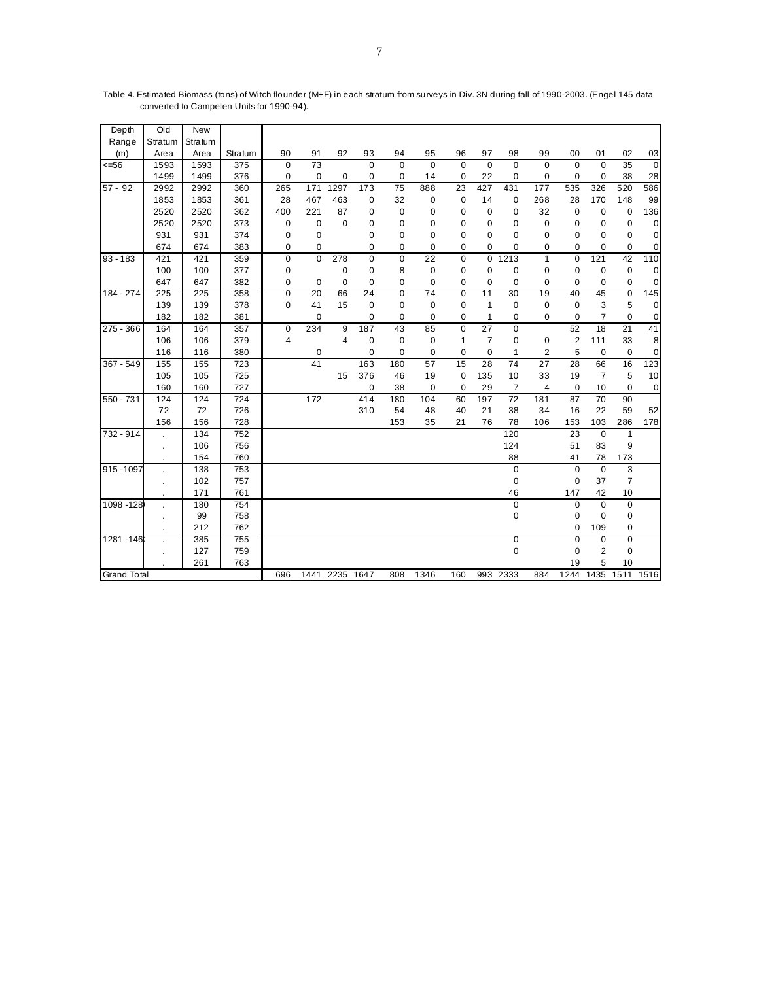| Depth              | Old        | New     |                  |             |                 |                |             |                 |                 |                |                 |                |                 |              |                |                 |                 |
|--------------------|------------|---------|------------------|-------------|-----------------|----------------|-------------|-----------------|-----------------|----------------|-----------------|----------------|-----------------|--------------|----------------|-----------------|-----------------|
| Range              | Stratum    | Stratum |                  |             |                 |                |             |                 |                 |                |                 |                |                 |              |                |                 |                 |
| (m)                | Area       | Area    | Stratum          | 90          | 91              | 92             | 93          | 94              | 95              | 96             | 97              | 98             | 99              | 00           | 01             | 02              | 03              |
| $= 56$             | 1593       | 1593    | 375              | $\Omega$    | $\overline{73}$ |                | $\mathbf 0$ | $\mathbf 0$     | $\mathbf 0$     | $\mathbf 0$    | $\mathbf 0$     | $\Omega$       | $\Omega$        | $\Omega$     | $\mathbf 0$    | 35              | 0               |
|                    | 1499       | 1499    | 376              | 0           | 0               | 0              | 0           | $\mathbf 0$     | 14              | $\mathbf 0$    | 22              | $\mathbf 0$    | 0               | 0            | $\mathbf 0$    | 38              | 28              |
| $57 - 92$          | 2992       | 2992    | 360              | 265         | 171             | 1297           | 173         | $\overline{75}$ | 888             | 23             | 427             | 431            | 177             | 535          | 326            | 520             | 586             |
|                    | 1853       | 1853    | 361              | 28          | 467             | 463            | 0           | 32              | 0               | $\mathbf 0$    | 14              | 0              | 268             | 28           | 170            | 148             | 99              |
|                    | 2520       | 2520    | 362              | 400         | 221             | 87             | 0           | 0               | 0               | 0              | 0               | 0              | 32              | $\mathbf 0$  | $\mathbf 0$    | $\mathbf 0$     | 136             |
|                    | 2520       | 2520    | 373              | 0           | 0               | $\mathbf 0$    | 0           | $\pmb{0}$       | 0               | 0              | 0               | $\mathbf 0$    | $\mathbf 0$     | 0            | $\mathbf 0$    | 0               | $\overline{0}$  |
|                    | 931        | 931     | 374              | 0           | $\mathbf 0$     |                | 0           | 0               | 0               | 0              | $\mathbf 0$     | 0              | 0               | 0            | $\mathbf 0$    | $\mathbf 0$     | 0               |
|                    | 674        | 674     | 383              | 0           | 0               |                | 0           | $\mathbf 0$     | 0               | 0              | 0               | 0              | 0               | 0            | 0              | 0               | $\overline{0}$  |
| $93 - 183$         | 421        | 421     | 359              | 0           | $\mathbf 0$     | 278            | $\pmb{0}$   | $\pmb{0}$       | $\overline{22}$ | 0              |                 | $0$ 1213       | $\mathbf{1}$    | $\mathbf 0$  | 121            | 42              | 110             |
|                    | 100        | 100     | 377              | 0           |                 | $\mathbf 0$    | 0           | 8               | $\mathbf 0$     | 0              | $\pmb{0}$       | $\mathbf 0$    | $\mathbf 0$     | $\mathbf 0$  | $\mathbf 0$    | $\pmb{0}$       | $\circ$         |
|                    | 647        | 647     | 382              | 0           | 0               | 0              | $\mathbf 0$ | $\mathbf 0$     | $\mathbf 0$     | 0              | $\mathbf 0$     | 0              | 0               | 0            | 0              | $\mathbf 0$     | $\overline{0}$  |
| 184 - 274          | 225        | 225     | 358              | $\mathbf 0$ | $\overline{20}$ | 66             | 24          | $\mathbf 0$     | $\overline{74}$ | $\overline{0}$ | 11              | 30             | 19              | 40           | 45             | $\overline{0}$  | 145             |
|                    | 139        | 139     | 378              | 0           | 41              | 15             | 0           | $\mathbf 0$     | 0               | $\mathbf 0$    | $\mathbf{1}$    | 0              | $\mathbf 0$     | $\mathbf 0$  | 3              | 5               | 0               |
|                    | 182        | 182     | 381              |             | 0               |                | 0           | $\mathbf 0$     | 0               | 0              | $\mathbf{1}$    | $\mathbf 0$    | 0               | $\mathbf 0$  | $\overline{7}$ | $\mathbf 0$     | 0               |
| $275 - 366$        | 164        | 164     | 357              | 0           | 234             | 9              | 187         | 43              | 85              | 0              | 27              | $\mathbf 0$    |                 | 52           | 18             | $\overline{21}$ | 41              |
|                    | 106        | 106     | 379              | 4           |                 | $\overline{4}$ | 0           | $\pmb{0}$       | $\mathbf 0$     | 1              | $\overline{7}$  | $\mathbf 0$    | 0               | $\mathbf{2}$ | 111            | 33              | 8               |
|                    | 116        | 116     | 380              |             | 0               |                | 0           | $\mathbf 0$     | $\mathbf 0$     | 0              | $\mathbf 0$     | $\mathbf{1}$   | $\overline{2}$  | 5            | $\mathbf 0$    | $\mathbf 0$     | $\vert 0 \vert$ |
| 367 - 549          | 155        | 155     | $\overline{723}$ |             | 41              |                | 163         | 180             | 57              | 15             | $\overline{28}$ | 74             | $\overline{27}$ | 28           | 66             | 16              | 123             |
|                    | 105        | 105     | 725              |             |                 | 15             | 376         | 46              | 19              | $\mathbf 0$    | 135             | 10             | 33              | 19           | $\overline{7}$ | 5               | 10 <sup>1</sup> |
|                    | 160        | 160     | 727              |             |                 |                | 0           | 38              | 0               | $\mathbf 0$    | 29              | $\overline{7}$ | $\overline{4}$  | $\mathbf 0$  | 10             | $\mathbf 0$     | 0               |
| 550 - 731          | 124        | 124     | 724              |             | 172             |                | 414         | 180             | 104             | 60             | 197             | 72             | 181             | 87           | 70             | 90              |                 |
|                    | 72         | 72      | 726              |             |                 |                | 310         | 54              | 48              | 40             | 21              | 38             | 34              | 16           | 22             | 59              | 52              |
|                    | 156        | 156     | 728              |             |                 |                |             | 153             | 35              | 21             | 76              | 78             | 106             | 153          | 103            | 286             | 178             |
| 732 - 914          |            | 134     | 752              |             |                 |                |             |                 |                 |                |                 | 120            |                 | 23           | $\pmb{0}$      | $\mathbf{1}$    |                 |
|                    | $\epsilon$ | 106     | 756              |             |                 |                |             |                 |                 |                |                 | 124            |                 | 51           | 83             | 9               |                 |
|                    |            | 154     | 760              |             |                 |                |             |                 |                 |                |                 | 88             |                 | 41           | 78             | 173             |                 |
| 915 - 1097         |            | 138     | 753              |             |                 |                |             |                 |                 |                |                 | $\mathbf 0$    |                 | $\mathbf 0$  | $\mathbf 0$    | 3               |                 |
|                    | $\bullet$  | 102     | 757              |             |                 |                |             |                 |                 |                |                 | 0              |                 | $\mathbf 0$  | 37             | $\overline{7}$  |                 |
|                    |            | 171     | 761              |             |                 |                |             |                 |                 |                |                 | 46             |                 | 147          | 42             | 10              |                 |
| 1098 - 128         |            | 180     | 754              |             |                 |                |             |                 |                 |                |                 | $\pmb{0}$      |                 | $\mathbf 0$  | $\mathbf 0$    | $\mathbf 0$     |                 |
|                    | $\epsilon$ | 99      | 758              |             |                 |                |             |                 |                 |                |                 | 0              |                 | $\mathbf 0$  | $\mathbf 0$    | 0               |                 |
|                    |            | 212     | 762              |             |                 |                |             |                 |                 |                |                 |                |                 | $\mathbf 0$  | 109            | 0               |                 |
| 1281 - 146         |            | 385     | 755              |             |                 |                |             |                 |                 |                |                 | 0              |                 | $\mathbf 0$  | $\mathbf 0$    | $\mathbf 0$     |                 |
|                    |            | 127     | 759              |             |                 |                |             |                 |                 |                |                 | 0              |                 | $\mathbf 0$  | $\overline{2}$ | 0               |                 |
|                    |            | 261     | 763              |             |                 |                |             |                 |                 |                |                 |                |                 | 19           | 5              | 10              |                 |
| <b>Grand Total</b> |            |         |                  | 696         |                 | 1441 2235      | 1647        | 808             | 1346            | 160            |                 | 993 2333       | 884             | 1244         | 1435           | 1511            | 1516            |

Table 4. Estimated Biomass (tons) of Witch flounder (M+F) in each stratum from surveys in Div. 3N during fall of 1990-2003. (Engel 145 data converted to Campelen Units for 1990-94).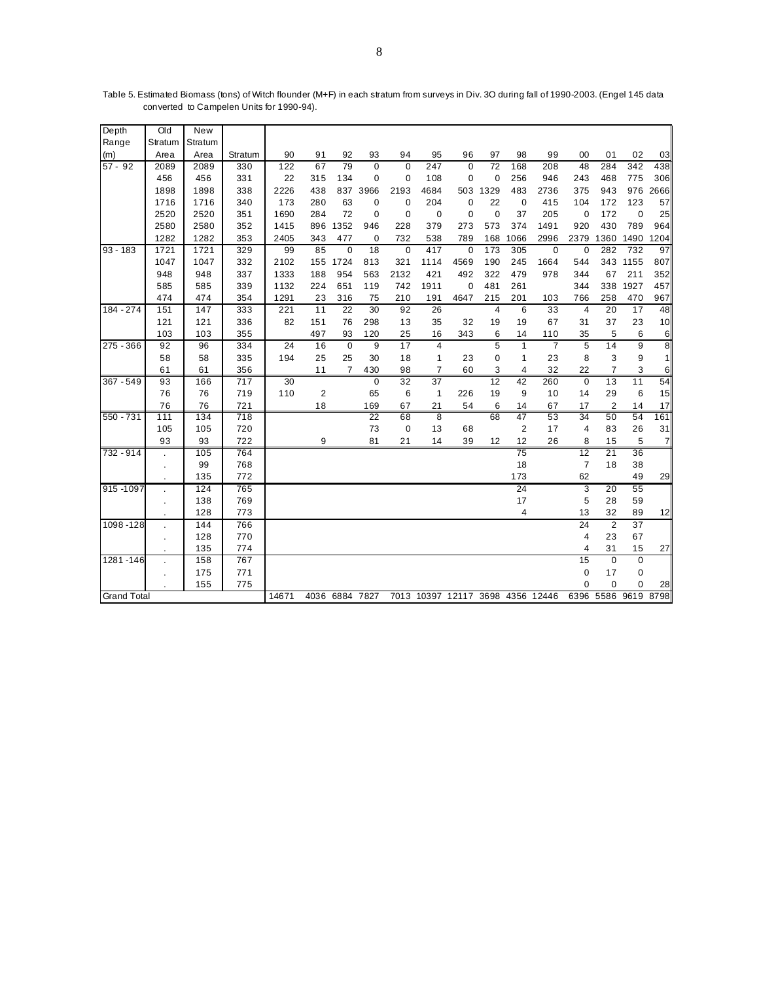| Depth              | Old       | <b>New</b> |         |       |                 |                 |                 |             |                 |                                  |                 |                 |                |                |                 |                     |                |
|--------------------|-----------|------------|---------|-------|-----------------|-----------------|-----------------|-------------|-----------------|----------------------------------|-----------------|-----------------|----------------|----------------|-----------------|---------------------|----------------|
| Range              | Stratum   | Stratum    |         |       |                 |                 |                 |             |                 |                                  |                 |                 |                |                |                 |                     |                |
| (m)                | Area      | Area       | Stratum | 90    | 91              | 92              | 93              | 94          | 95              | 96                               | 97              | 98              | 99             | 00             | 01              | 02                  | 03             |
| $57 - 92$          | 2089      | 2089       | 330     | 122   | 67              | 79              | $\mathbf 0$     | $\mathbf 0$ | 247             | $\mathbf 0$                      | $\overline{72}$ | 168             | 208            | 48             | 284             | 342                 | 438            |
|                    | 456       | 456        | 331     | 22    | 315             | 134             | $\mathbf 0$     | $\mathbf 0$ | 108             | $\mathbf 0$                      | $\mathbf 0$     | 256             | 946            | 243            | 468             | 775                 | 306            |
|                    | 1898      | 1898       | 338     | 2226  | 438             |                 | 837 3966        | 2193        | 4684            | 503                              | 1329            | 483             | 2736           | 375            | 943             | 976                 | 2666           |
|                    | 1716      | 1716       | 340     | 173   | 280             | 63              | 0               | $\mathbf 0$ | 204             | 0                                | 22              | $\mathbf 0$     | 415            | 104            | 172             | 123                 | 57             |
|                    | 2520      | 2520       | 351     | 1690  | 284             | 72              | 0               | $\mathbf 0$ | $\mathbf 0$     | $\mathbf 0$                      | $\mathbf 0$     | 37              | 205            | $\mathbf 0$    | 172             | $\mathbf 0$         | 25             |
|                    | 2580      | 2580       | 352     | 1415  | 896             | 1352            | 946             | 228         | 379             | 273                              | 573             | 374             | 1491           | 920            | 430             | 789                 | 964            |
|                    | 1282      | 1282       | 353     | 2405  | 343             | 477             | 0               | 732         | 538             | 789                              | 168             | 1066            | 2996           | 2379           | 1360            | 1490                | 1204           |
| $93 - 183$         | 1721      | 1721       | 329     | 99    | 85              | $\mathbf 0$     | $\overline{18}$ | $\mathbf 0$ | 417             | $\mathbf 0$                      | 173             | 305             | $\mathbf 0$    | $\mathbf 0$    | 282             | 732                 | 97             |
|                    | 1047      | 1047       | 332     | 2102  | 155             | 1724            | 813             | 321         | 1114            | 4569                             | 190             | 245             | 1664           | 544            | 343             | 1155                | 807            |
|                    | 948       | 948        | 337     | 1333  | 188             | 954             | 563             | 2132        | 421             | 492                              | 322             | 479             | 978            | 344            | 67              | 211                 | 352            |
|                    | 585       | 585        | 339     | 1132  | 224             | 651             | 119             | 742         | 1911            | $\mathbf 0$                      | 481             | 261             |                | 344            | 338             | 1927                | 457            |
|                    | 474       | 474        | 354     | 1291  | 23              | 316             | 75              | 210         | 191             | 4647                             | 215             | 201             | 103            | 766            | 258             | 470                 | 967            |
| $184 - 274$        | 151       | 147        | 333     | 221   | $\overline{11}$ | $\overline{22}$ | 30              | 92          | 26              |                                  | $\overline{4}$  | 6               | 33             | $\overline{4}$ | $\overline{20}$ | $\overline{17}$     | 48             |
|                    | 121       | 121        | 336     | 82    | 151             | 76              | 298             | 13          | 35              | 32                               | 19              | 19              | 67             | 31             | 37              | 23                  | 10             |
|                    | 103       | 103        | 355     |       | 497             | 93              | 120             | 25          | 16              | 343                              | 6               | 14              | 110            | 35             | 5               | 6                   | 6              |
| $275 - 366$        | 92        | 96         | 334     | 24    | 16              | $\overline{0}$  | $\overline{9}$  | 17          | $\overline{4}$  |                                  | 5               | 1               | $\overline{7}$ | $\overline{5}$ | 14              | $\overline{9}$      | 8              |
|                    | 58        | 58         | 335     | 194   | 25              | 25              | 30              | 18          | $\mathbf{1}$    | 23                               | 0               | 1               | 23             | 8              | 3               | 9                   | 1              |
|                    | 61        | 61         | 356     |       | 11              | $\overline{7}$  | 430             | 98          | $\overline{7}$  | 60                               | 3               | 4               | 32             | 22             | $\overline{7}$  | 3                   | 6              |
| 367 - 549          | 93        | 166        | 717     | 30    |                 |                 | $\mathbf 0$     | 32          | $\overline{37}$ |                                  | 12              | 42              | 260            | $\Omega$       | 13              | 11                  | 54             |
|                    | 76        | 76         | 719     | 110   | $\overline{2}$  |                 | 65              | 6           | $\mathbf{1}$    | 226                              | 19              | 9               | 10             | 14             | 29              | 6                   | 15             |
|                    | 76        | 76         | 721     |       | 18              |                 | 169             | 67          | 21              | 54                               | 6               | 14              | 67             | 17             | $\overline{2}$  | 14                  | 17             |
| 550 - 731          | 111       | 134        | 718     |       |                 |                 | 22              | 68          | 8               |                                  | 68              | 47              | 53             | 34             | 50              | 54                  | 161            |
|                    | 105       | 105        | 720     |       |                 |                 | 73              | 0           | 13              | 68                               |                 | $\overline{2}$  | 17             | $\overline{4}$ | 83              | 26                  | 31             |
|                    | 93        | 93         | 722     |       | 9               |                 | 81              | 21          | 14              | 39                               | 12              | 12              | 26             | 8              | 15              | 5                   | $\overline{7}$ |
| 732 - 914          |           | 105        | 764     |       |                 |                 |                 |             |                 |                                  |                 | $\overline{75}$ |                | 12             | $\overline{21}$ | 36                  |                |
|                    | $\bullet$ | 99         | 768     |       |                 |                 |                 |             |                 |                                  |                 | 18              |                | $\overline{7}$ | 18              | 38                  |                |
|                    |           | 135        | 772     |       |                 |                 |                 |             |                 |                                  |                 | 173             |                | 62             |                 | 49                  | 29             |
| 915 - 1097         |           | 124        | 765     |       |                 |                 |                 |             |                 |                                  |                 | $\overline{24}$ |                | 3              | 20              | 55                  |                |
|                    | $\bullet$ | 138        | 769     |       |                 |                 |                 |             |                 |                                  |                 | 17              |                | 5              | 28              | 59                  |                |
|                    |           | 128        | 773     |       |                 |                 |                 |             |                 |                                  |                 | $\overline{4}$  |                | 13             | 32              | 89                  | 12             |
| 1098 - 128         |           | 144        | 766     |       |                 |                 |                 |             |                 |                                  |                 |                 |                | 24             | $\overline{2}$  | $\overline{37}$     |                |
|                    |           | 128        | 770     |       |                 |                 |                 |             |                 |                                  |                 |                 |                | $\overline{4}$ | 23              | 67                  |                |
|                    |           | 135        | 774     |       |                 |                 |                 |             |                 |                                  |                 |                 |                | 4              | 31              | 15                  | 27             |
| 1281-146           |           | 158        | 767     |       |                 |                 |                 |             |                 |                                  |                 |                 |                | 15             | $\mathbf 0$     | $\mathbf 0$         |                |
|                    |           | 175        | 771     |       |                 |                 |                 |             |                 |                                  |                 |                 |                | $\mathbf 0$    | 17              | $\mathbf 0$         |                |
|                    |           | 155        | 775     |       |                 |                 |                 |             |                 |                                  |                 |                 |                | $\mathbf 0$    | $\mathbf 0$     | 0                   | 28             |
| <b>Grand Total</b> |           |            |         | 14671 |                 | 4036 6884 7827  |                 |             |                 | 7013 10397 12117 3698 4356 12446 |                 |                 |                |                |                 | 6396 5586 9619 8798 |                |

Table 5. Estimated Biomass (tons) of Witch flounder (M+F) in each stratum from surveys in Div. 3O during fall of 1990-2003. (Engel 145 data converted to Campelen Units for 1990-94).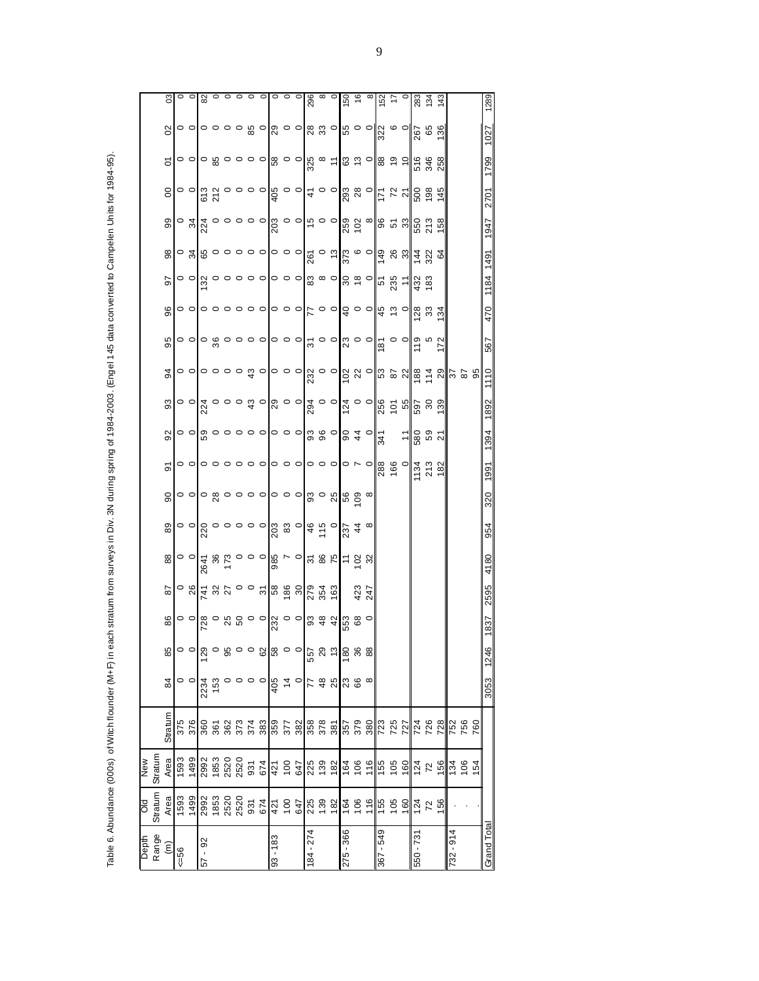| ś                                                                                              |
|------------------------------------------------------------------------------------------------|
| ֠<br>l                                                                                         |
|                                                                                                |
|                                                                                                |
|                                                                                                |
|                                                                                                |
| Ó                                                                                              |
|                                                                                                |
|                                                                                                |
| $\ddot{\phantom{a}}$                                                                           |
|                                                                                                |
| i                                                                                              |
|                                                                                                |
|                                                                                                |
|                                                                                                |
|                                                                                                |
| ֘֝֕                                                                                            |
|                                                                                                |
|                                                                                                |
|                                                                                                |
|                                                                                                |
| I                                                                                              |
|                                                                                                |
| l                                                                                              |
|                                                                                                |
|                                                                                                |
|                                                                                                |
|                                                                                                |
| $\overline{\phantom{a}}$                                                                       |
| ï                                                                                              |
|                                                                                                |
| I                                                                                              |
|                                                                                                |
|                                                                                                |
| ׇ֚֚֬֕<br>֖֧֧֚֚֚֚֚֚֚֚֚֚֚֚֚֚֚֚֚֚֚֚֚֚֚֞֡֡֡֡֡֡֡֡֡֡֡֡֡֡֬֞֟֝֓֞֡֡֡֬֞֬֞֝֬֞֓֞֬֞֞֬֝֬֝֞֬֞֝֬֝֬֝֬֝֬֝֬֝֬֝֬֝֬ |
|                                                                                                |
| ١                                                                                              |
| ć                                                                                              |
| l<br>I                                                                                         |
|                                                                                                |
|                                                                                                |
|                                                                                                |
|                                                                                                |
|                                                                                                |
|                                                                                                |
|                                                                                                |
|                                                                                                |
| j                                                                                              |
|                                                                                                |
|                                                                                                |
|                                                                                                |
|                                                                                                |
|                                                                                                |
|                                                                                                |
|                                                                                                |
|                                                                                                |
|                                                                                                |
|                                                                                                |
| $\overline{\phantom{a}}$<br>֡֡֡֡֡֡֡֡                                                           |
|                                                                                                |
|                                                                                                |
|                                                                                                |
|                                                                                                |
|                                                                                                |
|                                                                                                |
|                                                                                                |
|                                                                                                |
|                                                                                                |
|                                                                                                |
|                                                                                                |
|                                                                                                |
|                                                                                                |
|                                                                                                |
|                                                                                                |
| l                                                                                              |
|                                                                                                |
|                                                                                                |
|                                                                                                |
|                                                                                                |
| Ī                                                                                              |
| ĺ<br>í                                                                                         |
| $\ddot{\phantom{0}}$                                                                           |
|                                                                                                |
|                                                                                                |
| i, de<br>$\frac{1}{2}$                                                                         |
| ć                                                                                              |
|                                                                                                |
|                                                                                                |
|                                                                                                |
|                                                                                                |
|                                                                                                |
|                                                                                                |
|                                                                                                |
|                                                                                                |
| ŕ                                                                                              |
|                                                                                                |
|                                                                                                |
|                                                                                                |
|                                                                                                |
|                                                                                                |
| ١                                                                                              |
|                                                                                                |
|                                                                                                |
| Ó                                                                                              |
|                                                                                                |
|                                                                                                |
|                                                                                                |
|                                                                                                |
|                                                                                                |
| õ                                                                                              |

|            |         | 03                        |            | $\circ$         |          |              |              |                                                                   |     |                                                                                                                                                                                                                                                                                                                                                                                                                                                                                      |                |         |          |                |                           |            |          |           |     |     | 83 #3                            |         |     |           |                                                           |                | 1289        |
|------------|---------|---------------------------|------------|-----------------|----------|--------------|--------------|-------------------------------------------------------------------|-----|--------------------------------------------------------------------------------------------------------------------------------------------------------------------------------------------------------------------------------------------------------------------------------------------------------------------------------------------------------------------------------------------------------------------------------------------------------------------------------------|----------------|---------|----------|----------------|---------------------------|------------|----------|-----------|-----|-----|----------------------------------|---------|-----|-----------|-----------------------------------------------------------|----------------|-------------|
|            |         | $\boldsymbol{\mathsf{S}}$ |            |                 |          |              |              |                                                                   |     | ဝ <b>၀ ၀ ၀ ၀ ၀ ပ္ယွ ၀ </b> ႙ ဝ <b>၀ </b> ႙ ႙ ၀ ပ္က ၀ ၀ လ္က ဖွ ဇွ ဇ္ဟ                                                                                                                                                                                                                                                                                                                                                                                                                 |                |         |          |                |                           |            |          |           |     |     |                                  |         |     |           |                                                           |                | 1027        |
|            |         | 5                         |            |                 |          |              |              |                                                                   |     | ဝ <b>ဝ ဝ</b> ဗ္လ ဝ ဝ ဝ ဝ ဗ္လ ဝ ဝ ဗ္လ ∞  င္  ဗ္လ ဇ္ ဝ ဗ္လ ဇ္ ၁  ဇ္ ဇ္ဟ ဗ္လ                                                                                                                                                                                                                                                                                                                                                                                                            |                |         |          |                |                           |            |          |           |     |     |                                  |         |     |           |                                                           |                | 1799        |
|            |         | $\mathsf{S}$              |            |                 |          |              |              |                                                                   |     |                                                                                                                                                                                                                                                                                                                                                                                                                                                                                      |                |         |          |                |                           |            |          |           |     |     |                                  |         |     |           |                                                           |                | 2701        |
|            |         | 99                        |            |                 |          |              |              |                                                                   |     |                                                                                                                                                                                                                                                                                                                                                                                                                                                                                      |                |         |          |                |                           |            |          |           |     |     |                                  |         |     |           |                                                           |                | 1947        |
|            |         | 98                        |            |                 |          |              |              |                                                                   |     |                                                                                                                                                                                                                                                                                                                                                                                                                                                                                      |                |         |          |                |                           |            |          |           |     |     |                                  |         |     |           |                                                           |                |             |
|            |         | 50                        |            |                 |          |              |              | $\circ$ $\sigma$ $\sigma$ $\circ$ $\circ$ $\circ$ $\circ$ $\circ$ |     |                                                                                                                                                                                                                                                                                                                                                                                                                                                                                      |                |         |          |                |                           |            |          |           |     |     |                                  |         |     |           |                                                           |                | 1184 1491   |
|            |         | $\frac{6}{3}$             |            |                 |          |              |              |                                                                   |     | ၀ ၀ ၀ ၀ ၀ ၀ ၀ ၀ ၀ ၀ ၀ ၃ ၀ ၀ ၃ ၀ ၀ ဗ္ ဗ္ဗ ဗ္ဗ ဗ္လ <del>ဗ္</del> လ ဗ္                                                                                                                                                                                                                                                                                                                                                                                                                  |                |         |          |                |                           |            |          |           |     |     |                                  |         |     |           |                                                           |                | 470         |
|            |         | 95                        |            |                 |          |              |              |                                                                   |     | <b>ㅇㅇ ㅇ</b> ន ㅇㅇㅇㅇ ㅇㅇㅇ ਨ ㅇㅇ  <mark>♡ ㅇㅇ ㅎㅇㅇ ㅎ</mark> ㅎ ?                                                                                                                                                                                                                                                                                                                                                                                                                             |                |         |          |                |                           |            |          |           |     |     |                                  |         |     |           |                                                           |                | 567         |
|            |         |                           |            |                 |          |              |              |                                                                   |     |                                                                                                                                                                                                                                                                                                                                                                                                                                                                                      |                |         |          |                |                           |            |          |           |     |     |                                  |         |     |           | <u>န္</u> တုိ ေစာေထာင္တုိင္ ေတြကို ေတြက ေတြက ေတြက ေတြက ေန |                | 1110        |
|            |         | 93                        |            |                 |          |              |              |                                                                   |     |                                                                                                                                                                                                                                                                                                                                                                                                                                                                                      |                |         |          |                |                           |            |          |           |     |     |                                  |         |     |           |                                                           |                | 1892        |
|            |         | $\overline{9}$            |            |                 |          |              |              |                                                                   |     | $\circ \circ   \overset{\circ}{\circ} \circ \circ \circ \circ \circ   \circ \circ \circ   \overset{\circ}{\circ} \overset{\circ}{\circ} \circ   \overset{\circ}{\circ} \overset{\circ}{\circ} \overset{\circ}{\circ}   \overset{\circ}{\circ} \overset{\circ}{\circ}   \overset{\circ}{\circ}$                                                                                                                                                                                       |                |         |          |                |                           |            |          |           |     |     | $\frac{150}{250}$ $\frac{1}{27}$ |         |     |           |                                                           |                | 1394        |
|            |         | 5                         |            |                 |          |              |              | $\circ$ $\circ$ $\circ$ $\circ$ $\circ$ $\circ$ $\circ$           |     |                                                                                                                                                                                                                                                                                                                                                                                                                                                                                      |                |         |          |                |                           |            |          |           |     |     |                                  |         | 182 |           |                                                           |                | 1991        |
|            |         | $\frac{8}{2}$             |            |                 |          |              |              |                                                                   |     | <mark>ေ</mark> ဝေနေ ၁၀၀၀၀၀၀၀ အေျဖာ္ထိ                                                                                                                                                                                                                                                                                                                                                                                                                                                |                |         |          |                |                           |            |          |           |     |     |                                  |         |     |           |                                                           |                | 320         |
|            |         | 89                        |            |                 |          |              |              |                                                                   |     |                                                                                                                                                                                                                                                                                                                                                                                                                                                                                      |                |         |          |                |                           |            |          |           |     |     |                                  |         |     |           |                                                           |                | 954         |
|            |         | 88                        |            |                 |          |              |              |                                                                   |     | $\circ \circ   \frac{5}{4} \times 5 \circ 0 \circ   \frac{5}{8} \times 5 \circ   \frac{1}{2} \times 5 \times 5 \circ   \frac{1}{2} \times 5 \times 5 \circ   \frac{1}{2} \times 5 \times 5 \circ   \frac{1}{2} \times 5 \times 5 \circ   \frac{1}{2} \times 5 \times 5 \circ   \frac{1}{2} \times 5 \times 5 \circ   \frac{1}{2} \times 5 \times 5 \circ   \frac{1}{2} \times 5 \times 5 \circ   \frac{1}{2} \times 5 \times 5 \circ   \frac{1}{2} \times 5 \times 5 \circ   \frac{$ |                |         |          |                |                           |            |          |           |     |     |                                  |         |     |           |                                                           |                | 4180        |
|            |         | 87                        |            |                 |          |              |              |                                                                   |     |                                                                                                                                                                                                                                                                                                                                                                                                                                                                                      |                |         |          |                |                           | 423<br>247 |          |           |     |     |                                  |         |     |           |                                                           |                | 2595        |
|            |         | 86                        |            |                 |          |              |              |                                                                   |     | <mark>၀ ၀</mark>   စု ၀ မ ပ ရ ၁ ၀   ၁ ၀   ၁ ရ မ   မ ပ စု ၁ ရ မ   မ ပ စ                                                                                                                                                                                                                                                                                                                                                                                                               |                |         |          |                |                           |            | $\circ$  |           |     |     |                                  |         |     |           |                                                           |                | 1837        |
|            |         | 85                        |            | $\circ$ $\circ$ | 129      |              |              |                                                                   |     | ၀ ဖွ ၀ ၀ ပွ <mark>ူ</mark> ဖွ ၀ ၀                                                                                                                                                                                                                                                                                                                                                                                                                                                    |                |         | 557      |                | $\alpha$ ឌ $\mathbf{z}$ ន |            | 88       |           |     |     |                                  |         |     |           |                                                           |                | 1246        |
|            |         | 84                        |            | $\circ$ $\circ$ |          | 2234<br>153  | $\circ$      | $\circ \circ \circ$                                               |     | 405                                                                                                                                                                                                                                                                                                                                                                                                                                                                                  | $\overline{4}$ | $\circ$ | 77       |                | 988                       |            | $\infty$ |           |     |     |                                  |         |     |           |                                                           |                | 3053        |
|            |         | Stratum                   | 375<br>376 |                 |          | ន្លន្ត ន្ល   |              | 373<br>374<br>383                                                 |     |                                                                                                                                                                                                                                                                                                                                                                                                                                                                                      | 1259<br>977    | 382     |          |                |                           |            |          |           |     |     |                                  |         |     |           | 752<br>756                                                | 760            |             |
|            |         |                           |            |                 |          |              |              |                                                                   |     |                                                                                                                                                                                                                                                                                                                                                                                                                                                                                      |                |         |          |                |                           |            |          |           |     |     |                                  |         |     |           |                                                           |                |             |
| <b>MeN</b> | Stratum | Area                      | 1593       | 1499            |          | 2992<br>1853 | 2520<br>2520 | 931                                                               | 674 |                                                                                                                                                                                                                                                                                                                                                                                                                                                                                      | $421$<br>100   | 647     |          |                | $239$ $18$                | 106        |          | 155       | 105 | 160 | $\frac{13}{2}$ $\frac{8}{2}$     |         |     |           | $134$<br>$106$                                            | $\overline{5}$ |             |
| DIO        | Stratum | Area                      | 1593       | 1499            |          |              |              |                                                                   |     |                                                                                                                                                                                                                                                                                                                                                                                                                                                                                      | 421<br>100     | 647     | 225      | $\frac{38}{2}$ | 164                       | 106        | 116      | 155       | 105 | 160 | $\overline{24}$                  | $72$ 66 |     |           |                                                           |                |             |
| Depth      | Range   | έ                         | $56 =$     |                 | 92<br>57 |              |              |                                                                   |     | $93 - 183$                                                                                                                                                                                                                                                                                                                                                                                                                                                                           |                |         | 84 - 274 |                | 275 - 366                 |            |          | 367 - 549 |     |     | 550 - 731                        |         |     | 732 - 914 |                                                           |                | Grand Total |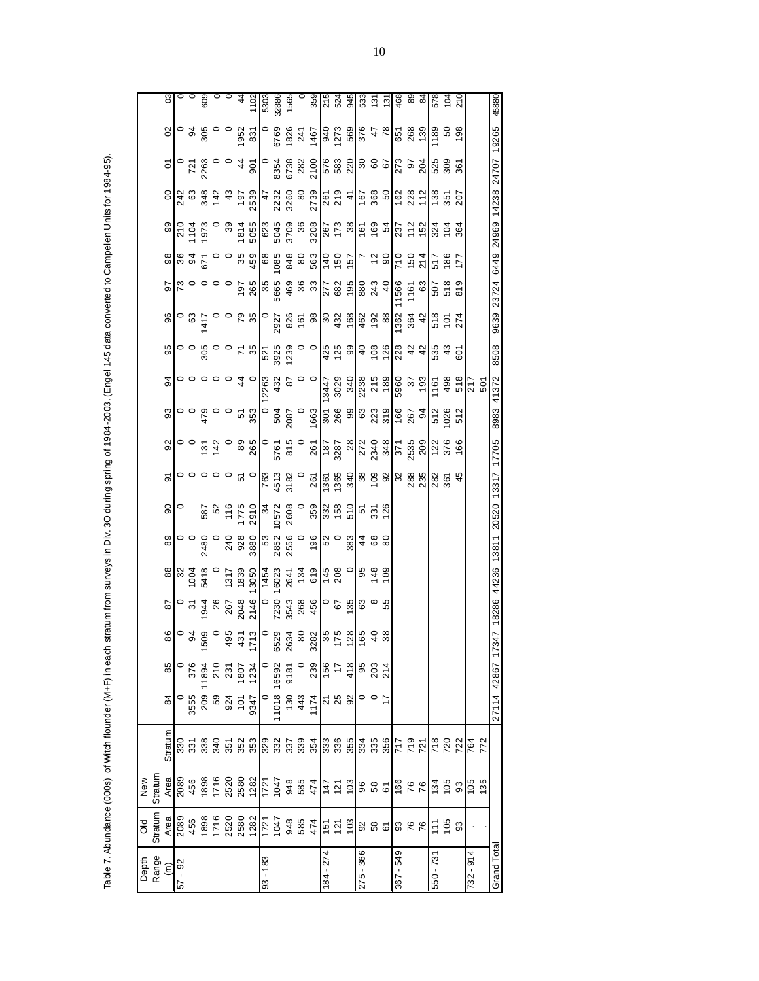Table 7. Abundance (000s) of Witch flounder (M+F) in each stratum from surveys in Div. 3O during spring of 1984-2003. (Engel 145 data converted to Campelen Units for 1984-95). Table 7. Abundance (000s) of Witch flounder (M+F) in each stratum from surveys in Div. 3O during spring of 1984-2003. (Engel 145 data converted to Campelen Units for 1984-95).

| Depth                | ŏ                                | New                                                                                      |                   |                        |                                                                                            |    |    |                                                                                         |                                                                                                                                                                                                                                                                                                                              |                                  |                                                                                                                                                                         |                                                                                                                                                                                                                                                                                                                     |                            |             |                                                                                                                                                                                                                                                                                                                             |                                                                                                                                                                                                                                                                                                                     |                                                       |                 |                                                                                                                                                                                                                                                                                                                                                                                                                |                                                                                                                         |                                     |                                                                                                                                                                                                                                                                                                                                |                                                                                                                                                                                                                                                                                                                     |
|----------------------|----------------------------------|------------------------------------------------------------------------------------------|-------------------|------------------------|--------------------------------------------------------------------------------------------|----|----|-----------------------------------------------------------------------------------------|------------------------------------------------------------------------------------------------------------------------------------------------------------------------------------------------------------------------------------------------------------------------------------------------------------------------------|----------------------------------|-------------------------------------------------------------------------------------------------------------------------------------------------------------------------|---------------------------------------------------------------------------------------------------------------------------------------------------------------------------------------------------------------------------------------------------------------------------------------------------------------------|----------------------------|-------------|-----------------------------------------------------------------------------------------------------------------------------------------------------------------------------------------------------------------------------------------------------------------------------------------------------------------------------|---------------------------------------------------------------------------------------------------------------------------------------------------------------------------------------------------------------------------------------------------------------------------------------------------------------------|-------------------------------------------------------|-----------------|----------------------------------------------------------------------------------------------------------------------------------------------------------------------------------------------------------------------------------------------------------------------------------------------------------------------------------------------------------------------------------------------------------------|-------------------------------------------------------------------------------------------------------------------------|-------------------------------------|--------------------------------------------------------------------------------------------------------------------------------------------------------------------------------------------------------------------------------------------------------------------------------------------------------------------------------|---------------------------------------------------------------------------------------------------------------------------------------------------------------------------------------------------------------------------------------------------------------------------------------------------------------------|
| Range                | Stratur                          | Stratum                                                                                  |                   |                        |                                                                                            |    |    |                                                                                         |                                                                                                                                                                                                                                                                                                                              |                                  |                                                                                                                                                                         |                                                                                                                                                                                                                                                                                                                     |                            |             |                                                                                                                                                                                                                                                                                                                             |                                                                                                                                                                                                                                                                                                                     |                                                       |                 |                                                                                                                                                                                                                                                                                                                                                                                                                |                                                                                                                         |                                     |                                                                                                                                                                                                                                                                                                                                |                                                                                                                                                                                                                                                                                                                     |
| $\widehat{\epsilon}$ | Area                             | Area                                                                                     | Stratum           | 84                     | 85                                                                                         |    | 87 |                                                                                         | 89                                                                                                                                                                                                                                                                                                                           | $\overline{0}$                   | 5                                                                                                                                                                       | $\overline{9}$                                                                                                                                                                                                                                                                                                      | $\frac{3}{2}$              | 94          | 95                                                                                                                                                                                                                                                                                                                          | 96                                                                                                                                                                                                                                                                                                                  |                                                       | 86              | 99                                                                                                                                                                                                                                                                                                                                                                                                             |                                                                                                                         | $\overline{c}$                      | $\mathcal{S}^{\prime}$                                                                                                                                                                                                                                                                                                         | S                                                                                                                                                                                                                                                                                                                   |
| $57 - 92$            | 2089<br>456                      | 2089<br>456                                                                              |                   |                        |                                                                                            |    |    | $\frac{80}{3}$ $\frac{80}{3}$ $\frac{40}{3}$                                            |                                                                                                                                                                                                                                                                                                                              |                                  |                                                                                                                                                                         |                                                                                                                                                                                                                                                                                                                     |                            |             |                                                                                                                                                                                                                                                                                                                             |                                                                                                                                                                                                                                                                                                                     |                                                       |                 |                                                                                                                                                                                                                                                                                                                                                                                                                |                                                                                                                         |                                     |                                                                                                                                                                                                                                                                                                                                |                                                                                                                                                                                                                                                                                                                     |
|                      |                                  |                                                                                          | <u>នី</u> និ      | 0<br>3555<br>0         | 376                                                                                        |    |    |                                                                                         |                                                                                                                                                                                                                                                                                                                              |                                  |                                                                                                                                                                         |                                                                                                                                                                                                                                                                                                                     |                            |             |                                                                                                                                                                                                                                                                                                                             |                                                                                                                                                                                                                                                                                                                     |                                                       |                 |                                                                                                                                                                                                                                                                                                                                                                                                                |                                                                                                                         |                                     |                                                                                                                                                                                                                                                                                                                                |                                                                                                                                                                                                                                                                                                                     |
|                      |                                  |                                                                                          | 338               |                        |                                                                                            |    |    |                                                                                         |                                                                                                                                                                                                                                                                                                                              |                                  |                                                                                                                                                                         |                                                                                                                                                                                                                                                                                                                     |                            |             |                                                                                                                                                                                                                                                                                                                             |                                                                                                                                                                                                                                                                                                                     |                                                       |                 |                                                                                                                                                                                                                                                                                                                                                                                                                |                                                                                                                         |                                     |                                                                                                                                                                                                                                                                                                                                |                                                                                                                                                                                                                                                                                                                     |
|                      |                                  |                                                                                          | 340               |                        |                                                                                            |    |    |                                                                                         | $\begin{smallmatrix} 0 & 0 & 0 & 0 \\ 0 & 0 & 0 & 0 \\ 0 & 0 & 0 & 0 \\ \lambda & 0 & 0 & 0 \end{smallmatrix}$                                                                                                                                                                                                               |                                  |                                                                                                                                                                         |                                                                                                                                                                                                                                                                                                                     |                            |             |                                                                                                                                                                                                                                                                                                                             |                                                                                                                                                                                                                                                                                                                     |                                                       |                 |                                                                                                                                                                                                                                                                                                                                                                                                                |                                                                                                                         |                                     |                                                                                                                                                                                                                                                                                                                                |                                                                                                                                                                                                                                                                                                                     |
|                      |                                  |                                                                                          |                   |                        |                                                                                            |    |    |                                                                                         |                                                                                                                                                                                                                                                                                                                              |                                  |                                                                                                                                                                         |                                                                                                                                                                                                                                                                                                                     |                            |             |                                                                                                                                                                                                                                                                                                                             |                                                                                                                                                                                                                                                                                                                     |                                                       |                 |                                                                                                                                                                                                                                                                                                                                                                                                                |                                                                                                                         |                                     |                                                                                                                                                                                                                                                                                                                                |                                                                                                                                                                                                                                                                                                                     |
|                      | 1898<br>17588827<br>1757<br>1757 |                                                                                          | 552<br>552<br>352 |                        | $\begin{array}{c c} 11894 \\ 210 \\ 231 \\ 1807 \\ 1807 \\ 0 \\ 992 \\ \hline \end{array}$ |    |    | 1317<br>1839                                                                            | 240<br>928<br>3800                                                                                                                                                                                                                                                                                                           | 587<br>52<br>521<br>5910<br>2910 |                                                                                                                                                                         | $\frac{1}{2}$ $\frac{1}{2}$ $\frac{1}{2}$ $\frac{1}{2}$ $\frac{1}{2}$ $\frac{1}{2}$ $\frac{1}{2}$ $\frac{1}{2}$ $\frac{1}{2}$ $\frac{1}{2}$ $\frac{1}{2}$ $\frac{1}{2}$ $\frac{1}{2}$ $\frac{1}{2}$ $\frac{1}{2}$ $\frac{1}{2}$ $\frac{1}{2}$ $\frac{1}{2}$ $\frac{1}{2}$ $\frac{1}{2}$ $\frac{1}{2}$ $\frac{1}{2}$ |                            |             | $\begin{array}{c}\n0 & 0 & 0 & 0 & 0 \\ 0 & 0 & 0 & 0 & 0 \\ 0 & 0 & 0 & 0 & 0 \\ 0 & 0 & 0 & 0 & 0 \\ 0 & 0 & 0 & 0 & 0\n\end{array}$                                                                                                                                                                                      | $\circ$ $\stackrel{4}{\circ}$ $\stackrel{5}{\circ}$ $\stackrel{6}{\circ}$ $\stackrel{6}{\circ}$ $\stackrel{7}{\circ}$ $\stackrel{8}{\circ}$                                                                                                                                                                         | 8 0 0 0 0 0 1 0<br>8 0 0 0 0 1 0<br>8 0 1 0 0 0 1 0 0 | 89220088        | $\begin{array}{@{}c@{\hspace{1em}}c@{\hspace{1em}}c@{\hspace{1em}}c@{\hspace{1em}}c@{\hspace{1em}}c@{\hspace{1em}}c@{\hspace{1em}}c@{\hspace{1em}}c@{\hspace{1em}}c@{\hspace{1em}}c@{\hspace{1em}}c@{\hspace{1em}}c@{\hspace{1em}}c@{\hspace{1em}}c@{\hspace{1em}}c@{\hspace{1em}}c@{\hspace{1em}}c@{\hspace{1em}}c@{\hspace{1em}}c@{\hspace{1em}}c@{\hspace{1em}}c@{\hspace{1em}}c@{\hspace{1em}}c@{\hspace{$ |                                                                                                                         | $\frac{2500}{2500}$ $\frac{42}{25}$ | $\begin{bmatrix} 5 & 6 & 6 & 6 \\ 6 & 3 & 6 & 6 \\ 6 & 3 & 6 & 6 \\ 6 & 6 & 6 & 6 \\ 6 & 6 & 6 & 6 \\ 6 & 6 & 6 & 6 \\ 6 & 6 & 6 & 6 \\ 6 & 6 & 6 & 6 \\ 6 & 6 & 6 & 6 \\ 6 & 6 & 6 & 6 \\ 6 & 6 & 6 & 6 \\ 6 & 6 & 6 & 6 \\ 6 & 6 & 6 & 6 \\ 6 & 6 & 6 & 6 & 6 \\ 6 & 6 & 6 & 6 & 6 \\ 6 & 6 & 6 & 6 & 6 \\ 6 & 6 & 6 & 6 & $ | 008004200886<br>00800420088                                                                                                                                                                                                                                                                                         |
|                      |                                  |                                                                                          |                   |                        |                                                                                            |    |    | 13050                                                                                   |                                                                                                                                                                                                                                                                                                                              |                                  |                                                                                                                                                                         |                                                                                                                                                                                                                                                                                                                     |                            |             |                                                                                                                                                                                                                                                                                                                             |                                                                                                                                                                                                                                                                                                                     |                                                       |                 |                                                                                                                                                                                                                                                                                                                                                                                                                |                                                                                                                         |                                     |                                                                                                                                                                                                                                                                                                                                |                                                                                                                                                                                                                                                                                                                     |
| 93 - 183             |                                  |                                                                                          |                   |                        |                                                                                            |    |    |                                                                                         |                                                                                                                                                                                                                                                                                                                              |                                  |                                                                                                                                                                         |                                                                                                                                                                                                                                                                                                                     |                            |             |                                                                                                                                                                                                                                                                                                                             |                                                                                                                                                                                                                                                                                                                     |                                                       |                 |                                                                                                                                                                                                                                                                                                                                                                                                                |                                                                                                                         |                                     |                                                                                                                                                                                                                                                                                                                                |                                                                                                                                                                                                                                                                                                                     |
|                      |                                  |                                                                                          |                   | $\frac{8}{1018}$       |                                                                                            |    |    |                                                                                         |                                                                                                                                                                                                                                                                                                                              |                                  |                                                                                                                                                                         |                                                                                                                                                                                                                                                                                                                     |                            |             |                                                                                                                                                                                                                                                                                                                             |                                                                                                                                                                                                                                                                                                                     |                                                       |                 |                                                                                                                                                                                                                                                                                                                                                                                                                |                                                                                                                         |                                     |                                                                                                                                                                                                                                                                                                                                |                                                                                                                                                                                                                                                                                                                     |
|                      |                                  |                                                                                          |                   |                        | 9181                                                                                       |    |    |                                                                                         |                                                                                                                                                                                                                                                                                                                              |                                  |                                                                                                                                                                         |                                                                                                                                                                                                                                                                                                                     |                            |             |                                                                                                                                                                                                                                                                                                                             |                                                                                                                                                                                                                                                                                                                     |                                                       |                 |                                                                                                                                                                                                                                                                                                                                                                                                                |                                                                                                                         |                                     |                                                                                                                                                                                                                                                                                                                                |                                                                                                                                                                                                                                                                                                                     |
|                      |                                  |                                                                                          |                   | $111$<br>$43$<br>$174$ |                                                                                            |    |    |                                                                                         |                                                                                                                                                                                                                                                                                                                              |                                  |                                                                                                                                                                         |                                                                                                                                                                                                                                                                                                                     |                            |             |                                                                                                                                                                                                                                                                                                                             |                                                                                                                                                                                                                                                                                                                     |                                                       |                 |                                                                                                                                                                                                                                                                                                                                                                                                                |                                                                                                                         |                                     |                                                                                                                                                                                                                                                                                                                                |                                                                                                                                                                                                                                                                                                                     |
|                      |                                  |                                                                                          |                   |                        |                                                                                            |    |    |                                                                                         |                                                                                                                                                                                                                                                                                                                              |                                  |                                                                                                                                                                         |                                                                                                                                                                                                                                                                                                                     |                            |             |                                                                                                                                                                                                                                                                                                                             |                                                                                                                                                                                                                                                                                                                     |                                                       |                 |                                                                                                                                                                                                                                                                                                                                                                                                                |                                                                                                                         |                                     |                                                                                                                                                                                                                                                                                                                                |                                                                                                                                                                                                                                                                                                                     |
| 184 - 274            | $9887$ $52$                      | $\frac{885}{3824}$ $\frac{4}{2}$ $\frac{5}{2}$ $\frac{5}{8}$ $\frac{8}{8}$ $\frac{8}{6}$ |                   |                        | $\frac{1}{2}$ $\frac{1}{2}$ $\frac{1}{2}$ $\frac{1}{2}$ $\frac{1}{2}$                      |    |    | $\begin{array}{c c}\n1454 \\ 16023 \\ 2641 \\ 154 \\ -145 \\ -808 \\ -145\n\end{array}$ | $\begin{bmatrix} 0 & 0 & 0 & 0 & 0 \\ 0 & 0 & 0 & 0 & 0 \\ 0 & 0 & 0 & 0 & 0 \\ 0 & 0 & 0 & 0 & 0 \\ 0 & 0 & 0 & 0 & 0 \\ 0 & 0 & 0 & 0 & 0 \\ 0 & 0 & 0 & 0 & 0 \\ 0 & 0 & 0 & 0 & 0 \\ 0 & 0 & 0 & 0 & 0 \\ 0 & 0 & 0 & 0 & 0 \\ 0 & 0 & 0 & 0 & 0 \\ 0 & 0 & 0 & 0 & 0 \\ 0 & 0 & 0 & 0 & 0 \\ 0 & 0 & 0 & 0 & 0 \\ 0 & $ |                                  |                                                                                                                                                                         |                                                                                                                                                                                                                                                                                                                     |                            |             | $\circ$ $\circ$ $\frac{1}{3}$ $\frac{1}{2}$ $\circ$ $\frac{1}{3}$ $\frac{1}{6}$ $\frac{1}{6}$ $\frac{1}{6}$ $\frac{1}{6}$ $\frac{1}{6}$ $\frac{1}{6}$ $\frac{1}{6}$ $\frac{1}{6}$ $\frac{1}{6}$ $\frac{1}{6}$ $\frac{1}{6}$ $\frac{1}{6}$ $\frac{1}{6}$ $\frac{1}{6}$ $\frac{1}{6}$ $\frac{1}{6}$ $\frac{1}{6}$ $\frac{1}{$ | $\frac{1}{2}$ $\frac{1}{2}$ $\frac{1}{2}$ $\frac{1}{2}$ $\frac{1}{2}$ $\frac{1}{2}$ $\frac{1}{2}$ $\frac{1}{2}$ $\frac{1}{2}$ $\frac{1}{2}$ $\frac{1}{2}$ $\frac{1}{2}$ $\frac{1}{2}$ $\frac{1}{2}$ $\frac{1}{2}$ $\frac{1}{2}$ $\frac{1}{2}$ $\frac{1}{2}$ $\frac{1}{2}$ $\frac{1}{2}$ $\frac{1}{2}$ $\frac{1}{2}$ | 56599877882                                           | $689888$ $750$  |                                                                                                                                                                                                                                                                                                                                                                                                                |                                                                                                                         |                                     |                                                                                                                                                                                                                                                                                                                                | $\frac{1}{2}$ $\frac{1}{2}$ $\frac{1}{2}$ $\frac{1}{2}$ $\frac{1}{2}$ $\frac{1}{2}$ $\frac{1}{2}$ $\frac{1}{2}$ $\frac{1}{2}$ $\frac{1}{2}$ $\frac{1}{2}$ $\frac{1}{2}$ $\frac{1}{2}$ $\frac{1}{2}$ $\frac{1}{2}$ $\frac{1}{2}$ $\frac{1}{2}$ $\frac{1}{2}$ $\frac{1}{2}$ $\frac{1}{2}$ $\frac{1}{2}$ $\frac{1}{2}$ |
|                      |                                  |                                                                                          |                   | $\frac{25}{25}$        |                                                                                            |    |    |                                                                                         |                                                                                                                                                                                                                                                                                                                              |                                  |                                                                                                                                                                         |                                                                                                                                                                                                                                                                                                                     |                            |             |                                                                                                                                                                                                                                                                                                                             |                                                                                                                                                                                                                                                                                                                     |                                                       |                 |                                                                                                                                                                                                                                                                                                                                                                                                                |                                                                                                                         |                                     |                                                                                                                                                                                                                                                                                                                                |                                                                                                                                                                                                                                                                                                                     |
|                      | $\tilde{c}$                      |                                                                                          |                   | 92                     | 418                                                                                        |    |    | $\circ$                                                                                 | 383                                                                                                                                                                                                                                                                                                                          |                                  |                                                                                                                                                                         |                                                                                                                                                                                                                                                                                                                     |                            |             |                                                                                                                                                                                                                                                                                                                             |                                                                                                                                                                                                                                                                                                                     |                                                       |                 |                                                                                                                                                                                                                                                                                                                                                                                                                |                                                                                                                         |                                     |                                                                                                                                                                                                                                                                                                                                |                                                                                                                                                                                                                                                                                                                     |
| 275 - 366            |                                  |                                                                                          |                   | $\circ$ $\circ$        |                                                                                            |    |    |                                                                                         |                                                                                                                                                                                                                                                                                                                              |                                  | $\frac{1}{6}$ $\frac{1}{8}$ $\frac{1}{8}$ $\frac{1}{8}$ $\frac{1}{8}$ $\frac{1}{8}$ $\frac{1}{8}$ $\frac{1}{8}$ $\frac{1}{8}$ $\frac{1}{8}$ $\frac{1}{8}$ $\frac{1}{8}$ |                                                                                                                                                                                                                                                                                                                     |                            |             |                                                                                                                                                                                                                                                                                                                             |                                                                                                                                                                                                                                                                                                                     | $\frac{95}{880}$ $\frac{49}{43}$ $\frac{40}{156}$     | $\frac{157}{7}$ |                                                                                                                                                                                                                                                                                                                                                                                                                | $rac{4}{6}$ $rac{6}{6}$ $rac{8}{6}$ $rac{6}{6}$ $rac{6}{6}$ $rac{6}{6}$ $rac{8}{6}$ $rac{6}{6}$ $rac{6}{6}$ $rac{6}{6}$ |                                     |                                                                                                                                                                                                                                                                                                                                |                                                                                                                                                                                                                                                                                                                     |
|                      |                                  |                                                                                          |                   |                        | 95<br>203                                                                                  |    |    | 8 0 1<br>8 4 10 10                                                                      | $480$<br>$480$                                                                                                                                                                                                                                                                                                               |                                  |                                                                                                                                                                         |                                                                                                                                                                                                                                                                                                                     |                            |             |                                                                                                                                                                                                                                                                                                                             |                                                                                                                                                                                                                                                                                                                     |                                                       |                 |                                                                                                                                                                                                                                                                                                                                                                                                                |                                                                                                                         |                                     |                                                                                                                                                                                                                                                                                                                                |                                                                                                                                                                                                                                                                                                                     |
|                      |                                  |                                                                                          |                   |                        | 214                                                                                        |    |    |                                                                                         |                                                                                                                                                                                                                                                                                                                              | 126                              |                                                                                                                                                                         |                                                                                                                                                                                                                                                                                                                     |                            |             |                                                                                                                                                                                                                                                                                                                             |                                                                                                                                                                                                                                                                                                                     |                                                       |                 |                                                                                                                                                                                                                                                                                                                                                                                                                |                                                                                                                         |                                     |                                                                                                                                                                                                                                                                                                                                |                                                                                                                                                                                                                                                                                                                     |
| 367 - 549            |                                  | $66$<br>76                                                                               | $\frac{12}{779}$  |                        |                                                                                            |    |    |                                                                                         |                                                                                                                                                                                                                                                                                                                              |                                  |                                                                                                                                                                         |                                                                                                                                                                                                                                                                                                                     |                            |             |                                                                                                                                                                                                                                                                                                                             |                                                                                                                                                                                                                                                                                                                     |                                                       | $\frac{10}{25}$ |                                                                                                                                                                                                                                                                                                                                                                                                                |                                                                                                                         |                                     |                                                                                                                                                                                                                                                                                                                                |                                                                                                                                                                                                                                                                                                                     |
|                      | 326                              |                                                                                          |                   |                        |                                                                                            |    |    |                                                                                         |                                                                                                                                                                                                                                                                                                                              |                                  |                                                                                                                                                                         |                                                                                                                                                                                                                                                                                                                     |                            |             |                                                                                                                                                                                                                                                                                                                             |                                                                                                                                                                                                                                                                                                                     | $1161$<br>$63$                                        |                 |                                                                                                                                                                                                                                                                                                                                                                                                                |                                                                                                                         |                                     |                                                                                                                                                                                                                                                                                                                                |                                                                                                                                                                                                                                                                                                                     |
|                      |                                  |                                                                                          |                   |                        |                                                                                            |    |    |                                                                                         |                                                                                                                                                                                                                                                                                                                              |                                  |                                                                                                                                                                         |                                                                                                                                                                                                                                                                                                                     |                            |             |                                                                                                                                                                                                                                                                                                                             |                                                                                                                                                                                                                                                                                                                     |                                                       | 214             |                                                                                                                                                                                                                                                                                                                                                                                                                |                                                                                                                         |                                     |                                                                                                                                                                                                                                                                                                                                |                                                                                                                                                                                                                                                                                                                     |
| $550 - 73'$          |                                  |                                                                                          |                   |                        |                                                                                            |    |    |                                                                                         |                                                                                                                                                                                                                                                                                                                              |                                  | 282<br>361                                                                                                                                                              |                                                                                                                                                                                                                                                                                                                     |                            | 1161<br>498 | 535<br>43                                                                                                                                                                                                                                                                                                                   |                                                                                                                                                                                                                                                                                                                     |                                                       |                 | 324                                                                                                                                                                                                                                                                                                                                                                                                            | $138$<br>351                                                                                                            |                                     |                                                                                                                                                                                                                                                                                                                                |                                                                                                                                                                                                                                                                                                                     |
|                      | $rac{2}{2}$                      | $134$<br>$105$                                                                           | 718<br>722        |                        |                                                                                            |    |    |                                                                                         |                                                                                                                                                                                                                                                                                                                              |                                  |                                                                                                                                                                         | 2 %<br>5 %                                                                                                                                                                                                                                                                                                          | 5<br>5<br>5<br>5<br>5<br>5 |             |                                                                                                                                                                                                                                                                                                                             | 5 0 7<br>1 0 7<br>1 0 7                                                                                                                                                                                                                                                                                             | <b>6 5 8 9</b><br>5 5 8                               | 517<br>186      |                                                                                                                                                                                                                                                                                                                                                                                                                |                                                                                                                         | 525<br>305<br>361                   | $\frac{8}{180}$                                                                                                                                                                                                                                                                                                                | <b>0120</b><br>104<br>210                                                                                                                                                                                                                                                                                           |
|                      | 3                                | 93                                                                                       |                   |                        |                                                                                            |    |    |                                                                                         |                                                                                                                                                                                                                                                                                                                              |                                  | 45                                                                                                                                                                      |                                                                                                                                                                                                                                                                                                                     |                            | 518         | 601                                                                                                                                                                                                                                                                                                                         |                                                                                                                                                                                                                                                                                                                     |                                                       | 177             | 364                                                                                                                                                                                                                                                                                                                                                                                                            | 207                                                                                                                     |                                     | 198                                                                                                                                                                                                                                                                                                                            |                                                                                                                                                                                                                                                                                                                     |
| $-914$<br>732        |                                  |                                                                                          |                   |                        |                                                                                            |    |    |                                                                                         |                                                                                                                                                                                                                                                                                                                              |                                  |                                                                                                                                                                         |                                                                                                                                                                                                                                                                                                                     |                            | 717<br>501  |                                                                                                                                                                                                                                                                                                                             |                                                                                                                                                                                                                                                                                                                     |                                                       |                 |                                                                                                                                                                                                                                                                                                                                                                                                                |                                                                                                                         |                                     |                                                                                                                                                                                                                                                                                                                                |                                                                                                                                                                                                                                                                                                                     |
|                      |                                  | $\frac{105}{135}$                                                                        | 764<br>772        |                        |                                                                                            |    |    |                                                                                         |                                                                                                                                                                                                                                                                                                                              |                                  |                                                                                                                                                                         |                                                                                                                                                                                                                                                                                                                     |                            |             |                                                                                                                                                                                                                                                                                                                             |                                                                                                                                                                                                                                                                                                                     |                                                       |                 |                                                                                                                                                                                                                                                                                                                                                                                                                |                                                                                                                         |                                     |                                                                                                                                                                                                                                                                                                                                |                                                                                                                                                                                                                                                                                                                     |
| Grand Tota           |                                  |                                                                                          |                   | 27114 42867            |                                                                                            | 17 |    | 347 18286 44236 13811                                                                   |                                                                                                                                                                                                                                                                                                                              |                                  | 20520 13317 17705                                                                                                                                                       |                                                                                                                                                                                                                                                                                                                     | 8983                       | 41372       | 8508                                                                                                                                                                                                                                                                                                                        |                                                                                                                                                                                                                                                                                                                     |                                                       |                 | 9639 23724 6449 24969 14238                                                                                                                                                                                                                                                                                                                                                                                    |                                                                                                                         | 24707 19265                         |                                                                                                                                                                                                                                                                                                                                | 45880                                                                                                                                                                                                                                                                                                               |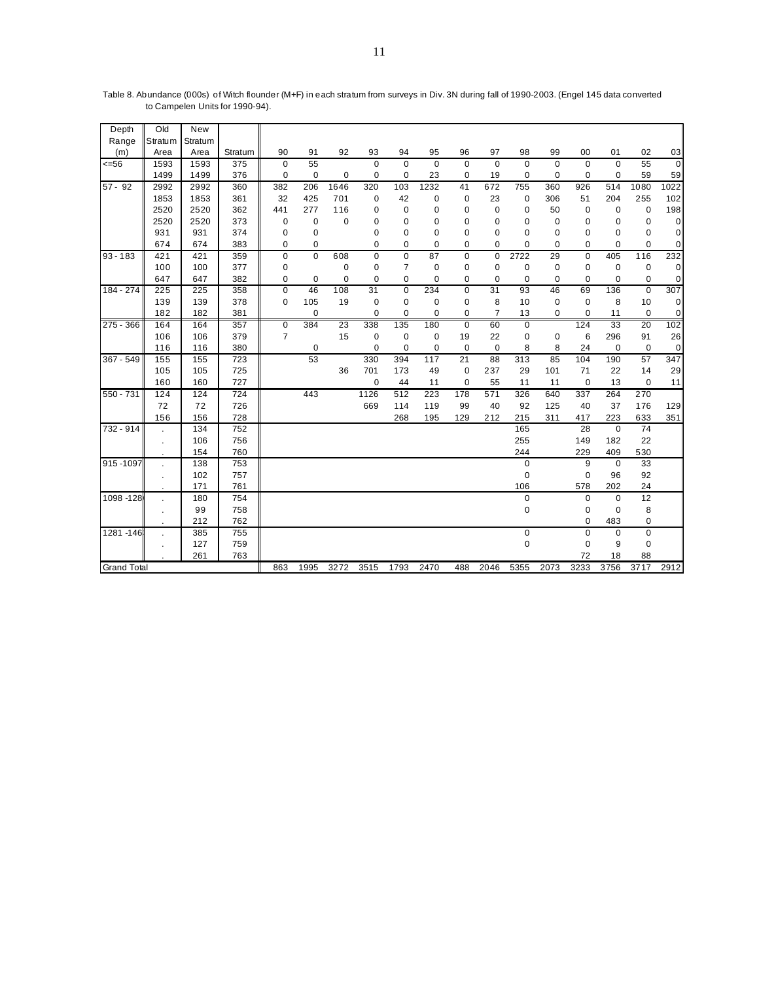| Depth              | Old                  | <b>New</b> |         |                |             |             |             |                |                |             |                  |             |                |             |             |                 |                |
|--------------------|----------------------|------------|---------|----------------|-------------|-------------|-------------|----------------|----------------|-------------|------------------|-------------|----------------|-------------|-------------|-----------------|----------------|
| Range              | Stratum              | Stratum    |         |                |             |             |             |                |                |             |                  |             |                |             |             |                 |                |
| (m)                | Area                 | Area       | Stratum | 90             | 91          | 92          | 93          | 94             | 95             | 96          | 97               | 98          | 99             | 00          | 01          | 02              | 03             |
| $= 56$             | 1593                 | 1593       | 375     | $\mathbf 0$    | 55          |             | $\Omega$    | $\Omega$       | $\overline{0}$ | $\mathbf 0$ | $\mathbf 0$      | $\mathbf 0$ | $\overline{0}$ | $\mathbf 0$ | $\mathbf 0$ | $\overline{55}$ | $\overline{0}$ |
|                    | 1499                 | 1499       | 376     | $\pmb{0}$      | 0           | 0           | 0           | 0              | 23             | 0           | 19               | 0           | 0              | 0           | $\mathbf 0$ | 59              | 59             |
| $57 - 92$          | 2992                 | 2992       | 360     | 382            | 206         | 1646        | 320         | 103            | 1232           | 41          | 672              | 755         | 360            | 926         | 514         | 1080            | 1022           |
|                    | 1853                 | 1853       | 361     | 32             | 425         | 701         | 0           | 42             | 0              | $\mathbf 0$ | 23               | 0           | 306            | 51          | 204         | 255             | 102            |
|                    | 2520                 | 2520       | 362     | 441            | 277         | 116         | 0           | $\pmb{0}$      | 0              | 0           | 0                | 0           | 50             | $\mathbf 0$ | 0           | $\pmb{0}$       | 198            |
|                    | 2520                 | 2520       | 373     | 0              | 0           | $\mathbf 0$ | 0           | 0              | 0              | 0           | 0                | 0           | 0              | 0           | 0           | 0               | 0              |
|                    | 931                  | 931        | 374     | 0              | 0           |             | 0           | $\mathbf 0$    | 0              | $\mathbf 0$ | 0                | 0           | 0              | 0           | 0           | $\pmb{0}$       | $\mathbf 0$    |
|                    | 674                  | 674        | 383     | 0              | 0           |             | $\mathbf 0$ | 0              | 0              | 0           | 0                | 0           | 0              | 0           | $\mathbf 0$ | $\pmb{0}$       | $\mathbf 0$    |
| $93 - 183$         | 421                  | 421        | 359     | $\pmb{0}$      | $\mathbf 0$ | 608         | 0           | $\mathbf 0$    | 87             | $\mathbf 0$ | $\mathbf 0$      | 2722        | 29             | $\mathbf 0$ | 405         | 116             | 232            |
|                    | 100                  | 100        | 377     | 0              |             | $\mathbf 0$ | 0           | $\overline{7}$ | $\mathbf 0$    | $\mathbf 0$ | $\mathbf 0$      | $\mathbf 0$ | $\mathbf 0$    | $\mathbf 0$ | $\mathbf 0$ | $\pmb{0}$       | $\mathbf 0$    |
|                    | 647                  | 647        | 382     | 0              | 0           | 0           | 0           | 0              | 0              | 0           | 0                | $\mathbf 0$ | 0              | 0           | $\mathbf 0$ | 0               | $\mathbf 0$    |
| 184 - 274          | 225                  | 225        | 358     | $\mathbf 0$    | 46          | 108         | 31          | $\mathbf 0$    | 234            | $\mathbf 0$ | 31               | 93          | 46             | 69          | 136         | $\pmb{0}$       | 307            |
|                    | 139                  | 139        | 378     | $\mathbf 0$    | 105         | 19          | 0           | $\mathbf 0$    | 0              | $\mathbf 0$ | 8                | 10          | $\pmb{0}$      | $\mathbf 0$ | 8           | 10              | 0              |
|                    | 182                  | 182        | 381     |                | 0           |             | $\mathbf 0$ | 0              | 0              | $\mathbf 0$ | $\overline{7}$   | 13          | $\mathbf 0$    | $\mathbf 0$ | 11          | $\pmb{0}$       | $\mathbf 0$    |
| 275 - 366          | 164                  | 164        | 357     | $\mathbf 0$    | 384         | 23          | 338         | 135            | 180            | $\mathbf 0$ | 60               | $\mathbf 0$ |                | 124         | 33          | 20              | 102            |
|                    | 106                  | 106        | 379     | $\overline{7}$ |             | 15          | $\mathbf 0$ | $\mathbf 0$    | $\mathbf 0$    | 19          | 22               | $\mathbf 0$ | 0              | 6           | 296         | 91              | 26             |
|                    | 116                  | 116        | 380     |                | 0           |             | $\mathbf 0$ | 0              | 0              | $\mathbf 0$ | $\mathbf 0$      | 8           | 8              | 24          | 0           | 0               | $\mathbf 0$    |
| 367 - 549          | 155                  | 155        | 723     |                | 53          |             | 330         | 394            | 117            | 21          | 88               | 313         | 85             | 104         | 190         | 57              | 347            |
|                    | 105                  | 105        | 725     |                |             | 36          | 701         | 173            | 49             | $\mathbf 0$ | 237              | 29          | 101            | 71          | 22          | 14              | 29             |
|                    | 160                  | 160        | 727     |                |             |             | $\mathbf 0$ | 44             | 11             | $\mathbf 0$ | 55               | 11          | 11             | $\mathbf 0$ | 13          | $\pmb{0}$       | 11             |
| 550 - 731          | 124                  | 124        | 724     |                | 443         |             | 1126        | 512            | 223            | 178         | $\overline{571}$ | 326         | 640            | 337         | 264         | 270             |                |
|                    | 72                   | 72         | 726     |                |             |             | 669         | 114            | 119            | 99          | 40               | 92          | 125            | 40          | 37          | 176             | 129            |
|                    | 156                  | 156        | 728     |                |             |             |             | 268            | 195            | 129         | 212              | 215         | 311            | 417         | 223         | 633             | 351            |
| 732 - 914          |                      | 134        | 752     |                |             |             |             |                |                |             |                  | 165         |                | 28          | $\mathbf 0$ | $\overline{74}$ |                |
|                    |                      | 106        | 756     |                |             |             |             |                |                |             |                  | 255         |                | 149         | 182         | 22              |                |
|                    |                      | 154        | 760     |                |             |             |             |                |                |             |                  | 244         |                | 229         | 409         | 530             |                |
| 915-1097           |                      | 138        | 753     |                |             |             |             |                |                |             |                  | 0           |                | 9           | $\mathbf 0$ | 33              |                |
|                    | $\ddot{\phantom{a}}$ | 102        | 757     |                |             |             |             |                |                |             |                  | $\mathbf 0$ |                | 0           | 96          | 92              |                |
|                    |                      | 171        | 761     |                |             |             |             |                |                |             |                  | 106         |                | 578         | 202         | 24              |                |
| 1098 - 128         |                      | 180        | 754     |                |             |             |             |                |                |             |                  | $\mathbf 0$ |                | $\mathbf 0$ | $\mathbf 0$ | 12              |                |
|                    |                      | 99         | 758     |                |             |             |             |                |                |             |                  | 0           |                | 0           | $\mathbf 0$ | 8               |                |
|                    |                      | 212        | 762     |                |             |             |             |                |                |             |                  |             |                | 0           | 483         | 0               |                |
| 1281 - 146         |                      | 385        | 755     |                |             |             |             |                |                |             |                  | 0           |                | $\pmb{0}$   | $\mathbf 0$ | $\pmb{0}$       |                |
|                    |                      | 127        | 759     |                |             |             |             |                |                |             |                  | $\mathbf 0$ |                | 0           | 9           | $\pmb{0}$       |                |
|                    |                      | 261        | 763     |                |             |             |             |                |                |             |                  |             |                | 72          | 18          | 88              |                |
| <b>Grand Total</b> |                      |            |         | 863            | 1995        | 3272        | 3515        | 1793           | 2470           | 488         | 2046             | 5355        | 2073           | 3233        | 3756        | 3717            | 2912           |

Table 8. Abundance (000s) of Witch flounder (M+F) in each stratum from surveys in Div. 3N during fall of 1990-2003. (Engel 145 data converted to Campelen Units for 1990-94).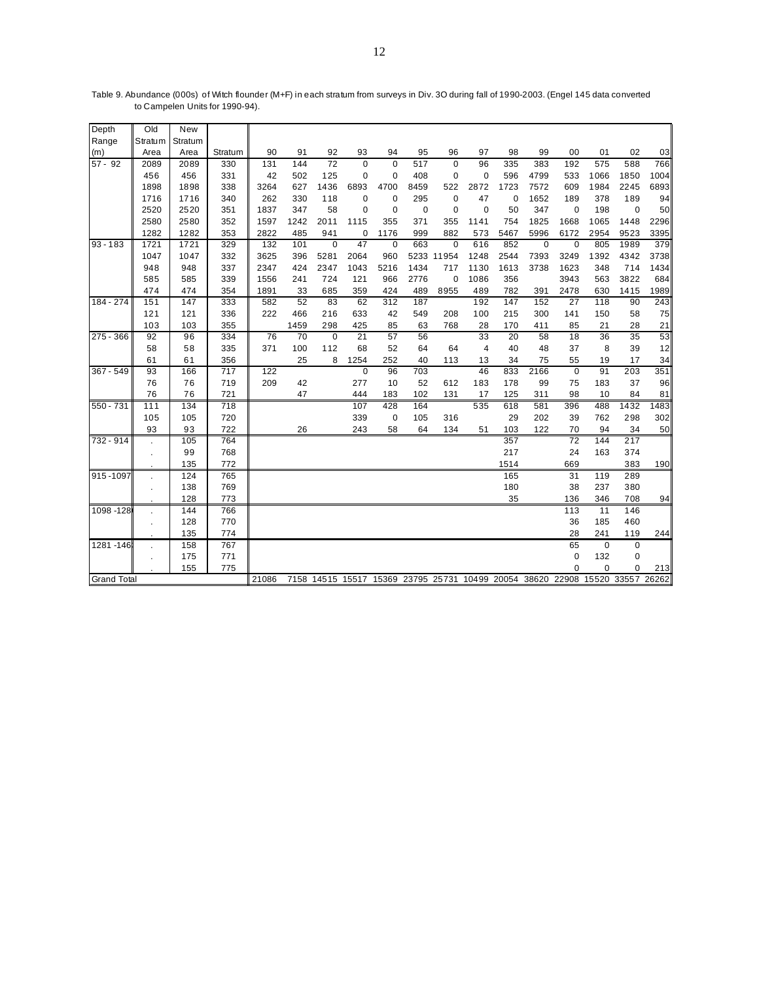| Depth              | Old            | <b>New</b> |         |       |      |             |                 |             |      |             |                                                            |      |             |                 |             |                   |      |
|--------------------|----------------|------------|---------|-------|------|-------------|-----------------|-------------|------|-------------|------------------------------------------------------------|------|-------------|-----------------|-------------|-------------------|------|
| Range              | Stratum        | Stratum    |         |       |      |             |                 |             |      |             |                                                            |      |             |                 |             |                   |      |
| (m)                | Area           | Area       | Stratum | 90    | 91   | 92          | 93              | 94          | 95   | 96          | 97                                                         | 98   | 99          | 00              | 01          | 02                | 03   |
| $57 - 92$          | 2089           | 2089       | 330     | 131   | 144  | 72          | $\mathbf 0$     | $\Omega$    | 517  | $\mathbf 0$ | 96                                                         | 335  | 383         | 192             | 575         | 588               | 766  |
|                    | 456            | 456        | 331     | 42    | 502  | 125         | $\mathbf 0$     | $\mathbf 0$ | 408  | $\mathbf 0$ | $\mathbf 0$                                                | 596  | 4799        | 533             | 1066        | 1850              | 1004 |
|                    | 1898           | 1898       | 338     | 3264  | 627  | 1436        | 6893            | 4700        | 8459 | 522         | 2872                                                       | 1723 | 7572        | 609             | 1984        | 2245              | 6893 |
|                    | 1716           | 1716       | 340     | 262   | 330  | 118         | 0               | 0           | 295  | $\mathbf 0$ | 47                                                         | 0    | 1652        | 189             | 378         | 189               | 94   |
|                    | 2520           | 2520       | 351     | 1837  | 347  | 58          | 0               | $\pmb{0}$   | 0    | $\mathbf 0$ | 0                                                          | 50   | 347         | 0               | 198         | 0                 | 50   |
|                    | 2580           | 2580       | 352     | 1597  | 1242 | 2011        | 1115            | 355         | 371  | 355         | 1141                                                       | 754  | 1825        | 1668            | 1065        | 1448              | 2296 |
|                    | 1282           | 1282       | 353     | 2822  | 485  | 941         | 0               | 1176        | 999  | 882         | 573                                                        | 5467 | 5996        | 6172            | 2954        | 9523              | 3395 |
| $93 - 183$         | 1721           | 1721       | 329     | 132   | 101  | $\Omega$    | 47              | $\mathbf 0$ | 663  | $\mathbf 0$ | 616                                                        | 852  | $\mathbf 0$ | 0               | 805         | 1989              | 379  |
|                    | 1047           | 1047       | 332     | 3625  | 396  | 5281        | 2064            | 960         |      | 5233 11954  | 1248                                                       | 2544 | 7393        | 3249            | 1392        | 4342              | 3738 |
|                    | 948            | 948        | 337     | 2347  | 424  | 2347        | 1043            | 5216        | 1434 | 717         | 1130                                                       | 1613 | 3738        | 1623            | 348         | 714               | 1434 |
|                    | 585            | 585        | 339     | 1556  | 241  | 724         | 121             | 966         | 2776 | $\mathbf 0$ | 1086                                                       | 356  |             | 3943            | 563         | 3822              | 684  |
|                    | 474            | 474        | 354     | 1891  | 33   | 685         | 359             | 424         | 489  | 8955        | 489                                                        | 782  | 391         | 2478            | 630         | 1415              | 1989 |
| 184 - 274          | 151            | 147        | 333     | 582   | 52   | 83          | 62              | 312         | 187  |             | 192                                                        | 147  | 152         | 27              | 118         | 90                | 243  |
|                    | 121            | 121        | 336     | 222   | 466  | 216         | 633             | 42          | 549  | 208         | 100                                                        | 215  | 300         | 141             | 150         | 58                | 75   |
|                    | 103            | 103        | 355     |       | 1459 | 298         | 425             | 85          | 63   | 768         | 28                                                         | 170  | 411         | 85              | 21          | 28                | 21   |
| $275 - 366$        | 92             | 96         | 334     | 76    | 70   | $\mathbf 0$ | $\overline{21}$ | 57          | 56   |             | $\overline{33}$                                            | 20   | 58          | $\overline{18}$ | 36          | 35                | 53   |
|                    | 58             | 58         | 335     | 371   | 100  | 112         | 68              | 52          | 64   | 64          | $\overline{4}$                                             | 40   | 48          | 37              | 8           | 39                | 12   |
|                    | 61             | 61         | 356     |       | 25   | 8           | 1254            | 252         | 40   | 113         | 13                                                         | 34   | 75          | 55              | 19          | 17                | 34   |
| 367 - 549          | 93             | 166        | 717     | 122   |      |             | $\pmb{0}$       | 96          | 703  |             | 46                                                         | 833  | 2166        | 0               | 91          | 203               | 351  |
|                    | 76             | 76         | 719     | 209   | 42   |             | 277             | 10          | 52   | 612         | 183                                                        | 178  | 99          | 75              | 183         | 37                | 96   |
|                    | 76             | 76         | 721     |       | 47   |             | 444             | 183         | 102  | 131         | 17                                                         | 125  | 311         | 98              | 10          | 84                | 81   |
| 550 - 731          | 111            | 134        | 718     |       |      |             | 107             | 428         | 164  |             | 535                                                        | 618  | 581         | 396             | 488         | 1432              | 1483 |
|                    | 105            | 105        | 720     |       |      |             | 339             | 0           | 105  | 316         |                                                            | 29   | 202         | 39              | 762         | 298               | 302  |
|                    | 93             | 93         | 722     |       | 26   |             | 243             | 58          | 64   | 134         | 51                                                         | 103  | 122         | 70              | 94          | 34                | 50   |
| 732 - 914          |                | 105        | 764     |       |      |             |                 |             |      |             |                                                            | 357  |             | 72              | 144         | 217               |      |
|                    | $\blacksquare$ | 99         | 768     |       |      |             |                 |             |      |             |                                                            | 217  |             | 24              | 163         | 374               |      |
|                    |                | 135        | 772     |       |      |             |                 |             |      |             |                                                            | 1514 |             | 669             |             | 383               | 190  |
| $915 - 1097$       |                | 124        | 765     |       |      |             |                 |             |      |             |                                                            | 165  |             | 31              | 119         | 289               |      |
|                    | $\blacksquare$ | 138        | 769     |       |      |             |                 |             |      |             |                                                            | 180  |             | 38              | 237         | 380               |      |
|                    |                | 128        | 773     |       |      |             |                 |             |      |             |                                                            | 35   |             | 136             | 346         | 708               | 94   |
| 1098 - 128         |                | 144        | 766     |       |      |             |                 |             |      |             |                                                            |      |             | 113             | 11          | 146               |      |
|                    | $\blacksquare$ | 128        | 770     |       |      |             |                 |             |      |             |                                                            |      |             | 36              | 185         | 460               |      |
|                    |                | 135        | 774     |       |      |             |                 |             |      |             |                                                            |      |             | 28              | 241         | 119               | 244  |
| 1281-146           |                | 158        | 767     |       |      |             |                 |             |      |             |                                                            |      |             | 65              | $\mathbf 0$ | $\pmb{0}$         |      |
|                    | $\blacksquare$ | 175        | 771     |       |      |             |                 |             |      |             |                                                            |      |             | 0               | 132         | 0                 |      |
|                    |                | 155        | 775     |       |      |             |                 |             |      |             |                                                            |      |             | $\mathbf 0$     | $\mathbf 0$ | 0                 | 213  |
| <b>Grand Total</b> |                |            |         | 21086 |      |             |                 |             |      |             | 7158 14515 15517 15369 23795 25731 10499 20054 38620 22908 |      |             |                 |             | 15520 33557 26262 |      |

Table 9. Abundance (000s) of Witch flounder (M+F) in each stratum from surveys in Div. 3O during fall of 1990-2003. (Engel 145 data converted to Campelen Units for 1990-94).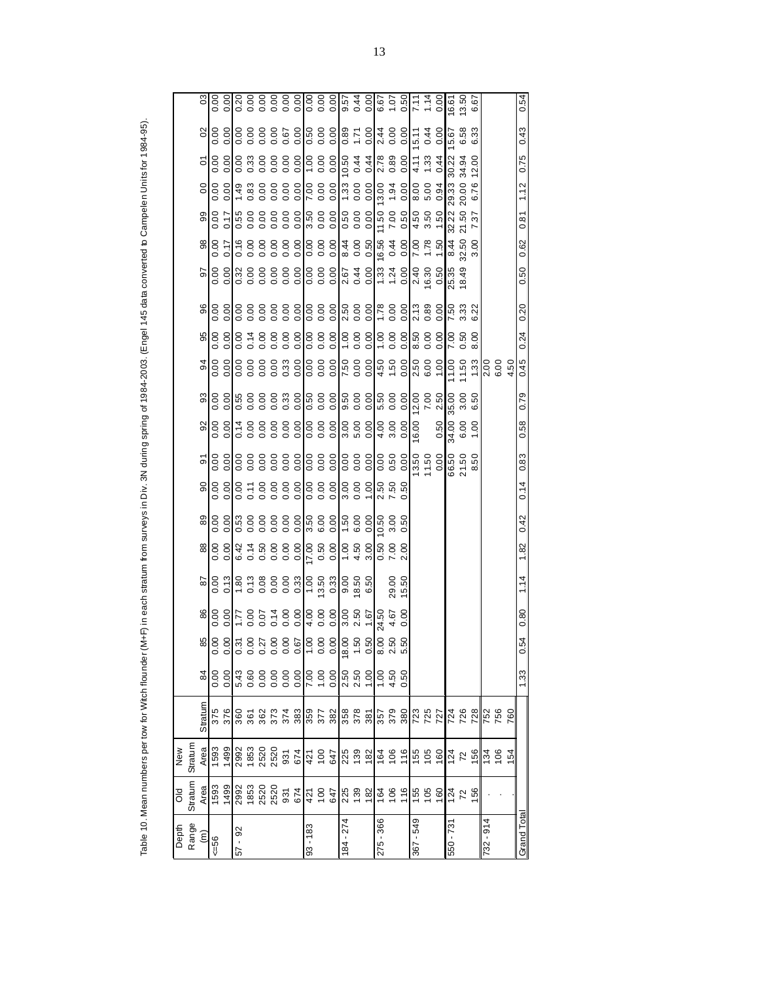|                  |                |                   | Table 10. Mean numbers per tow for Witch flounder |              |                                                                                       |                    |                  |         |               |                |                | (M+F) in each stratum from surveys in Div. 3N during spring of 1984-2003. (Engel 145 data converted to Campelen Units for 1984-95). |                |                |                |      |                |                 |                    |                |                |                      |                                           |
|------------------|----------------|-------------------|---------------------------------------------------|--------------|---------------------------------------------------------------------------------------|--------------------|------------------|---------|---------------|----------------|----------------|-------------------------------------------------------------------------------------------------------------------------------------|----------------|----------------|----------------|------|----------------|-----------------|--------------------|----------------|----------------|----------------------|-------------------------------------------|
|                  |                |                   |                                                   |              |                                                                                       |                    |                  |         |               |                |                |                                                                                                                                     |                |                |                |      |                |                 |                    |                |                |                      |                                           |
| Depth            | ŏ              | New               |                                                   |              |                                                                                       |                    |                  |         |               |                |                |                                                                                                                                     |                |                |                |      |                |                 |                    |                |                |                      |                                           |
| Range            | Stratum        | Stratum           |                                                   |              |                                                                                       |                    |                  |         |               |                |                |                                                                                                                                     |                |                |                |      |                |                 |                    |                |                |                      |                                           |
| έ                | Area           | Area              | Stratum                                           | 84           | 85                                                                                    | 86                 | 28               | $_{88}$ | 89            | $\overline{6}$ | $\overline{5}$ | 92                                                                                                                                  | 93             | 94             | 95             | 96   | 5              | 88              | 8                  | $\overline{0}$ | $\overline{0}$ | $\mathcal{S}$        | පි                                        |
| $56 =$           | 1593           | <b>593</b>        | 375                                               | 0.00         |                                                                                       |                    | 0.00             | 0.00    | 0.00          | 0.00           | 0.00           | 0.00                                                                                                                                | $\frac{8}{10}$ | 0.00           | 0.00           | 0.00 | 0.00           | 0.00            | 0.00               | 0.00           | 0.00           | 0.00                 | 0.00                                      |
|                  | 1499           | 1499              | 376                                               | 0.00         |                                                                                       |                    | 0.13             | 0.00    | 0.00          | 0.00           | 0.00           | 0.00                                                                                                                                | 0.00           | 0.00           | 0.00           | 0.00 | 0.00           | 0.17            | 0.17               | 0.00           | 0.00           | 0.00                 | 0.00                                      |
| $\infty$<br>- 19 | 2992           | 2992              | 360                                               | 5.43         |                                                                                       | $\frac{21}{10000}$ | $\frac{180}{15}$ | 6.42    | $\frac{6}{3}$ | 0.00           | 0.00           | $\frac{1}{14}$                                                                                                                      | 0.55           | 0.00           | $\frac{8}{10}$ | 0.00 | 0.32           | $\frac{16}{16}$ | 0.55               | 1.49           | 0.00           | 0.00                 | $\frac{1}{0.20}$                          |
|                  | 1853           | 1853              | 361                                               | 0.60         |                                                                                       | 0.00               |                  | 0.14    | 0.00          | 0.11           |                | 0.00                                                                                                                                | 0.00           | 0.00           | 0.14           | 0.00 | 0.00           | 0.00            | 0.00               | 0.83           | 0.33           | 0.00                 | 0.00                                      |
|                  | 2520           | 2520              | 362                                               | 0.00         |                                                                                       | 0.14               |                  | 0.50    |               | 0.00           |                |                                                                                                                                     | 0.00           | 0.00           |                | 0.00 | 0.00           | 0.00            | 0.00               | 0.00           | 0.00           | 0.00                 | 0.00                                      |
|                  | 2520           | 2520              |                                                   |              |                                                                                       |                    |                  | 0.00    |               | 0.00           |                |                                                                                                                                     | 0.00           | 0.00           | 0.00000        | 0.00 | 0.00           | 0.00            | 0.00               | 0.00           | 0.00           |                      | 0.00                                      |
|                  | 931            | 931               | 373<br>374                                        | 0.00         | 0<br>0<br>0<br>0 0 0 0 0 0 0 0 0 0 0 0 0 0 0 0<br>0 0 0 0 0 0 0 0 0 0 0 0 0 0 0 0 0 0 | 0.00               | 13800033         | 0.00    | 888           | 0.00           |                | 0.00                                                                                                                                | 0.33           | 0.33           | 0.00           | 0.00 | 0.00           | 0.00            | 0.00               | 0.00           | 0.00           | 0.67                 | 0.00                                      |
|                  | 674            | 674               | 383                                               | 0.00         |                                                                                       | 0.00               |                  | 0.00    | 0.00          | 0.00           | 0.00           | 0.00                                                                                                                                | 0.00           | 0.00           | 0.00           | 0.00 | 0.00           | 0.00            | 0.00               | 0.00           | 0.00           | 0.00                 | 0.00                                      |
| $93 - 183$       | 421            |                   |                                                   |              |                                                                                       |                    | 1.00             | 17.00   |               | 0.00           | 0.00           | 0.00                                                                                                                                | 0.50           | 0.00           | 0.00           | 0.00 |                | 0.00            |                    | 7.00           | 00.1           |                      | 0.00                                      |
|                  | 100            | 421<br>100        | 359<br>377                                        | 00'L<br>00'Z |                                                                                       | 0.00               | 3.50             | 0.50    | 3.50<br>6.00  | 0.00           | 0.00           | 0.00                                                                                                                                | 0.00           | 0.00           | 0.00           | 0.00 | 8<br>0.00      | 0.00            | 000<br>000<br>05 E | 0.00           | 0.00           | 0.00<br>00.0<br>03.0 | 0.00                                      |
|                  | 647            | 647               | 382                                               | 0.00         | $\frac{80}{90}$ $\frac{80}{90}$ $\frac{80}{90}$ $\frac{80}{90}$                       | 0.00               | 0.33             | 0.00    | 0.00          | 0.00           | 0.00           | 0.00                                                                                                                                | 0.00           | 0.00           | 0.00           | 0.00 | 0.00           | 0.00            |                    | 0.00           | 0.00           |                      | 0.00                                      |
| $184 - 274$      | 225            | 225               |                                                   | 2.50         |                                                                                       | 3.00               | 9.00             | 00.1    | 1.50          | 3.00           |                | 3.00                                                                                                                                | 9.50           | 7.50           | 00.1           | 2.50 | 2.67           | 8.44            | 0.50               | 1.33           | 10.50          |                      | 9.57                                      |
|                  | 139            | 139               | 358<br>378                                        | 2.50         |                                                                                       | 2.50               | 8.50<br>6.50     | 4.50    | 6.00          | 0.00           | 0.00<br>0.00   | 5.00                                                                                                                                | 0.00           | 0.00           | 0.00           | 0.00 | 0.44           | 0.00            | 0.00000            | 0.00           | 0.44           | 1.71<br>0.89         | $\frac{9}{4}$ $\frac{9}{8}$ $\frac{6}{2}$ |
|                  | $\frac{82}{2}$ | 182               |                                                   | 00.1         |                                                                                       | 1.67               |                  | 3.00    | 0.00          | 00.1           | 0.00           | 0.00                                                                                                                                | 0.00           | 0.00           | 0.00           | 0.00 | 0.00           | 0.50            |                    |                | 0.44           | 0.00                 |                                           |
| 275 - 366        | 164            |                   | $rac{25}{25}$                                     | 00.1         |                                                                                       | 24.50              |                  | 0.50    | 10.50         | 2.50           | 0.00           | 4.00                                                                                                                                | 5.50           |                | 00.1           | 1.78 | 1.33           | 16.56           | 11.50              | 13.00          | 2.78           | 2.44                 |                                           |
|                  | 106            | $\frac{164}{106}$ |                                                   | 4.50         | 50                                                                                    | 4.67               | 29.00            | 7.00    | 3.00          | 7.50           | 0.50           | 3.00                                                                                                                                | 0.00           | $4.50$<br>1.50 | 0.00           | 0.00 | 1.24           | 0.44            | 7.00               | 1.94           | 0.89           | 0.00                 | 1.07                                      |
|                  | 116            | 116               | 380                                               | 0.50         | 50                                                                                    | 0.00               | 15.50            | 2.00    | 0.50          | 0.50           | 0.00           | 0.00                                                                                                                                | 0.00           | 0.00           | 0.00           | 0.00 | 0.00           | 0.00            | 0.50               | 0.00           | 0.00           | 0.00                 | 0.50                                      |
| 367 - 549        | 155            | $155$<br>105      | 723<br>725                                        |              |                                                                                       |                    |                  |         |               |                | 13.50          | 16.00                                                                                                                               | 12.00          | 2.50           | 8.50           | 2.13 | 2.40           | 7.00            | 4.50               | 8.00           | 4.11           | 5.11                 | 7.11                                      |
|                  | 105            |                   |                                                   |              |                                                                                       |                    |                  |         |               |                | 11.50          |                                                                                                                                     | 7.00           | 6.00           | 0.00           | 0.89 | 16.30          | 1.78            | 3.50               | 5.00           | 1.33           | 0.44                 | 1.14                                      |
|                  | 160            | 160               | 727                                               |              |                                                                                       |                    |                  |         |               |                | 0.00           | 0.50                                                                                                                                | 2.50           | 00.1           | 0.00           | 0.00 | 0.50           | 1.50            | 1.50               | 0.94           | 0.44           | 0.00                 | 0.00                                      |
| 550 - 731        | 124            | $\frac{124}{72}$  | 724<br>726                                        |              |                                                                                       |                    |                  |         |               |                | 66.50          | 34.00                                                                                                                               | 35.00          | 11.00          | 7.00           | 7.50 | 25.35<br>18.49 | 8.44            | 32.22              | 29.33          | 30.22          | 5.67                 | 6.61                                      |
|                  | 72             |                   |                                                   |              |                                                                                       |                    |                  |         |               |                | 21.50          | 6.00                                                                                                                                | 3.00           | 11.50          | 0.50           | 3.33 |                | 32.50           | 21.50              | 20.00          | 34.94          | 6.58                 | 13.50                                     |
|                  | 156            | 156               | 728                                               |              |                                                                                       |                    |                  |         |               |                | 8.50           | 1.00                                                                                                                                | 6.50           | 1.33           | 8.00           | 6.22 |                | 3.00            | 7.37               | 6.76           | 12.00          | 6.33                 | 6.67                                      |
| $732 - 914$      |                | 134               | 752<br>756                                        |              |                                                                                       |                    |                  |         |               |                |                |                                                                                                                                     |                | 2.00           |                |      |                |                 |                    |                |                |                      |                                           |
|                  |                | 106               |                                                   |              |                                                                                       |                    |                  |         |               |                |                |                                                                                                                                     |                | 6.00           |                |      |                |                 |                    |                |                |                      |                                           |
|                  |                | <b>154</b>        | 760                                               |              |                                                                                       |                    |                  |         |               |                |                |                                                                                                                                     |                | 4.50           |                |      |                |                 |                    |                |                |                      |                                           |
| Grand Total      |                |                   |                                                   | 1.33         | 54<br>$\circ$                                                                         | 0.80               | 1.14             | 1.82    | 0.42          | 0.14           | 0.83           | 0.58                                                                                                                                | 0.79           | 0.45           | 0.24           | 0.20 | 0.50           | 0.62            | 0.81               | 1.12           | 0.75           | 0.43                 | 0.54                                      |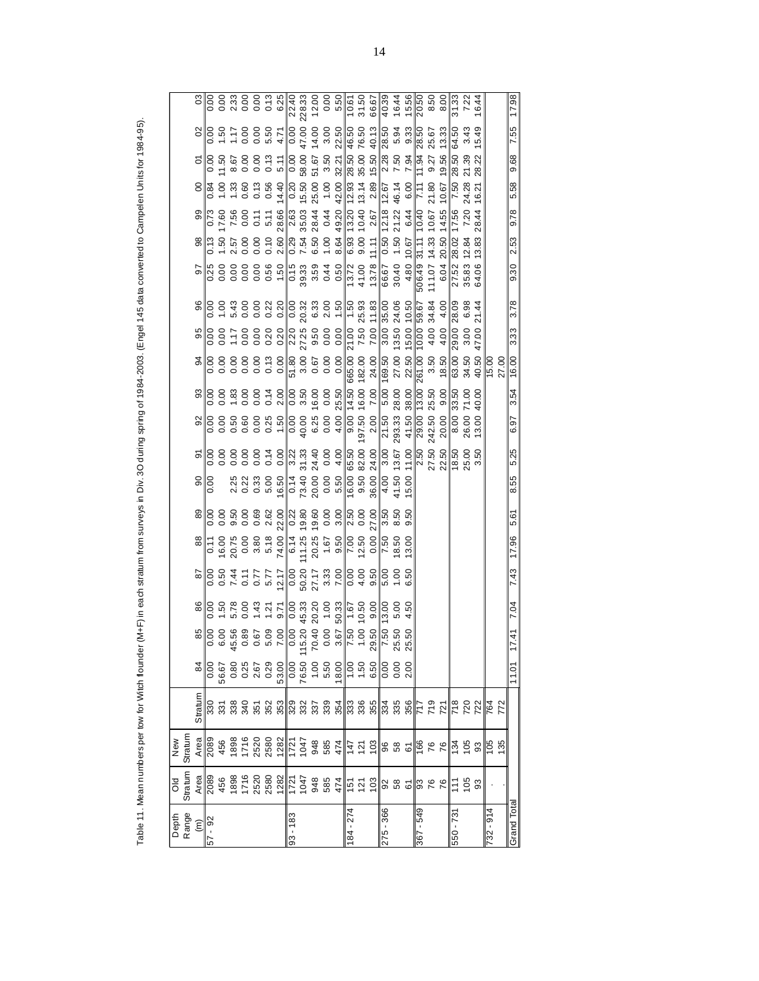| Depth<br>Range               | ŏ                                                                                                                                                                                                                                                                                                                                                    | New      |                                                                                                                       |       |                      |                    |                 |       |                            |                      |                                                                               |                                                                                                                               |       |                                                                                                                                                                                                                                                                        |       |                                                                                                                                                                                                                                                                                                          |                                               |                                                                                                                                                       |                                                                                                                     |                                                                            |                                         |                                                 |                                                                                          |
|------------------------------|------------------------------------------------------------------------------------------------------------------------------------------------------------------------------------------------------------------------------------------------------------------------------------------------------------------------------------------------------|----------|-----------------------------------------------------------------------------------------------------------------------|-------|----------------------|--------------------|-----------------|-------|----------------------------|----------------------|-------------------------------------------------------------------------------|-------------------------------------------------------------------------------------------------------------------------------|-------|------------------------------------------------------------------------------------------------------------------------------------------------------------------------------------------------------------------------------------------------------------------------|-------|----------------------------------------------------------------------------------------------------------------------------------------------------------------------------------------------------------------------------------------------------------------------------------------------------------|-----------------------------------------------|-------------------------------------------------------------------------------------------------------------------------------------------------------|---------------------------------------------------------------------------------------------------------------------|----------------------------------------------------------------------------|-----------------------------------------|-------------------------------------------------|------------------------------------------------------------------------------------------|
|                              | Stratum                                                                                                                                                                                                                                                                                                                                              | Straturr |                                                                                                                       |       |                      |                    |                 |       |                            |                      |                                                                               |                                                                                                                               |       |                                                                                                                                                                                                                                                                        |       |                                                                                                                                                                                                                                                                                                          |                                               |                                                                                                                                                       |                                                                                                                     |                                                                            |                                         |                                                 |                                                                                          |
| $\frac{(\text{m})}{57 - 92}$ |                                                                                                                                                                                                                                                                                                                                                      |          | Stratum                                                                                                               |       |                      |                    |                 |       |                            | $\frac{8}{100}$      |                                                                               |                                                                                                                               |       |                                                                                                                                                                                                                                                                        |       |                                                                                                                                                                                                                                                                                                          |                                               |                                                                                                                                                       |                                                                                                                     |                                                                            |                                         |                                                 |                                                                                          |
|                              |                                                                                                                                                                                                                                                                                                                                                      |          |                                                                                                                       |       |                      |                    |                 |       |                            |                      |                                                                               |                                                                                                                               |       |                                                                                                                                                                                                                                                                        |       |                                                                                                                                                                                                                                                                                                          |                                               |                                                                                                                                                       |                                                                                                                     |                                                                            |                                         |                                                 |                                                                                          |
|                              |                                                                                                                                                                                                                                                                                                                                                      |          |                                                                                                                       |       |                      |                    |                 |       |                            |                      |                                                                               |                                                                                                                               |       |                                                                                                                                                                                                                                                                        |       |                                                                                                                                                                                                                                                                                                          |                                               |                                                                                                                                                       |                                                                                                                     |                                                                            |                                         |                                                 |                                                                                          |
|                              |                                                                                                                                                                                                                                                                                                                                                      |          |                                                                                                                       |       |                      |                    |                 |       |                            |                      |                                                                               |                                                                                                                               |       |                                                                                                                                                                                                                                                                        |       |                                                                                                                                                                                                                                                                                                          |                                               |                                                                                                                                                       |                                                                                                                     |                                                                            |                                         |                                                 |                                                                                          |
|                              |                                                                                                                                                                                                                                                                                                                                                      |          |                                                                                                                       |       |                      |                    |                 |       |                            |                      |                                                                               |                                                                                                                               |       |                                                                                                                                                                                                                                                                        |       |                                                                                                                                                                                                                                                                                                          |                                               |                                                                                                                                                       |                                                                                                                     |                                                                            |                                         |                                                 |                                                                                          |
|                              |                                                                                                                                                                                                                                                                                                                                                      |          |                                                                                                                       |       |                      |                    |                 |       |                            |                      |                                                                               | $\frac{8}{8}$ $\frac{8}{8}$ $\frac{8}{8}$ $\frac{8}{8}$ $\frac{8}{8}$ $\frac{8}{8}$ $\frac{8}{8}$ $\frac{8}{8}$ $\frac{8}{8}$ |       |                                                                                                                                                                                                                                                                        |       |                                                                                                                                                                                                                                                                                                          |                                               | $\frac{8}{10}$ $\frac{8}{10}$ $\frac{6}{10}$ $\frac{5}{10}$ $\frac{6}{10}$ $\frac{6}{10}$ $\frac{6}{10}$ $\frac{6}{10}$ $\frac{6}{10}$ $\frac{6}{10}$ |                                                                                                                     |                                                                            | 0.00                                    |                                                 |                                                                                          |
|                              | $\begin{array}{l} \frac{16}{608} \frac{16}{608} \frac{16}{608} \frac{16}{608} \frac{16}{608} \frac{16}{608} \frac{16}{608} \frac{16}{608} \frac{16}{608} \frac{16}{608} \frac{16}{608} \frac{16}{608} \frac{16}{608} \frac{16}{608} \frac{16}{608} \frac{16}{608} \frac{16}{608} \frac{16}{608} \frac{16}{608} \frac{16}{608} \frac{16}{608} \frac{$ |          | <u>និង ទី ទី ក្នុង ក្នុង នៃ ទី ទី ក្នុង ក្នុង ទី ក្នុង ក្នុង ក្នុង ក្នុង ក្នុង ក្នុង ក្នុង ក្នុង ក្នុង ក្នុង ក្នុ</u> |       |                      |                    |                 |       |                            |                      |                                                                               |                                                                                                                               |       | $\begin{array}{rrrrrrrr} & 94 & 95 \\ \hline 0.00 & 0.00 & 0.00 \\ 0.00 & 0.00 & 0.01 \\ 0.00 & 0.00 & 0.00 \\ 0.00 & 0.00 & 0.20 \\ 0.01 & 0.00 & 0.20 \\ 0.01 & 0.00 & 0.20 \\ 0.01 & 0.00 & 0.20 \\ 0.00 & 0.00 & 0.00 \\ 0.00 & 0.00 & 0.00 \\ \hline \end{array}$ |       | $88$<br>$88$<br>$88$<br>$89$<br>$89$<br>$89$<br>$89$<br>$89$<br>$89$<br>$89$<br>$89$<br>$89$<br>$89$<br>$89$<br>$89$<br>$89$<br>$89$<br>$89$<br>$89$<br>$89$<br>$89$<br>$89$<br>$89$<br>$89$<br>$89$<br>$89$<br>$89$<br>$89$<br>$89$<br>$89$<br>$89$<br>$89$<br>$89$<br>$89$<br>$89$<br>$89$<br>$89$<br> |                                               |                                                                                                                                                       |                                                                                                                     |                                                                            | 0.13                                    |                                                 |                                                                                          |
|                              |                                                                                                                                                                                                                                                                                                                                                      |          |                                                                                                                       |       |                      |                    |                 |       |                            |                      |                                                                               | $\begin{array}{c c}\n58880 \\ -1050 \\ -1050\n\end{array}$                                                                    |       |                                                                                                                                                                                                                                                                        |       |                                                                                                                                                                                                                                                                                                          |                                               | $\frac{8}{10}$<br>$\frac{8}{10}$<br>$\frac{7}{10}$                                                                                                    |                                                                                                                     |                                                                            |                                         |                                                 |                                                                                          |
| $93 - 183$                   |                                                                                                                                                                                                                                                                                                                                                      |          |                                                                                                                       |       |                      |                    |                 |       |                            |                      |                                                                               |                                                                                                                               |       |                                                                                                                                                                                                                                                                        |       |                                                                                                                                                                                                                                                                                                          |                                               |                                                                                                                                                       |                                                                                                                     |                                                                            |                                         |                                                 |                                                                                          |
|                              |                                                                                                                                                                                                                                                                                                                                                      |          |                                                                                                                       |       |                      |                    |                 |       |                            |                      |                                                                               |                                                                                                                               |       |                                                                                                                                                                                                                                                                        |       |                                                                                                                                                                                                                                                                                                          |                                               |                                                                                                                                                       |                                                                                                                     |                                                                            |                                         |                                                 |                                                                                          |
|                              |                                                                                                                                                                                                                                                                                                                                                      |          |                                                                                                                       |       |                      |                    |                 |       |                            |                      |                                                                               |                                                                                                                               |       |                                                                                                                                                                                                                                                                        |       |                                                                                                                                                                                                                                                                                                          |                                               | 6.50                                                                                                                                                  |                                                                                                                     |                                                                            | $\frac{511}{0.00}$<br>$\frac{67}{0.00}$ |                                                 |                                                                                          |
|                              |                                                                                                                                                                                                                                                                                                                                                      |          |                                                                                                                       |       |                      |                    |                 |       |                            |                      |                                                                               |                                                                                                                               |       |                                                                                                                                                                                                                                                                        |       |                                                                                                                                                                                                                                                                                                          |                                               | 1.00                                                                                                                                                  | 49.20<br>44                                                                                                         | $1.00$<br>42.00                                                            | 3.50                                    |                                                 |                                                                                          |
|                              |                                                                                                                                                                                                                                                                                                                                                      |          |                                                                                                                       |       |                      |                    |                 |       |                            |                      |                                                                               |                                                                                                                               |       |                                                                                                                                                                                                                                                                        |       |                                                                                                                                                                                                                                                                                                          |                                               | 8.64                                                                                                                                                  |                                                                                                                     |                                                                            | 32.21                                   |                                                 |                                                                                          |
| 184 - 274                    |                                                                                                                                                                                                                                                                                                                                                      |          |                                                                                                                       |       |                      |                    |                 |       |                            |                      |                                                                               | $\frac{9.00}{197.50}$                                                                                                         |       |                                                                                                                                                                                                                                                                        |       |                                                                                                                                                                                                                                                                                                          |                                               | $\frac{6.93}{9.00}$ 13.20 $\cdot$                                                                                                                     |                                                                                                                     |                                                                            |                                         |                                                 | $\frac{10.61}{31.50}$                                                                    |
|                              |                                                                                                                                                                                                                                                                                                                                                      |          |                                                                                                                       |       |                      |                    | 0.00<br>4.00    |       | 2.50<br>0.00               | $16.00$<br>9.50      | 65.50<br>05.50                                                                |                                                                                                                               |       |                                                                                                                                                                                                                                                                        |       |                                                                                                                                                                                                                                                                                                          |                                               |                                                                                                                                                       |                                                                                                                     |                                                                            | 28.50<br>35.00                          |                                                 |                                                                                          |
|                              |                                                                                                                                                                                                                                                                                                                                                      |          |                                                                                                                       |       | $\frac{29.50}{7.50}$ | $\frac{800}{1300}$ | 9.50            |       | 27.00                      | $\frac{36.00}{4.50}$ |                                                                               |                                                                                                                               |       |                                                                                                                                                                                                                                                                        |       |                                                                                                                                                                                                                                                                                                          |                                               |                                                                                                                                                       |                                                                                                                     |                                                                            | 15.50                                   |                                                 |                                                                                          |
| 275 - 366                    |                                                                                                                                                                                                                                                                                                                                                      |          |                                                                                                                       |       |                      |                    | $\frac{00}{00}$ |       |                            |                      |                                                                               | $\frac{2.00}{21.50}$                                                                                                          |       |                                                                                                                                                                                                                                                                        |       |                                                                                                                                                                                                                                                                                                          |                                               |                                                                                                                                                       |                                                                                                                     |                                                                            |                                         |                                                 |                                                                                          |
|                              |                                                                                                                                                                                                                                                                                                                                                      |          |                                                                                                                       |       | 25.50<br>25.50       |                    |                 |       | ြီး ပိုး ပိုး<br>ကိုးစံ စံ |                      | $\begin{array}{r}\n 24.00 \\  \hline\n 3.00 \\  \hline\n 13.67\n \end{array}$ | 293.33<br>41.50<br>29.00                                                                                                      |       |                                                                                                                                                                                                                                                                        |       | $\frac{11.83}{15.00}$<br>$\frac{84.50}{10.50}$                                                                                                                                                                                                                                                           |                                               | $\frac{11.11}{0.50}$                                                                                                                                  | $\begin{array}{r l}\n 2.67 \\  \hline\n 12.18 \\  \hline\n 21.22 \\  \hline\n 6.44 \\  \hline\n 0.40\n \end{array}$ | $\begin{array}{c c}\n12.93 \\ 13.14 \\ 2.89 \\ 12.67 \\ 46.0\n\end{array}$ | 2.28<br>7.50<br>7.94                    | $rac{13}{28}$<br>$rac{13}{28}$<br>$rac{33}{28}$ | $\begin{array}{r} 66.67 \\ 40.39 \\ 16.44 \\ 44.56 \\ \hline 6.59 \\ \hline \end{array}$ |
|                              |                                                                                                                                                                                                                                                                                                                                                      |          |                                                                                                                       |       |                      | 4.50               | 6.50            | 13.00 |                            | 15.00                |                                                                               |                                                                                                                               |       |                                                                                                                                                                                                                                                                        |       |                                                                                                                                                                                                                                                                                                          | 4.80 10.67<br>506.49 31.11 1<br>11.07 14.33 1 |                                                                                                                                                       |                                                                                                                     |                                                                            |                                         |                                                 |                                                                                          |
| 367 - 549                    |                                                                                                                                                                                                                                                                                                                                                      |          |                                                                                                                       |       |                      |                    |                 |       |                            |                      | $\frac{11.00}{2.50}$                                                          |                                                                                                                               |       |                                                                                                                                                                                                                                                                        |       |                                                                                                                                                                                                                                                                                                          |                                               |                                                                                                                                                       |                                                                                                                     | 1.11                                                                       | 11.94                                   |                                                 |                                                                                          |
|                              |                                                                                                                                                                                                                                                                                                                                                      |          |                                                                                                                       |       |                      |                    |                 |       |                            |                      | 27.50                                                                         | 242.50                                                                                                                        | 25.50 | 3.50                                                                                                                                                                                                                                                                   | 4.00  | 34.84                                                                                                                                                                                                                                                                                                    |                                               |                                                                                                                                                       | 10.67                                                                                                               | 21.80                                                                      | 9.27                                    | 28.50<br>25.67                                  | 50<br>8.50                                                                               |
|                              |                                                                                                                                                                                                                                                                                                                                                      |          |                                                                                                                       |       |                      |                    |                 |       |                            |                      | 22.50                                                                         | 20.00                                                                                                                         | 9.00  | 18.50                                                                                                                                                                                                                                                                  | 4.00  | 4.00                                                                                                                                                                                                                                                                                                     | 6.04                                          | 20.50 14.55<br>28.02 17.56                                                                                                                            |                                                                                                                     | 10.67                                                                      | 19.56                                   | 13.33                                           |                                                                                          |
| 550 - 731                    |                                                                                                                                                                                                                                                                                                                                                      |          |                                                                                                                       |       |                      |                    |                 |       |                            |                      | 18.50                                                                         | $\frac{8}{6}$                                                                                                                 | 33.50 | 63.00                                                                                                                                                                                                                                                                  | 29.00 | 28.09                                                                                                                                                                                                                                                                                                    | 27.52                                         |                                                                                                                                                       |                                                                                                                     | 7.50                                                                       | 28.50                                   | 64.50                                           | 31.33                                                                                    |
|                              | 58                                                                                                                                                                                                                                                                                                                                                   |          |                                                                                                                       |       |                      |                    |                 |       |                            |                      | 25.00<br>3.50                                                                 | 26.00                                                                                                                         | 71.00 | 34.50                                                                                                                                                                                                                                                                  | 3.00  | 6.98                                                                                                                                                                                                                                                                                                     | 35.83 12.84                                   |                                                                                                                                                       | 720                                                                                                                 | 24.28                                                                      | 21.39                                   | 3.43                                            | 7.22                                                                                     |
|                              |                                                                                                                                                                                                                                                                                                                                                      |          |                                                                                                                       |       |                      |                    |                 |       |                            |                      |                                                                               | 13.00                                                                                                                         | 40.00 | 40.50                                                                                                                                                                                                                                                                  | 47.00 | 21.44                                                                                                                                                                                                                                                                                                    | 64.06                                         | 13.83                                                                                                                                                 | 28.44                                                                                                               | 16.21                                                                      | 28.22                                   | 15.49                                           | 16.4                                                                                     |
| 732 - 914                    |                                                                                                                                                                                                                                                                                                                                                      |          |                                                                                                                       |       |                      |                    |                 |       |                            |                      |                                                                               |                                                                                                                               |       |                                                                                                                                                                                                                                                                        |       |                                                                                                                                                                                                                                                                                                          |                                               |                                                                                                                                                       |                                                                                                                     |                                                                            |                                         |                                                 |                                                                                          |
|                              |                                                                                                                                                                                                                                                                                                                                                      |          | 764<br>772                                                                                                            |       |                      |                    |                 |       |                            |                      |                                                                               |                                                                                                                               |       | $\frac{27.00}{ }$                                                                                                                                                                                                                                                      |       |                                                                                                                                                                                                                                                                                                          |                                               |                                                                                                                                                       |                                                                                                                     |                                                                            |                                         |                                                 |                                                                                          |
| Grand Tota                   |                                                                                                                                                                                                                                                                                                                                                      |          |                                                                                                                       | 11.01 |                      | $17.41$ 7.04       | 7.43            | 17.96 | 5.61                       | 8.55                 | 5.25                                                                          | 6.97                                                                                                                          | 3.54  | 16.00                                                                                                                                                                                                                                                                  | 3.33  | 3.78                                                                                                                                                                                                                                                                                                     | 9.30                                          | 2.53                                                                                                                                                  | 9.78                                                                                                                | 5.58                                                                       | 9.68                                    | 7.55                                            | 17.98                                                                                    |

Table 11. Mean numbers per tow for Witch flounder (M+F) in each stratum from surveys in Div. 3O during spring of 1984-2003. (Engel 145 data converted to Campelen Units for 1984-95). Table 11. Mean numbers per tow for Witch flounder (M+F) in each stratum from surveys in Div. 3O during spring of 1984-2003. (Engel 145 data converted to Campelen Units for 1984-95).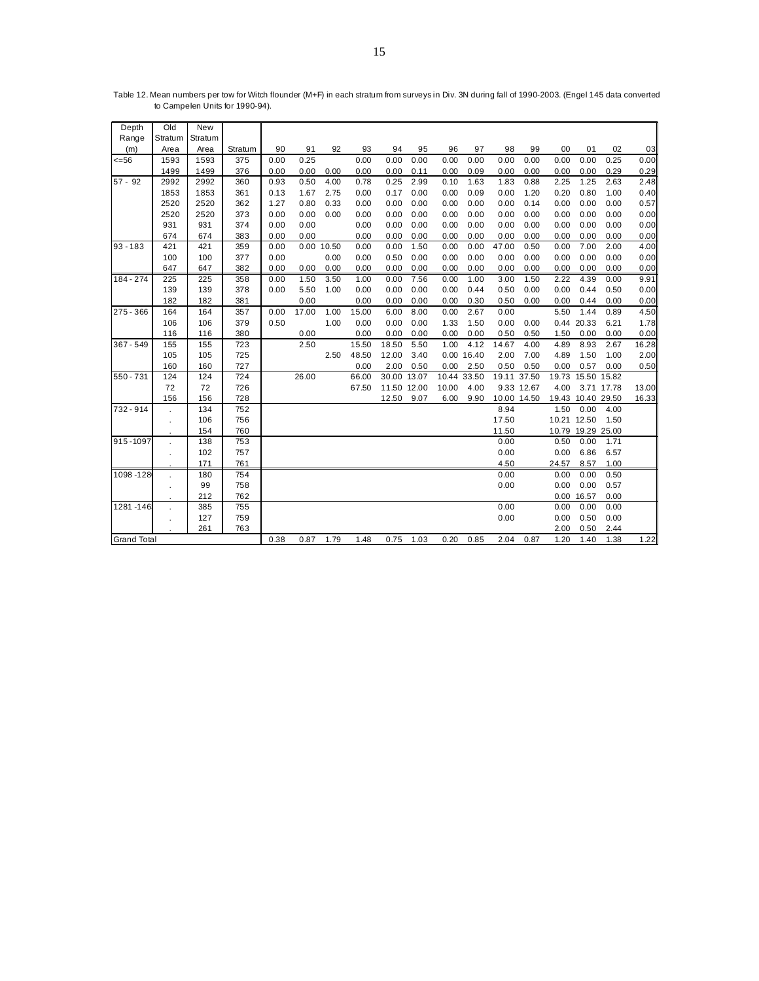| Depth              | Old        | <b>New</b> |         |      |            |      |       |             |      |       |             |             |             |       |                   |            |       |
|--------------------|------------|------------|---------|------|------------|------|-------|-------------|------|-------|-------------|-------------|-------------|-------|-------------------|------------|-------|
| Range              | Stratum    | Stratum    |         |      |            |      |       |             |      |       |             |             |             |       |                   |            |       |
| (m)                | Area       | Area       | Stratum | 90   | 91         | 92   | 93    | 94          | 95   | 96    | 97          | 98          | 99          | 00    | 01                | 02         | 03    |
| $= 56$             | 1593       | 1593       | 375     | 0.00 | 0.25       |      | 0.00  | 0.00        | 0.00 | 0.00  | 0.00        | 0.00        | 0.00        | 0.00  | 0.00              | 0.25       | 0.00  |
|                    | 1499       | 1499       | 376     | 0.00 | 0.00       | 0.00 | 0.00  | 0.00        | 0.11 | 0.00  | 0.09        | 0.00        | 0.00        | 0.00  | 0.00              | 0.29       | 0.29  |
| $57 - 92$          | 2992       | 2992       | 360     | 0.93 | 0.50       | 4.00 | 0.78  | 0.25        | 2.99 | 0.10  | 1.63        | 1.83        | 0.88        | 2.25  | 1.25              | 2.63       | 2.48  |
|                    | 1853       | 1853       | 361     | 0.13 | 1.67       | 2.75 | 0.00  | 0.17        | 0.00 | 0.00  | 0.09        | 0.00        | 1.20        | 0.20  | 0.80              | 1.00       | 0.40  |
|                    | 2520       | 2520       | 362     | 1.27 | 0.80       | 0.33 | 0.00  | 0.00        | 0.00 | 0.00  | 0.00        | 0.00        | 0.14        | 0.00  | 0.00              | 0.00       | 0.57  |
|                    | 2520       | 2520       | 373     | 0.00 | 0.00       | 0.00 | 0.00  | 0.00        | 0.00 | 0.00  | 0.00        | 0.00        | 0.00        | 0.00  | 0.00              | 0.00       | 0.00  |
|                    | 931        | 931        | 374     | 0.00 | 0.00       |      | 0.00  | 0.00        | 0.00 | 0.00  | 0.00        | 0.00        | 0.00        | 0.00  | 0.00              | 0.00       | 0.00  |
|                    | 674        | 674        | 383     | 0.00 | 0.00       |      | 0.00  | 0.00        | 0.00 | 0.00  | 0.00        | 0.00        | 0.00        | 0.00  | 0.00              | 0.00       | 0.00  |
| $93 - 183$         | 421        | 421        | 359     | 0.00 | 0.00 10.50 |      | 0.00  | 0.00        | 1.50 | 0.00  | 0.00        | 47.00       | 0.50        | 0.00  | 7.00              | 2.00       | 4.00  |
|                    | 100        | 100        | 377     | 0.00 |            | 0.00 | 0.00  | 0.50        | 0.00 | 0.00  | 0.00        | 0.00        | 0.00        | 0.00  | 0.00              | 0.00       | 0.00  |
|                    | 647        | 647        | 382     | 0.00 | 0.00       | 0.00 | 0.00  | 0.00        | 0.00 | 0.00  | 0.00        | 0.00        | 0.00        | 0.00  | 0.00              | 0.00       | 0.00  |
| 184 - 274          | 225        | 225        | 358     | 0.00 | 1.50       | 3.50 | 1.00  | 0.00        | 7.56 | 0.00  | 1.00        | 3.00        | 1.50        | 2.22  | 4.39              | 0.00       | 9.91  |
|                    | 139        | 139        | 378     | 0.00 | 5.50       | 1.00 | 0.00  | 0.00        | 0.00 | 0.00  | 0.44        | 0.50        | 0.00        | 0.00  | 0.44              | 0.50       | 0.00  |
|                    | 182        | 182        | 381     |      | 0.00       |      | 0.00  | 0.00        | 0.00 | 0.00  | 0.30        | 0.50        | 0.00        | 0.00  | 0.44              | 0.00       | 0.00  |
| 275 - 366          | 164        | 164        | 357     | 0.00 | 17.00      | 1.00 | 15.00 | 6.00        | 8.00 | 0.00  | 2.67        | 0.00        |             | 5.50  | 1.44              | 0.89       | 4.50  |
|                    | 106        | 106        | 379     | 0.50 |            | 1.00 | 0.00  | 0.00        | 0.00 | 1.33  | 1.50        | 0.00        | 0.00        | 0.44  | 20.33             | 6.21       | 1.78  |
|                    | 116        | 116        | 380     |      | 0.00       |      | 0.00  | 0.00        | 0.00 | 0.00  | 0.00        | 0.50        | 0.50        | 1.50  | 0.00              | 0.00       | 0.00  |
| 367 - 549          | 155        | 155        | 723     |      | 2.50       |      | 15.50 | 18.50       | 5.50 | 1.00  | 4.12        | 14.67       | 4.00        | 4.89  | 8.93              | 2.67       | 16.28 |
|                    | 105        | 105        | 725     |      |            | 2.50 | 48.50 | 12.00       | 3.40 |       | 0.00 16.40  | 2.00        | 7.00        | 4.89  | 1.50              | 1.00       | 2.00  |
|                    | 160        | 160        | 727     |      |            |      | 0.00  | 2.00        | 0.50 | 0.00  | 2.50        | 0.50        | 0.50        | 0.00  | 0.57              | 0.00       | 0.50  |
| 550 - 731          | 124        | 124        | 724     |      | 26.00      |      | 66.00 | 30.00 13.07 |      |       | 10.44 33.50 |             | 19.11 37.50 | 19.73 | 15.50 15.82       |            |       |
|                    | 72         | 72         | 726     |      |            |      | 67.50 | 11.50 12.00 |      | 10.00 | 4.00        |             | 9.33 12.67  | 4.00  |                   | 3.71 17.78 | 13.00 |
|                    | 156        | 156        | 728     |      |            |      |       | 12.50       | 9.07 | 6.00  | 9.90        | 10.00 14.50 |             |       | 19.43 10.40 29.50 |            | 16.33 |
| 732 - 914          |            | 134        | 752     |      |            |      |       |             |      |       |             | 8.94        |             | 1.50  | 0.00              | 4.00       |       |
|                    |            | 106        | 756     |      |            |      |       |             |      |       |             | 17.50       |             |       | 10.21 12.50       | 1.50       |       |
|                    |            | 154        | 760     |      |            |      |       |             |      |       |             | 11.50       |             |       | 10.79 19.29 25.00 |            |       |
| 915-1097           |            | 138        | 753     |      |            |      |       |             |      |       |             | 0.00        |             | 0.50  | 0.00              | 1.71       |       |
|                    | $\epsilon$ | 102        | 757     |      |            |      |       |             |      |       |             | 0.00        |             | 0.00  | 6.86              | 6.57       |       |
|                    |            | 171        | 761     |      |            |      |       |             |      |       |             | 4.50        |             | 24.57 | 8.57              | 1.00       |       |
| 1098-128           |            | 180        | 754     |      |            |      |       |             |      |       |             | 0.00        |             | 0.00  | 0.00              | 0.50       |       |
|                    |            | 99         | 758     |      |            |      |       |             |      |       |             | 0.00        |             | 0.00  | 0.00              | 0.57       |       |
|                    |            | 212        | 762     |      |            |      |       |             |      |       |             |             |             | 0.00  | 16.57             | 0.00       |       |
| 1281-146           |            | 385        | 755     |      |            |      |       |             |      |       |             | 0.00        |             | 0.00  | 0.00              | 0.00       |       |
|                    | $\cdot$    | 127        | 759     |      |            |      |       |             |      |       |             | 0.00        |             | 0.00  | 0.50              | 0.00       |       |
|                    |            | 261        | 763     |      |            |      |       |             |      |       |             |             |             | 2.00  | 0.50              | 2.44       |       |
| <b>Grand Total</b> |            |            |         | 0.38 | 0.87       | 1.79 | 1.48  | 0.75        | 1.03 | 0.20  | 0.85        | 2.04        | 0.87        | 1.20  | 1.40              | 1.38       | 1.22  |

Table 12. Mean numbers per tow for Witch flounder (M+F) in each stratum from surveys in Div. 3N during fall of 1990-2003. (Engel 145 data converted to Campelen Units for 1990-94).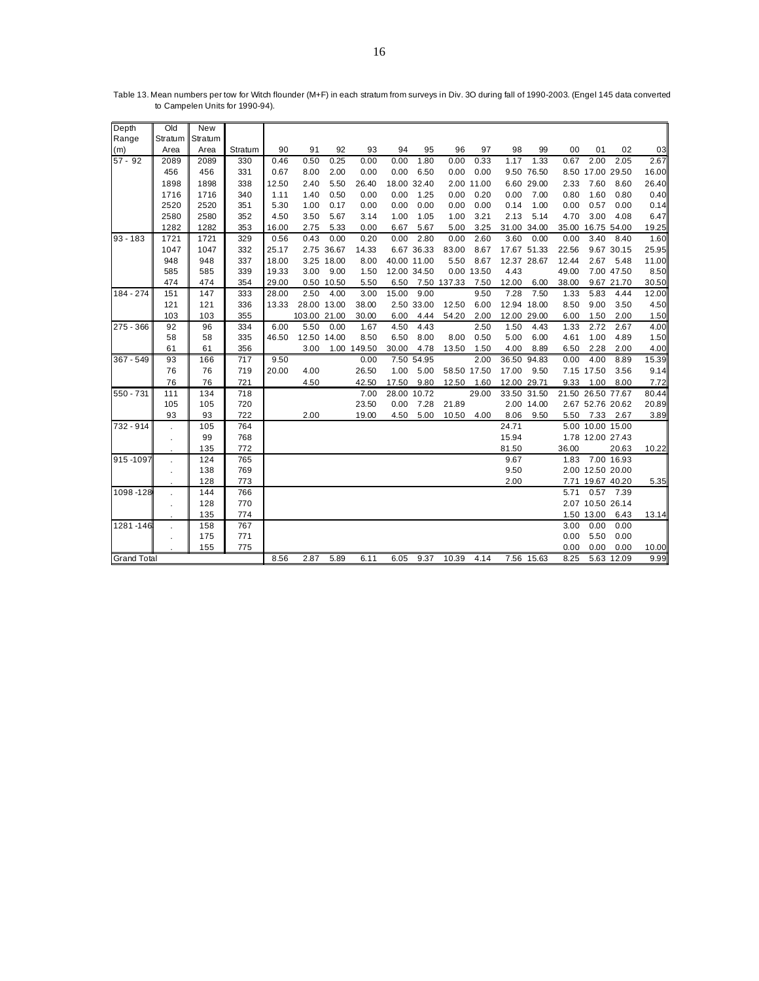| Depth              | Old     | <b>New</b> |         |       |              |             |             |             |             |             |             |             |             |       |                   |             |       |
|--------------------|---------|------------|---------|-------|--------------|-------------|-------------|-------------|-------------|-------------|-------------|-------------|-------------|-------|-------------------|-------------|-------|
| Range              | Stratum | Stratum    |         |       |              |             |             |             |             |             |             |             |             |       |                   |             |       |
| (m)                | Area    | Area       | Stratum | 90    | 91           | 92          | 93          | 94          | 95          | 96          | 97          | 98          | 99          | 00    | 01                | 02          | 03    |
| $57 - 92$          | 2089    | 2089       | 330     | 0.46  | 0.50         | 0.25        | 0.00        | 0.00        | 1.80        | 0.00        | 0.33        | 1.17        | 1.33        | 0.67  | 2.00              | 2.05        | 2.67  |
|                    | 456     | 456        | 331     | 0.67  | 8.00         | 2.00        | 0.00        | 0.00        | 6.50        | 0.00        | 0.00        |             | 9.50 76.50  |       | 8.50 17.00 29.50  |             | 16.00 |
|                    | 1898    | 1898       | 338     | 12.50 | 2.40         | 5.50        | 26.40       |             | 18.00 32.40 |             | 2.00 11.00  |             | 6.60 29.00  | 2.33  | 7.60              | 8.60        | 26.40 |
|                    | 1716    | 1716       | 340     | 1.11  | 1.40         | 0.50        | 0.00        | 0.00        | 1.25        | 0.00        | 0.20        | 0.00        | 7.00        | 0.80  | 1.60              | 0.80        | 0.40  |
|                    | 2520    | 2520       | 351     | 5.30  | 1.00         | 0.17        | 0.00        | 0.00        | 0.00        | 0.00        | 0.00        | 0.14        | 1.00        | 0.00  | 0.57              | 0.00        | 0.14  |
|                    | 2580    | 2580       | 352     | 4.50  | 3.50         | 5.67        | 3.14        | 1.00        | 1.05        | 1.00        | 3.21        | 2.13        | 5.14        | 4.70  | 3.00              | 4.08        | 6.47  |
|                    | 1282    | 1282       | 353     | 16.00 | 2.75         | 5.33        | 0.00        | 6.67        | 5.67        | 5.00        | 3.25        |             | 31.00 34.00 | 35.00 |                   | 16.75 54.00 | 19.25 |
| $93 - 183$         | 1721    | 1721       | 329     | 0.56  | 0.43         | 0.00        | 0.20        | 0.00        | 2.80        | 0.00        | 2.60        | 3.60        | 0.00        | 0.00  | 3.40              | 8.40        | 1.60  |
|                    | 1047    | 1047       | 332     | 25.17 |              | 2.75 36.67  | 14.33       |             | 6.67 36.33  | 83.00       | 8.67        |             | 17.67 51.33 | 22.56 |                   | 9.67 30.15  | 25.95 |
|                    | 948     | 948        | 337     | 18.00 |              | 3.25 18.00  | 8.00        | 40.00 11.00 |             | 5.50        | 8.67        | 12.37 28.67 |             | 12.44 | 2.67              | 5.48        | 11.00 |
|                    | 585     | 585        | 339     | 19.33 | 3.00         | 9.00        | 1.50        | 12.00 34.50 |             |             | 0.00 13.50  | 4.43        |             | 49.00 |                   | 7.00 47.50  | 8.50  |
|                    | 474     | 474        | 354     | 29.00 |              | 0.50 10.50  | 5.50        | 6.50        |             | 7.50 137.33 | 7.50        | 12.00       | 6.00        | 38.00 |                   | 9.67 21.70  | 30.50 |
| 184 - 274          | 151     | 147        | 333     | 28.00 | 2.50         | 4.00        | 3.00        | 15.00       | 9.00        |             | 9.50        | 7.28        | 7.50        | 1.33  | 5.83              | 4.44        | 12.00 |
|                    | 121     | 121        | 336     | 13.33 |              | 28.00 13.00 | 38.00       |             | 2.50 33.00  | 12.50       | 6.00        |             | 12.94 18.00 | 8.50  | 9.00              | 3.50        | 4.50  |
|                    | 103     | 103        | 355     |       | 103.00 21.00 |             | 30.00       | 6.00        | 4.44        | 54.20       | 2.00        |             | 12.00 29.00 | 6.00  | 1.50              | 2.00        | 1.50  |
| 275 - 366          | 92      | 96         | 334     | 6.00  | 5.50         | 0.00        | 1.67        | 4.50        | 4.43        |             | 2.50        | 1.50        | 4.43        | 1.33  | 2.72              | 2.67        | 4.00  |
|                    | 58      | 58         | 335     | 46.50 |              | 12.50 14.00 | 8.50        | 6.50        | 8.00        | 8.00        | 0.50        | 5.00        | 6.00        | 4.61  | 1.00              | 4.89        | 1.50  |
|                    | 61      | 61         | 356     |       | 3.00         |             | 1.00 149.50 | 30.00       | 4.78        | 13.50       | 1.50        | 4.00        | 8.89        | 6.50  | 2.28              | 2.00        | 4.00  |
| 367 - 549          | 93      | 166        | 717     | 9.50  |              |             | 0.00        |             | 7.50 54.95  |             | 2.00        | 36.50       | 94.83       | 0.00  | 4.00              | 8.89        | 15.39 |
|                    | 76      | 76         | 719     | 20.00 | 4.00         |             | 26.50       | 1.00        | 5.00        |             | 58.50 17.50 | 17.00       | 9.50        |       | 7.15 17.50        | 3.56        | 9.14  |
|                    | 76      | 76         | 721     |       | 4.50         |             | 42.50       | 17.50       | 9.80        | 12.50       | 1.60        | 12.00 29.71 |             | 9.33  | 1.00              | 8.00        | 7.72  |
| 550 - 731          | 111     | 134        | 718     |       |              |             | 7.00        |             | 28.00 10.72 |             | 29.00       |             | 33.50 31.50 |       | 21.50 26.50 77.67 |             | 80.44 |
|                    | 105     | 105        | 720     |       |              |             | 23.50       | 0.00        | 7.28        | 21.89       |             |             | 2.00 14.00  |       | 2.67 52.76 20.62  |             | 20.89 |
|                    | 93      | 93         | 722     |       | 2.00         |             | 19.00       | 4.50        | 5.00        | 10.50       | 4.00        | 8.06        | 9.50        | 5.50  |                   | 7.33 2.67   | 3.89  |
| 732 - 914          |         | 105        | 764     |       |              |             |             |             |             |             |             | 24.71       |             |       | 5.00 10.00 15.00  |             |       |
|                    |         | 99         | 768     |       |              |             |             |             |             |             |             | 15.94       |             |       | 1.78 12.00 27.43  |             |       |
|                    |         | 135        | 772     |       |              |             |             |             |             |             |             | 81.50       |             | 36.00 |                   | 20.63       | 10.22 |
| 915-1097           |         | 124        | 765     |       |              |             |             |             |             |             |             | 9.67        |             | 1.83  |                   | 7.00 16.93  |       |
|                    |         | 138        | 769     |       |              |             |             |             |             |             |             | 9.50        |             |       | 2.00 12.50 20.00  |             |       |
|                    |         | 128        | 773     |       |              |             |             |             |             |             |             | 2.00        |             |       | 7.71 19.67 40.20  |             | 5.35  |
| 1098-128           |         | 144        | 766     |       |              |             |             |             |             |             |             |             |             | 5.71  | 0.57              | 7.39        |       |
|                    |         | 128        | 770     |       |              |             |             |             |             |             |             |             |             |       | 2.07 10.50 26.14  |             |       |
|                    |         | 135        | 774     |       |              |             |             |             |             |             |             |             |             |       | 1.50 13.00        | 6.43        | 13.14 |
| 1281-146           |         | 158        | 767     |       |              |             |             |             |             |             |             |             |             | 3.00  | 0.00              | 0.00        |       |
|                    |         | 175        | 771     |       |              |             |             |             |             |             |             |             |             | 0.00  | 5.50              | 0.00        |       |
|                    |         | 155        | 775     |       |              |             |             |             |             |             |             |             |             | 0.00  | 0.00              | 0.00        | 10.00 |
| <b>Grand Total</b> |         |            |         | 8.56  | 2.87         | 5.89        | 6.11        | 6.05        | 9.37        | 10.39       | 4.14        |             | 7.56 15.63  | 8.25  |                   | 5.63 12.09  | 9.99  |

Table 13. Mean numbers per tow for Witch flounder (M+F) in each stratum from surveys in Div. 3O during fall of 1990-2003. (Engel 145 data converted to Campelen Units for 1990-94).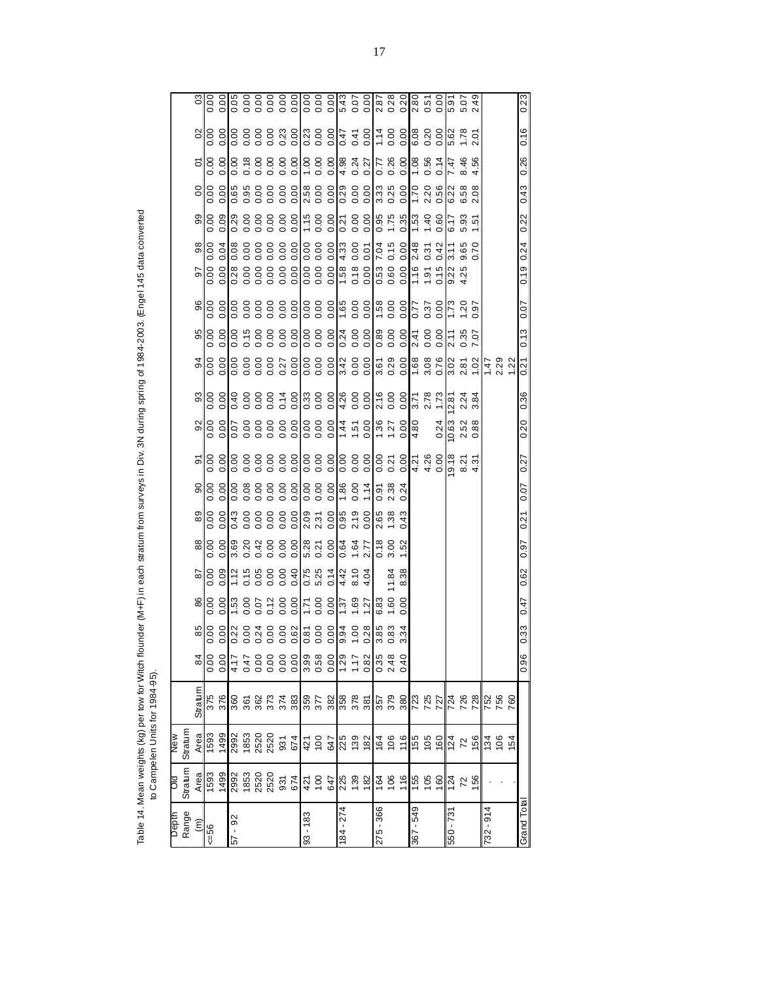Table 14. Mean weights (kg) per tow for Witch flounder (M+F) in each stratum from surveys in Div. 3N during spring of 1984-2003. (Engel 145 data converted<br>to Campelen Units for 1984-95). Table 14. Mean weights (kg) per tow for Witch flounder (M+F) in each stratum from surveys in Div. 3N during spring of 1984-2003. (Engel 145 data converted to Campelen Units for 1984-95).

17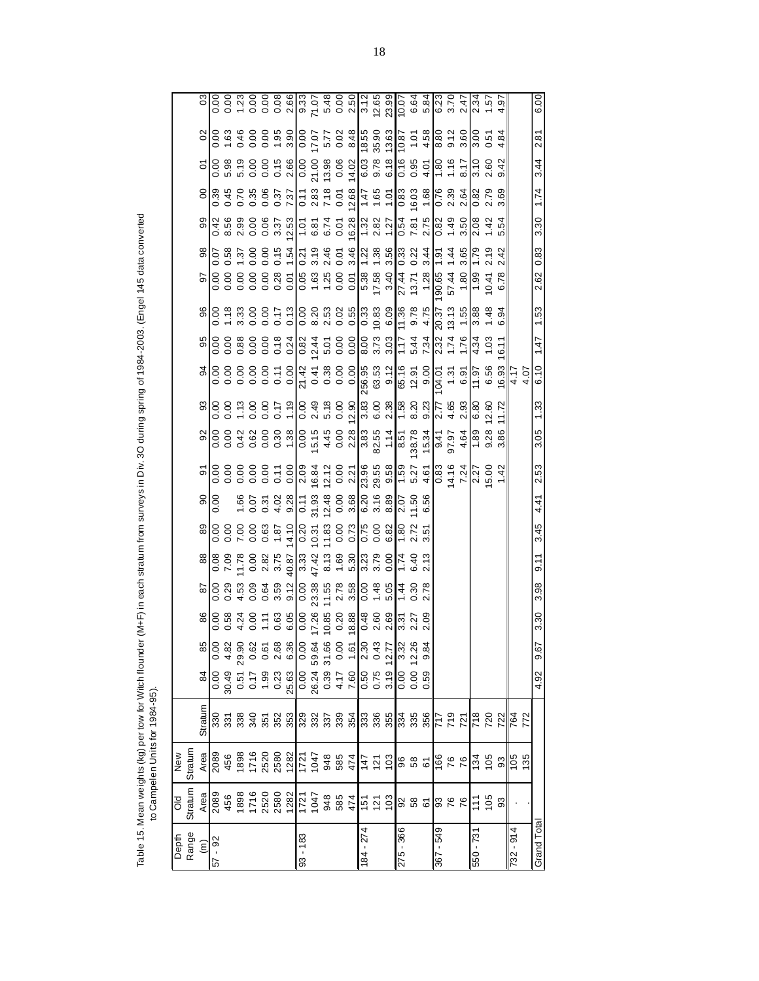Table 15. Mean weights (kg) per tow for Witch flounder (M+F) in each stratum from surveys in Div. 3O during spring of 1984-2003. (Engel 145 data converted<br>to Campelen Units for 1984-95). Table 15. Mean weights (kg) per tow for Witch flounder (M+F) in each stratum from surveys in Div. 3O during spring of 1984-2003. (Engel 145 data converted to Campelen Units for 1984-95).

|                 | ŏ                                                                                                                                                                                                                                                                                                                                                                                                                                                                     | New                                                                                                                                                                                                                                     |         |                                                                   |                                                                       |                      |                               |      |      |                |                                                                                                                                                                                                                                                                                                                     |      |                                                                                                                                                                                                                                                                                             |                     |      |      |                |      |      |      |                                                                                                                                                                                                                                                                                                                                                                                                                                                               |      |                                                                                                                                                                                                                           |
|-----------------|-----------------------------------------------------------------------------------------------------------------------------------------------------------------------------------------------------------------------------------------------------------------------------------------------------------------------------------------------------------------------------------------------------------------------------------------------------------------------|-----------------------------------------------------------------------------------------------------------------------------------------------------------------------------------------------------------------------------------------|---------|-------------------------------------------------------------------|-----------------------------------------------------------------------|----------------------|-------------------------------|------|------|----------------|---------------------------------------------------------------------------------------------------------------------------------------------------------------------------------------------------------------------------------------------------------------------------------------------------------------------|------|---------------------------------------------------------------------------------------------------------------------------------------------------------------------------------------------------------------------------------------------------------------------------------------------|---------------------|------|------|----------------|------|------|------|---------------------------------------------------------------------------------------------------------------------------------------------------------------------------------------------------------------------------------------------------------------------------------------------------------------------------------------------------------------------------------------------------------------------------------------------------------------|------|---------------------------------------------------------------------------------------------------------------------------------------------------------------------------------------------------------------------------|
| Depth<br>Range  | Stratum                                                                                                                                                                                                                                                                                                                                                                                                                                                               | Stratum                                                                                                                                                                                                                                 |         |                                                                   |                                                                       |                      |                               |      |      |                |                                                                                                                                                                                                                                                                                                                     |      |                                                                                                                                                                                                                                                                                             |                     |      |      |                |      |      |      |                                                                                                                                                                                                                                                                                                                                                                                                                                                               |      |                                                                                                                                                                                                                           |
| $\widehat{\Xi}$ |                                                                                                                                                                                                                                                                                                                                                                                                                                                                       |                                                                                                                                                                                                                                         | Stratum |                                                                   |                                                                       | 86<br>0.00           |                               |      |      | $rac{90}{100}$ |                                                                                                                                                                                                                                                                                                                     |      |                                                                                                                                                                                                                                                                                             |                     |      |      |                |      |      |      |                                                                                                                                                                                                                                                                                                                                                                                                                                                               |      |                                                                                                                                                                                                                           |
| $-92$<br>57     |                                                                                                                                                                                                                                                                                                                                                                                                                                                                       | $\frac{\text{Area}}{2089}$                                                                                                                                                                                                              |         | $\frac{8}{3}$<br>$\frac{10}{3}$<br>$\frac{3}{3}$<br>$\frac{5}{3}$ |                                                                       |                      | $rac{9}{18}$                  |      |      |                |                                                                                                                                                                                                                                                                                                                     |      |                                                                                                                                                                                                                                                                                             |                     |      |      |                |      |      |      | $rac{5}{6}$                                                                                                                                                                                                                                                                                                                                                                                                                                                   |      |                                                                                                                                                                                                                           |
|                 |                                                                                                                                                                                                                                                                                                                                                                                                                                                                       |                                                                                                                                                                                                                                         |         |                                                                   |                                                                       | 0.58                 |                               |      |      |                |                                                                                                                                                                                                                                                                                                                     |      |                                                                                                                                                                                                                                                                                             |                     |      |      |                |      |      |      |                                                                                                                                                                                                                                                                                                                                                                                                                                                               |      |                                                                                                                                                                                                                           |
|                 |                                                                                                                                                                                                                                                                                                                                                                                                                                                                       |                                                                                                                                                                                                                                         |         |                                                                   |                                                                       | 4.24                 | ನೆ<br>ದೇವ                     |      |      |                |                                                                                                                                                                                                                                                                                                                     |      |                                                                                                                                                                                                                                                                                             |                     |      |      |                |      |      |      |                                                                                                                                                                                                                                                                                                                                                                                                                                                               |      |                                                                                                                                                                                                                           |
|                 |                                                                                                                                                                                                                                                                                                                                                                                                                                                                       |                                                                                                                                                                                                                                         |         | 0.17                                                              |                                                                       | 0.00                 |                               |      |      |                |                                                                                                                                                                                                                                                                                                                     |      |                                                                                                                                                                                                                                                                                             |                     |      |      |                |      |      |      |                                                                                                                                                                                                                                                                                                                                                                                                                                                               |      |                                                                                                                                                                                                                           |
|                 |                                                                                                                                                                                                                                                                                                                                                                                                                                                                       |                                                                                                                                                                                                                                         |         |                                                                   |                                                                       |                      |                               |      |      |                |                                                                                                                                                                                                                                                                                                                     |      |                                                                                                                                                                                                                                                                                             |                     |      |      |                |      |      |      |                                                                                                                                                                                                                                                                                                                                                                                                                                                               |      |                                                                                                                                                                                                                           |
|                 | Area<br>2086 888 880 882 771<br>458 880 882 771<br>1047                                                                                                                                                                                                                                                                                                                                                                                                               | $\begin{array}{l} 4\,8\,8\,8\,2\,8\,8\,8\,8\,8\,1\,1\,2\,4\,3\,8\,8\,8\,1\,1\,4\,2\,5\,8\,6\,8\,6\,7\,1\,4\,2\,5\,6\,6\,6\,6\,7\,6\,7\,6\,7\,6\,7\,6\,7\,6\,7\,6\,7\,6\,7\,6\,7\,6\,7\,6\,7\,6\,7\,6\,7\,6\,7\,6\,7\,6\,7\,6\,7\,6\,7\$ |         | $-0.23$<br>$-0.63$<br>$-0.63$<br>$-0.24$<br>$-0.24$               |                                                                       | 0.63                 |                               |      |      |                | $\frac{1}{2}$ $\frac{1}{2}$ $\frac{1}{2}$ $\frac{1}{2}$ $\frac{1}{2}$ $\frac{1}{2}$ $\frac{1}{2}$ $\frac{1}{2}$ $\frac{1}{2}$ $\frac{1}{2}$ $\frac{1}{2}$ $\frac{1}{2}$ $\frac{1}{2}$ $\frac{1}{2}$ $\frac{1}{2}$ $\frac{1}{2}$ $\frac{1}{2}$ $\frac{1}{2}$ $\frac{1}{2}$ $\frac{1}{2}$ $\frac{1}{2}$ $\frac{1}{2}$ |      | $\begin{array}{l} \text{9,8,8,8,8,8,8,8}\\ \text{10,0,0,1,0,0,0}\\ \text{2,0,0,0,0,0,0,0,0}\\ \text{3,0,0,0,0,0,0,0,0,0}\\ \text{4,0,0,0,0,0,0,0,0,0}\\ \text{5,0,0,0,0,0,0,0,0,0}\\ \text{6,0,0,0,0,0,0,0,0,0}\\ \text{7,0,0,0,0,0,0,0,0,0,0,0}\\ \text{8,0,0,0,0,0,0,0,0,0,0,0,0,0,0,0,0$ |                     |      |      |                |      |      |      | $\begin{array}{l} \mathfrak{B}, \ \mathfrak{B}, \ \mathfrak{B}, \ \mathfrak{B}, \ \mathfrak{B}, \ \mathfrak{B}, \ \mathfrak{B}, \ \mathfrak{B}, \ \mathfrak{B}, \ \mathfrak{B}, \ \mathfrak{B}, \ \mathfrak{B}, \ \mathfrak{B}, \ \mathfrak{B}, \ \mathfrak{B}, \ \mathfrak{B}, \ \mathfrak{B}, \ \mathfrak{B}, \ \mathfrak{B}, \ \mathfrak{B}, \ \mathfrak{B}, \ \mathfrak{B}, \ \mathfrak{B}, \ \mathfrak{B}, \ \mathfrak{B}, \ \mathfrak{B}, \ \mathfrak{$ |      |                                                                                                                                                                                                                           |
|                 |                                                                                                                                                                                                                                                                                                                                                                                                                                                                       |                                                                                                                                                                                                                                         |         |                                                                   |                                                                       |                      |                               |      |      |                |                                                                                                                                                                                                                                                                                                                     |      |                                                                                                                                                                                                                                                                                             |                     |      |      |                |      |      |      |                                                                                                                                                                                                                                                                                                                                                                                                                                                               |      |                                                                                                                                                                                                                           |
| $93 - 183$      |                                                                                                                                                                                                                                                                                                                                                                                                                                                                       |                                                                                                                                                                                                                                         |         |                                                                   |                                                                       |                      |                               |      |      |                |                                                                                                                                                                                                                                                                                                                     |      |                                                                                                                                                                                                                                                                                             |                     |      |      |                |      |      |      |                                                                                                                                                                                                                                                                                                                                                                                                                                                               |      |                                                                                                                                                                                                                           |
|                 |                                                                                                                                                                                                                                                                                                                                                                                                                                                                       |                                                                                                                                                                                                                                         |         |                                                                   |                                                                       |                      |                               |      |      |                |                                                                                                                                                                                                                                                                                                                     |      |                                                                                                                                                                                                                                                                                             |                     |      |      |                |      |      |      |                                                                                                                                                                                                                                                                                                                                                                                                                                                               |      |                                                                                                                                                                                                                           |
|                 |                                                                                                                                                                                                                                                                                                                                                                                                                                                                       |                                                                                                                                                                                                                                         |         |                                                                   |                                                                       |                      |                               |      |      |                |                                                                                                                                                                                                                                                                                                                     |      |                                                                                                                                                                                                                                                                                             |                     |      |      |                |      |      |      |                                                                                                                                                                                                                                                                                                                                                                                                                                                               |      |                                                                                                                                                                                                                           |
|                 | 948<br>585<br>474                                                                                                                                                                                                                                                                                                                                                                                                                                                     |                                                                                                                                                                                                                                         |         | 0.39<br>1.17<br>7.60                                              |                                                                       |                      |                               |      |      |                |                                                                                                                                                                                                                                                                                                                     |      |                                                                                                                                                                                                                                                                                             |                     |      |      |                |      |      |      |                                                                                                                                                                                                                                                                                                                                                                                                                                                               |      |                                                                                                                                                                                                                           |
|                 |                                                                                                                                                                                                                                                                                                                                                                                                                                                                       |                                                                                                                                                                                                                                         |         |                                                                   |                                                                       |                      |                               |      |      |                |                                                                                                                                                                                                                                                                                                                     |      |                                                                                                                                                                                                                                                                                             |                     |      |      |                |      |      |      |                                                                                                                                                                                                                                                                                                                                                                                                                                                               |      |                                                                                                                                                                                                                           |
| 184 - 274       |                                                                                                                                                                                                                                                                                                                                                                                                                                                                       |                                                                                                                                                                                                                                         |         | 0.50<br>0.75                                                      |                                                                       |                      |                               |      |      |                |                                                                                                                                                                                                                                                                                                                     |      |                                                                                                                                                                                                                                                                                             |                     |      |      |                |      |      |      |                                                                                                                                                                                                                                                                                                                                                                                                                                                               |      |                                                                                                                                                                                                                           |
|                 |                                                                                                                                                                                                                                                                                                                                                                                                                                                                       |                                                                                                                                                                                                                                         |         |                                                                   |                                                                       |                      |                               |      |      |                |                                                                                                                                                                                                                                                                                                                     |      |                                                                                                                                                                                                                                                                                             |                     |      |      |                |      |      |      |                                                                                                                                                                                                                                                                                                                                                                                                                                                               |      |                                                                                                                                                                                                                           |
|                 |                                                                                                                                                                                                                                                                                                                                                                                                                                                                       |                                                                                                                                                                                                                                         |         | 3.19                                                              |                                                                       |                      |                               |      |      |                |                                                                                                                                                                                                                                                                                                                     |      |                                                                                                                                                                                                                                                                                             |                     |      |      |                |      |      |      |                                                                                                                                                                                                                                                                                                                                                                                                                                                               |      |                                                                                                                                                                                                                           |
| 275 - 366       |                                                                                                                                                                                                                                                                                                                                                                                                                                                                       |                                                                                                                                                                                                                                         |         | 0.00                                                              |                                                                       |                      |                               |      |      |                |                                                                                                                                                                                                                                                                                                                     |      |                                                                                                                                                                                                                                                                                             |                     |      |      |                |      |      |      |                                                                                                                                                                                                                                                                                                                                                                                                                                                               |      |                                                                                                                                                                                                                           |
|                 |                                                                                                                                                                                                                                                                                                                                                                                                                                                                       |                                                                                                                                                                                                                                         |         |                                                                   | $\frac{1}{2}$ $\frac{1}{2}$ $\frac{1}{2}$ $\frac{1}{2}$ $\frac{1}{2}$ | 3.37<br>2.27<br>2.09 | $\frac{1}{4}$ 8 $\frac{5}{8}$ |      |      |                |                                                                                                                                                                                                                                                                                                                     |      |                                                                                                                                                                                                                                                                                             |                     |      |      |                |      |      |      |                                                                                                                                                                                                                                                                                                                                                                                                                                                               |      |                                                                                                                                                                                                                           |
|                 | $\mathop{\mathbb{E}}\nolimits \mathop{\simeq}_{\mathop{\mathbb{E}}\nolimits} \mathop{\simeq}_{\mathop{\mathbb{E}}\nolimits} \mathop{\simeq}_{\mathop{\mathbb{E}}\nolimits} \mathop{\simeq}_{\mathop{\mathbb{E}}\nolimits} \mathop{\simeq}_{\mathop{\mathbb{E}}\nolimits} \mathop{\simeq}_{\mathop{\mathbb{E}}\nolimits} \mathop{\simeq}_{\mathop{\mathbb{E}}\nolimits} \mathop{\simeq}_{\mathop{\mathbb{E}}\nolimits} \mathop{\simeq}_{\mathop{\mathbb{E}}\nolimits}$ |                                                                                                                                                                                                                                         |         |                                                                   |                                                                       |                      |                               |      |      |                |                                                                                                                                                                                                                                                                                                                     |      |                                                                                                                                                                                                                                                                                             |                     |      |      |                |      |      |      |                                                                                                                                                                                                                                                                                                                                                                                                                                                               |      |                                                                                                                                                                                                                           |
| 367 - 549       |                                                                                                                                                                                                                                                                                                                                                                                                                                                                       |                                                                                                                                                                                                                                         |         |                                                                   |                                                                       |                      |                               |      |      |                |                                                                                                                                                                                                                                                                                                                     |      |                                                                                                                                                                                                                                                                                             |                     |      |      |                |      |      |      |                                                                                                                                                                                                                                                                                                                                                                                                                                                               |      |                                                                                                                                                                                                                           |
|                 |                                                                                                                                                                                                                                                                                                                                                                                                                                                                       |                                                                                                                                                                                                                                         |         |                                                                   |                                                                       |                      |                               |      |      |                |                                                                                                                                                                                                                                                                                                                     |      |                                                                                                                                                                                                                                                                                             |                     |      |      |                |      |      |      |                                                                                                                                                                                                                                                                                                                                                                                                                                                               |      |                                                                                                                                                                                                                           |
|                 |                                                                                                                                                                                                                                                                                                                                                                                                                                                                       |                                                                                                                                                                                                                                         |         |                                                                   |                                                                       |                      |                               |      |      |                |                                                                                                                                                                                                                                                                                                                     |      |                                                                                                                                                                                                                                                                                             |                     |      |      |                |      |      |      |                                                                                                                                                                                                                                                                                                                                                                                                                                                               |      |                                                                                                                                                                                                                           |
| 550 - 731       |                                                                                                                                                                                                                                                                                                                                                                                                                                                                       |                                                                                                                                                                                                                                         |         |                                                                   |                                                                       |                      |                               |      |      |                |                                                                                                                                                                                                                                                                                                                     |      |                                                                                                                                                                                                                                                                                             |                     |      |      | $\frac{1}{96}$ |      |      |      |                                                                                                                                                                                                                                                                                                                                                                                                                                                               |      |                                                                                                                                                                                                                           |
|                 |                                                                                                                                                                                                                                                                                                                                                                                                                                                                       |                                                                                                                                                                                                                                         |         |                                                                   |                                                                       |                      |                               |      |      |                |                                                                                                                                                                                                                                                                                                                     |      |                                                                                                                                                                                                                                                                                             |                     |      |      | 10.41          |      |      |      |                                                                                                                                                                                                                                                                                                                                                                                                                                                               |      | $\frac{1}{6}$<br>$\frac{1}{3}$<br>$\frac{1}{6}$<br>$\frac{1}{3}$<br>$\frac{1}{3}$<br>$\frac{1}{3}$<br>$\frac{1}{5}$<br>$\frac{1}{5}$<br>$\frac{1}{5}$<br>$\frac{1}{5}$<br>$\frac{1}{5}$<br>$\frac{1}{5}$<br>$\frac{1}{5}$ |
|                 | $\frac{3}{2}$                                                                                                                                                                                                                                                                                                                                                                                                                                                         |                                                                                                                                                                                                                                         |         |                                                                   |                                                                       |                      |                               |      |      |                |                                                                                                                                                                                                                                                                                                                     | 3.86 |                                                                                                                                                                                                                                                                                             | 16.93               | 16.1 | 6.94 | 6.78           | 2.42 | 5.54 | 3.69 | 4.84<br>9.42                                                                                                                                                                                                                                                                                                                                                                                                                                                  |      |                                                                                                                                                                                                                           |
| 732 - 914       |                                                                                                                                                                                                                                                                                                                                                                                                                                                                       |                                                                                                                                                                                                                                         |         |                                                                   |                                                                       |                      |                               |      |      |                |                                                                                                                                                                                                                                                                                                                     |      |                                                                                                                                                                                                                                                                                             | $\frac{4.17}{4.07}$ |      |      |                |      |      |      |                                                                                                                                                                                                                                                                                                                                                                                                                                                               |      |                                                                                                                                                                                                                           |
|                 |                                                                                                                                                                                                                                                                                                                                                                                                                                                                       |                                                                                                                                                                                                                                         |         |                                                                   |                                                                       |                      |                               |      |      |                |                                                                                                                                                                                                                                                                                                                     |      |                                                                                                                                                                                                                                                                                             |                     |      |      |                |      |      |      |                                                                                                                                                                                                                                                                                                                                                                                                                                                               |      |                                                                                                                                                                                                                           |
| Grand Tota      |                                                                                                                                                                                                                                                                                                                                                                                                                                                                       |                                                                                                                                                                                                                                         |         | 4.92                                                              | 9.67                                                                  | 3.30                 | 3.98                          | 9.11 | 3.45 | 4.41           | 2.53                                                                                                                                                                                                                                                                                                                | 3.05 | ౘ                                                                                                                                                                                                                                                                                           | 6.10                | 147  | 1.53 | 2.62           | 0.83 | 3.30 | 1.74 | 3.44                                                                                                                                                                                                                                                                                                                                                                                                                                                          | 2.81 | 6.00                                                                                                                                                                                                                      |
|                 |                                                                                                                                                                                                                                                                                                                                                                                                                                                                       |                                                                                                                                                                                                                                         |         |                                                                   |                                                                       |                      |                               |      |      |                |                                                                                                                                                                                                                                                                                                                     |      |                                                                                                                                                                                                                                                                                             |                     |      |      |                |      |      |      |                                                                                                                                                                                                                                                                                                                                                                                                                                                               |      |                                                                                                                                                                                                                           |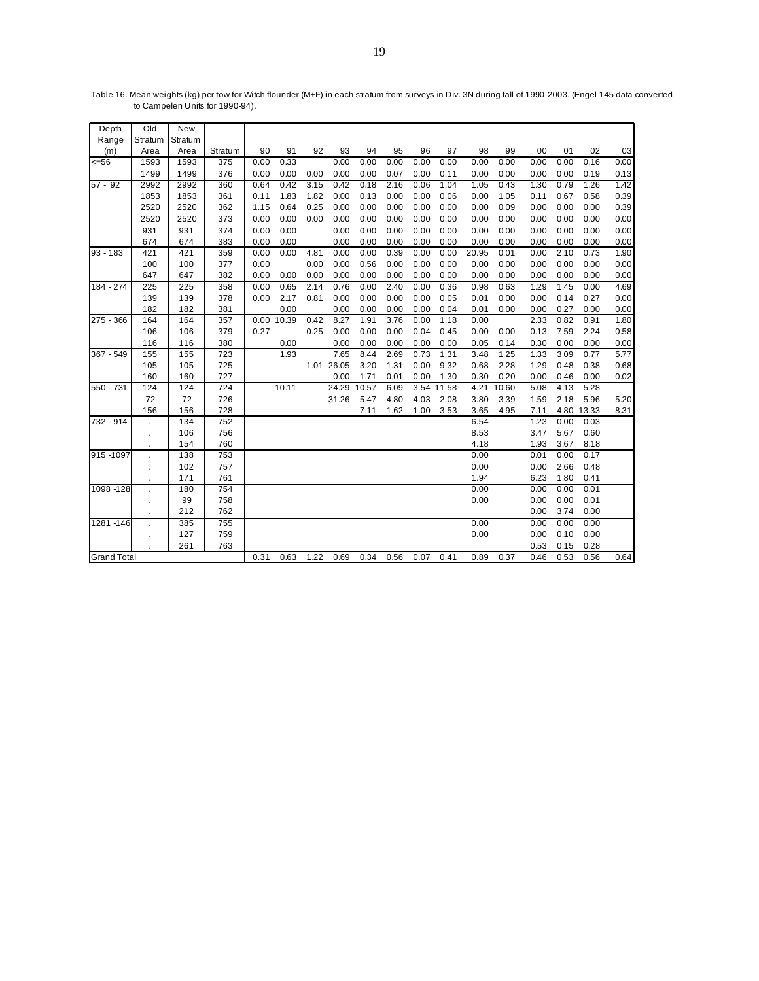| Depth              | Old            | New     |         |      |       |      |            |       |      |      |            |       |            |      |      |       |      |
|--------------------|----------------|---------|---------|------|-------|------|------------|-------|------|------|------------|-------|------------|------|------|-------|------|
| Range              | Stratum        | Stratum |         |      |       |      |            |       |      |      |            |       |            |      |      |       |      |
| (m)                | Area           | Area    | Stratum | 90   | 91    | 92   | 93         | 94    | 95   | 96   | 97         | 98    | 99         | 00   | 01   | 02    | 03   |
| 556                | 1593           | 1593    | 375     | 0.00 | 0.33  |      | 0.00       | 0.00  | 0.00 | 0.00 | 0.00       | 0.00  | 0.00       | 0.00 | 0.00 | 0.16  | 0.00 |
|                    | 1499           | 1499    | 376     | 0.00 | 0.00  | 0.00 | 0.00       | 0.00  | 0.07 | 0.00 | 0.11       | 0.00  | 0.00       | 0.00 | 0.00 | 0.19  | 0.13 |
| $57 - 92$          | 2992           | 2992    | 360     | 0.64 | 0.42  | 3.15 | 0.42       | 0.18  | 2.16 | 0.06 | 1.04       | 1.05  | 0.43       | 1.30 | 0.79 | 1.26  | 1.42 |
|                    | 1853           | 1853    | 361     | 0.11 | 1.83  | 1.82 | 0.00       | 0.13  | 0.00 | 0.00 | 0.06       | 0.00  | 1.05       | 0.11 | 0.67 | 0.58  | 0.39 |
|                    | 2520           | 2520    | 362     | 1.15 | 0.64  | 0.25 | 0.00       | 0.00  | 0.00 | 0.00 | 0.00       | 0.00  | 0.09       | 0.00 | 0.00 | 0.00  | 0.39 |
|                    | 2520           | 2520    | 373     | 0.00 | 0.00  | 0.00 | 0.00       | 0.00  | 0.00 | 0.00 | 0.00       | 0.00  | 0.00       | 0.00 | 0.00 | 0.00  | 0.00 |
|                    | 931            | 931     | 374     | 0.00 | 0.00  |      | 0.00       | 0.00  | 0.00 | 0.00 | 0.00       | 0.00  | 0.00       | 0.00 | 0.00 | 0.00  | 0.00 |
|                    | 674            | 674     | 383     | 0.00 | 0.00  |      | 0.00       | 0.00  | 0.00 | 0.00 | 0.00       | 0.00  | 0.00       | 0.00 | 0.00 | 0.00  | 0.00 |
| $93 - 183$         | 421            | 421     | 359     | 0.00 | 0.00  | 4.81 | 0.00       | 0.00  | 0.39 | 0.00 | 0.00       | 20.95 | 0.01       | 0.00 | 2.10 | 0.73  | 1.90 |
|                    | 100            | 100     | 377     | 0.00 |       | 0.00 | 0.00       | 0.56  | 0.00 | 0.00 | 0.00       | 0.00  | 0.00       | 0.00 | 0.00 | 0.00  | 0.00 |
|                    | 647            | 647     | 382     | 0.00 | 0.00  | 0.00 | 0.00       | 0.00  | 0.00 | 0.00 | 0.00       | 0.00  | 0.00       | 0.00 | 0.00 | 0.00  | 0.00 |
| 184 - 274          | 225            | 225     | 358     | 0.00 | 0.65  | 2.14 | 0.76       | 0.00  | 2.40 | 0.00 | 0.36       | 0.98  | 0.63       | 1.29 | 1.45 | 0.00  | 4.69 |
|                    | 139            | 139     | 378     | 0.00 | 2.17  | 0.81 | 0.00       | 0.00  | 0.00 | 0.00 | 0.05       | 0.01  | 0.00       | 0.00 | 0.14 | 0.27  | 0.00 |
|                    | 182            | 182     | 381     |      | 0.00  |      | 0.00       | 0.00  | 0.00 | 0.00 | 0.04       | 0.01  | 0.00       | 0.00 | 0.27 | 0.00  | 0.00 |
| 275 - 366          | 164            | 164     | 357     | 0.00 | 10.39 | 0.42 | 8.27       | 1.91  | 3.76 | 0.00 | 1.18       | 0.00  |            | 2.33 | 0.82 | 0.91  | 1.80 |
|                    | 106            | 106     | 379     | 0.27 |       | 0.25 | 0.00       | 0.00  | 0.00 | 0.04 | 0.45       | 0.00  | 0.00       | 0.13 | 7.59 | 2.24  | 0.58 |
|                    | 116            | 116     | 380     |      | 0.00  |      | 0.00       | 0.00  | 0.00 | 0.00 | 0.00       | 0.05  | 0.14       | 0.30 | 0.00 | 0.00  | 0.00 |
| 367 - 549          | 155            | 155     | 723     |      | 1.93  |      | 7.65       | 8.44  | 2.69 | 0.73 | 1.31       | 3.48  | 1.25       | 1.33 | 3.09 | 0.77  | 5.77 |
|                    | 105            | 105     | 725     |      |       |      | 1.01 26.05 | 3.20  | 1.31 | 0.00 | 9.32       | 0.68  | 2.28       | 1.29 | 0.48 | 0.38  | 0.68 |
|                    | 160            | 160     | 727     |      |       |      | 0.00       | 1.71  | 0.01 | 0.00 | 1.30       | 0.30  | 0.20       | 0.00 | 0.46 | 0.00  | 0.02 |
| 550 - 731          | 124            | 124     | 724     |      | 10.11 |      | 24.29      | 10.57 | 6.09 |      | 3.54 11.58 |       | 4.21 10.60 | 5.08 | 4.13 | 5.28  |      |
|                    | 72             | 72      | 726     |      |       |      | 31.26      | 5.47  | 4.80 | 4.03 | 2.08       | 3.80  | 3.39       | 1.59 | 2.18 | 5.96  | 5.20 |
|                    | 156            | 156     | 728     |      |       |      |            | 7.11  | 1.62 | 1.00 | 3.53       | 3.65  | 4.95       | 7.11 | 4.80 | 13.33 | 8.31 |
| 732 - 914          |                | 134     | 752     |      |       |      |            |       |      |      |            | 6.54  |            | 1.23 | 0.00 | 0.03  |      |
|                    | $\bullet$      | 106     | 756     |      |       |      |            |       |      |      |            | 8.53  |            | 3.47 | 5.67 | 0.60  |      |
|                    |                | 154     | 760     |      |       |      |            |       |      |      |            | 4.18  |            | 1.93 | 3.67 | 8.18  |      |
| 915 - 1097         |                | 138     | 753     |      |       |      |            |       |      |      |            | 0.00  |            | 0.01 | 0.00 | 0.17  |      |
|                    | $\mathbf{r}$   | 102     | 757     |      |       |      |            |       |      |      |            | 0.00  |            | 0.00 | 2.66 | 0.48  |      |
|                    |                | 171     | 761     |      |       |      |            |       |      |      |            | 1.94  |            | 6.23 | 1.80 | 0.41  |      |
| 1098 - 128         | ÷.             | 180     | 754     |      |       |      |            |       |      |      |            | 0.00  |            | 0.00 | 0.00 | 0.01  |      |
|                    | $\cdot$        | 99      | 758     |      |       |      |            |       |      |      |            | 0.00  |            | 0.00 | 0.00 | 0.01  |      |
|                    |                | 212     | 762     |      |       |      |            |       |      |      |            |       |            | 0.00 | 3.74 | 0.00  |      |
| 1281 - 146         | ä,             | 385     | 755     |      |       |      |            |       |      |      |            | 0.00  |            | 0.00 | 0.00 | 0.00  |      |
|                    | $\blacksquare$ | 127     | 759     |      |       |      |            |       |      |      |            | 0.00  |            | 0.00 | 0.10 | 0.00  |      |
|                    |                | 261     | 763     |      |       |      |            |       |      |      |            |       |            | 0.53 | 0.15 | 0.28  |      |
| <b>Grand Total</b> |                |         |         | 0.31 | 0.63  | 1.22 | 0.69       | 0.34  | 0.56 | 0.07 | 0.41       | 0.89  | 0.37       | 0.46 | 0.53 | 0.56  | 0.64 |

Table 16. Mean weights (kg) per tow for Witch flounder (M+F) in each stratum from surveys in Div. 3N during fall of 1990-2003. (Engel 145 data converted to Campelen Units for 1990-94).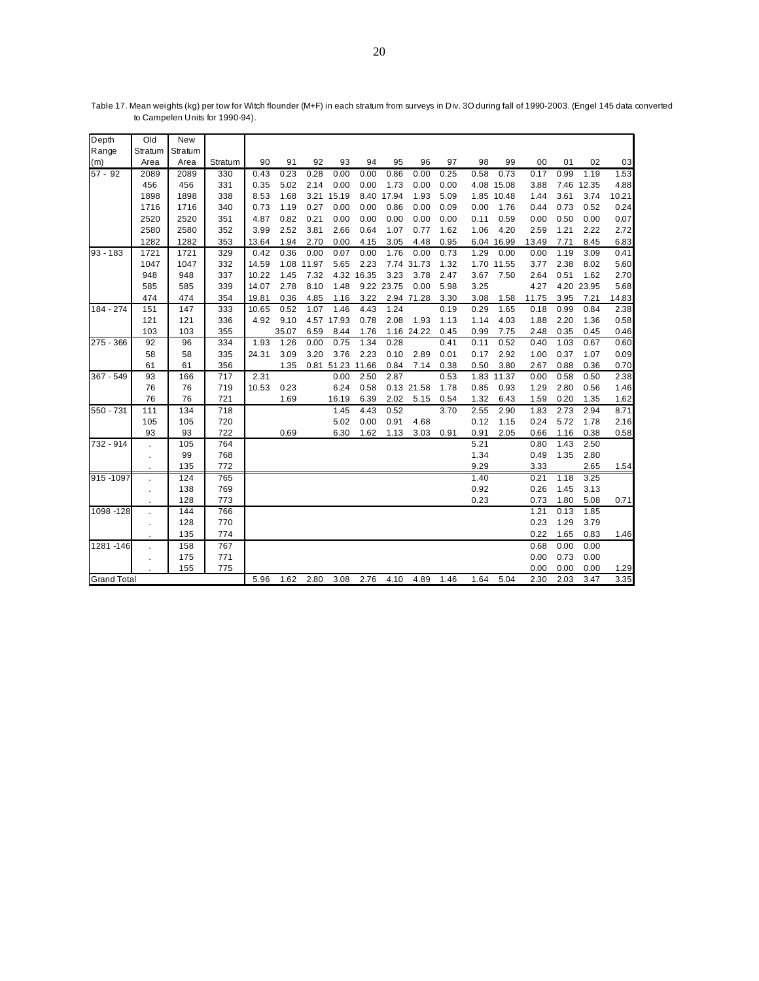| Old                | New     |                                 |                          |       |      |            |                          |                           |                          |                                                      |      |              |                                                      |                                      |                      |                                                          |
|--------------------|---------|---------------------------------|--------------------------|-------|------|------------|--------------------------|---------------------------|--------------------------|------------------------------------------------------|------|--------------|------------------------------------------------------|--------------------------------------|----------------------|----------------------------------------------------------|
| Stratum            | Stratum |                                 |                          |       |      |            |                          |                           |                          |                                                      |      |              |                                                      |                                      |                      |                                                          |
| Area               | Area    | Stratum                         | 90                       | 91    | 92   | 93         | 94                       | 95                        | 96                       | 97                                                   | 98   | 99           | 00                                                   | 01                                   | 02                   | 03                                                       |
| 2089               | 2089    | 330                             | 0.43                     | 0.23  | 0.28 | 0.00       | 0.00                     | 0.86                      | 0.00                     | 0.25                                                 | 0.58 | 0.73         | 0.17                                                 | 0.99                                 | 1.19                 | 1.53                                                     |
| 456                | 456     | 331                             | 0.35                     | 5.02  | 2.14 | 0.00       | 0.00                     | 1.73                      | 0.00                     | 0.00                                                 |      |              | 3.88                                                 |                                      |                      | 4.88                                                     |
| 1898               | 1898    | 338                             | 8.53                     | 1.68  |      |            |                          |                           | 1.93                     | 5.09                                                 |      |              | 1.44                                                 | 3.61                                 | 3.74                 | 10.21                                                    |
| 1716               | 1716    | 340                             | 0.73                     | 1.19  | 0.27 | 0.00       | 0.00                     | 0.86                      | 0.00                     | 0.09                                                 | 0.00 | 1.76         | 0.44                                                 | 0.73                                 | 0.52                 | 0.24                                                     |
| 2520               | 2520    | 351                             | 4.87                     | 0.82  | 0.21 | 0.00       | 0.00                     | 0.00                      | 0.00                     | 0.00                                                 | 0.11 | 0.59         | 0.00                                                 | 0.50                                 | 0.00                 | 0.07                                                     |
| 2580               | 2580    | 352                             | 3.99                     | 2.52  | 3.81 | 2.66       | 0.64                     | 1.07                      | 0.77                     | 1.62                                                 | 1.06 | 4.20         | 2.59                                                 | 1.21                                 | 2.22                 | 2.72                                                     |
| 1282               | 1282    | 353                             | 13.64                    | 1.94  | 2.70 | 0.00       | 4.15                     | 3.05                      | 4.48                     | 0.95                                                 |      |              | 13.49                                                | 7.71                                 | 8.45                 | 6.83                                                     |
| 1721               | 1721    | 329                             | 0.42                     | 0.36  | 0.00 | 0.07       | 0.00                     | 1.76                      | 0.00                     | 0.73                                                 | 1.29 | 0.00         | 0.00                                                 | 1.19                                 | 3.09                 | 0.41                                                     |
| 1047               | 1047    | 332                             | 14.59                    |       |      | 5.65       | 2.23                     |                           |                          | 1.32                                                 |      |              | 3.77                                                 | 2.38                                 | 8.02                 | 5.60                                                     |
| 948                | 948     | 337                             | 10.22                    | 1.45  | 7.32 |            |                          | 3.23                      | 3.78                     | 2.47                                                 | 3.67 | 7.50         | 2.64                                                 | 0.51                                 | 1.62                 | 2.70                                                     |
| 585                | 585     | 339                             | 14.07                    | 2.78  | 8.10 | 1.48       |                          |                           | 0.00                     | 5.98                                                 | 3.25 |              | 4.27                                                 |                                      |                      | 5.68                                                     |
| 474                | 474     | 354                             | 19.81                    | 0.36  | 4.85 | 1.16       | 3.22                     |                           |                          | 3.30                                                 | 3.08 | 1.58         | 11.75                                                | 3.95                                 | 7.21                 | 14.83                                                    |
| 151                | 147     | 333                             | 10.65                    | 0.52  | 1.07 | 1.46       | 4.43                     | 1.24                      |                          | 0.19                                                 | 0.29 | 1.65         | 0.18                                                 | 0.99                                 | 0.84                 | 2.38                                                     |
| 121                | 121     | 336                             |                          | 9.10  |      |            | 0.78                     | 2.08                      | 1.93                     | 1.13                                                 | 1.14 | 4.03         | 1.88                                                 | 2.20                                 | 1.36                 | 0.58                                                     |
| 103                | 103     | 355                             |                          | 35.07 | 6.59 | 8.44       | 1.76                     |                           |                          | 0.45                                                 | 0.99 | 7.75         | 2.48                                                 | 0.35                                 | 0.45                 | 0.46                                                     |
| 92                 | 96      | 334                             | 1.93                     | 1.26  | 0.00 | 0.75       | 1.34                     | 0.28                      |                          | 0.41                                                 | 0.11 | 0.52         | 0.40                                                 | 1.03                                 | 0.67                 | 0.60                                                     |
| 58                 | 58      | 335                             | 24.31                    | 3.09  | 3.20 | 3.76       | 2.23                     | 0.10                      | 2.89                     | 0.01                                                 | 0.17 | 2.92         | 1.00                                                 | 0.37                                 | 1.07                 | 0.09                                                     |
| 61                 | 61      | 356                             |                          | 1.35  | 0.81 |            |                          | 0.84                      | 7.14                     | 0.38                                                 | 0.50 | 3.80         | 2.67                                                 | 0.88                                 | 0.36                 | 0.70                                                     |
| 93                 | 166     | 717                             | 2.31                     |       |      | 0.00       | 2.50                     | 2.87                      |                          | 0.53                                                 | 1.83 | 11.37        | 0.00                                                 | 0.58                                 | 0.50                 | 2.38                                                     |
| 76                 | 76      | 719                             | 10.53                    | 0.23  |      | 6.24       | 0.58                     |                           |                          | 1.78                                                 | 0.85 | 0.93         | 1.29                                                 | 2.80                                 | 0.56                 | 1.46                                                     |
| 76                 | 76      | 721                             |                          | 1.69  |      | 16.19      | 6.39                     | 2.02                      | 5.15                     | 0.54                                                 | 1.32 | 6.43         | 1.59                                                 | 0.20                                 | 1.35                 | 1.62                                                     |
| 111                | 134     | 718                             |                          |       |      | 1.45       | 4.43                     | 0.52                      |                          | 3.70                                                 | 2.55 | 2.90         | 1.83                                                 | 2.73                                 | 2.94                 | 8.71                                                     |
| 105                | 105     | 720                             |                          |       |      | 5.02       | 0.00                     | 0.91                      | 4.68                     |                                                      | 0.12 | 1.15         | 0.24                                                 | 5.72                                 | 1.78                 | 2.16                                                     |
| 93                 | 93      | 722                             |                          | 0.69  |      | 6.30       | 1.62                     | 1.13                      | 3.03                     | 0.91                                                 | 0.91 | 2.05         | 0.66                                                 | 1.16                                 | 0.38                 | 0.58                                                     |
|                    | 105     | 764                             |                          |       |      |            |                          |                           |                          |                                                      | 5.21 |              | 0.80                                                 | 1.43                                 | 2.50                 |                                                          |
| $\blacksquare$     | 99      | 768                             |                          |       |      |            |                          |                           |                          |                                                      | 1.34 |              | 0.49                                                 | 1.35                                 | 2.80                 |                                                          |
|                    | 135     | 772                             |                          |       |      |            |                          |                           |                          |                                                      | 9.29 |              | 3.33                                                 |                                      | 2.65                 | 1.54                                                     |
| 915 - 1097         | 124     | 765                             |                          |       |      |            |                          |                           |                          |                                                      | 1.40 |              | 0.21                                                 | 1.18                                 | 3.25                 |                                                          |
| $\blacksquare$     |         | 769                             |                          |       |      |            |                          |                           |                          |                                                      |      |              |                                                      | 1.45                                 | 3.13                 |                                                          |
|                    | 128     | 773                             |                          |       |      |            |                          |                           |                          |                                                      |      |              | 0.73                                                 | 1.80                                 | 5.08                 | 0.71                                                     |
| 1098 - 128         | 144     | 766                             |                          |       |      |            |                          |                           |                          |                                                      |      |              | 1.21                                                 | 0.13                                 | 1.85                 |                                                          |
| ×.                 | 128     | 770                             |                          |       |      |            |                          |                           |                          |                                                      |      |              | 0.23                                                 | 1.29                                 | 3.79                 |                                                          |
|                    |         |                                 |                          |       |      |            |                          |                           |                          |                                                      |      |              |                                                      | 1.65                                 |                      | 1.46                                                     |
|                    |         |                                 |                          |       |      |            |                          |                           |                          |                                                      |      |              |                                                      |                                      |                      |                                                          |
|                    |         |                                 |                          |       |      |            |                          |                           |                          |                                                      |      |              |                                                      |                                      |                      |                                                          |
|                    |         |                                 |                          |       |      |            |                          |                           |                          |                                                      |      |              |                                                      |                                      |                      | 1.29                                                     |
| <b>Grand Total</b> |         |                                 | 5.96                     | 1.62  | 2.80 | 3.08       | 2.76                     | 4.10                      | 4.89                     | 1.46                                                 | 1.64 | 5.04         | 2.30                                                 | 2.03                                 | 3.47                 | 3.35                                                     |
| 1281-146           |         | 138<br>135<br>158<br>175<br>155 | 774<br>767<br>771<br>775 |       | 4.92 | 1.08 11.97 | 3.21 15.19<br>4.57 17.93 | 4.32 16.35<br>51.23 11.66 | 8.40 17.94<br>9.22 23.75 | 7.74 31.73<br>2.94 71.28<br>1.16 24.22<br>0.13 21.58 |      | 0.92<br>0.23 | 4.08 15.08<br>1.85 10.48<br>6.04 16.99<br>1.70 11.55 | 0.26<br>0.22<br>0.68<br>0.00<br>0.00 | 0.00<br>0.73<br>0.00 | 7.46 12.35<br>4.20 23.95<br>0.83<br>0.00<br>0.00<br>0.00 |

Table 17. Mean weights (kg) per tow for Witch flounder (M+F) in each stratum from surveys in Div. 3O during fall of 1990-2003. (Engel 145 data converted to Campelen Units for 1990-94).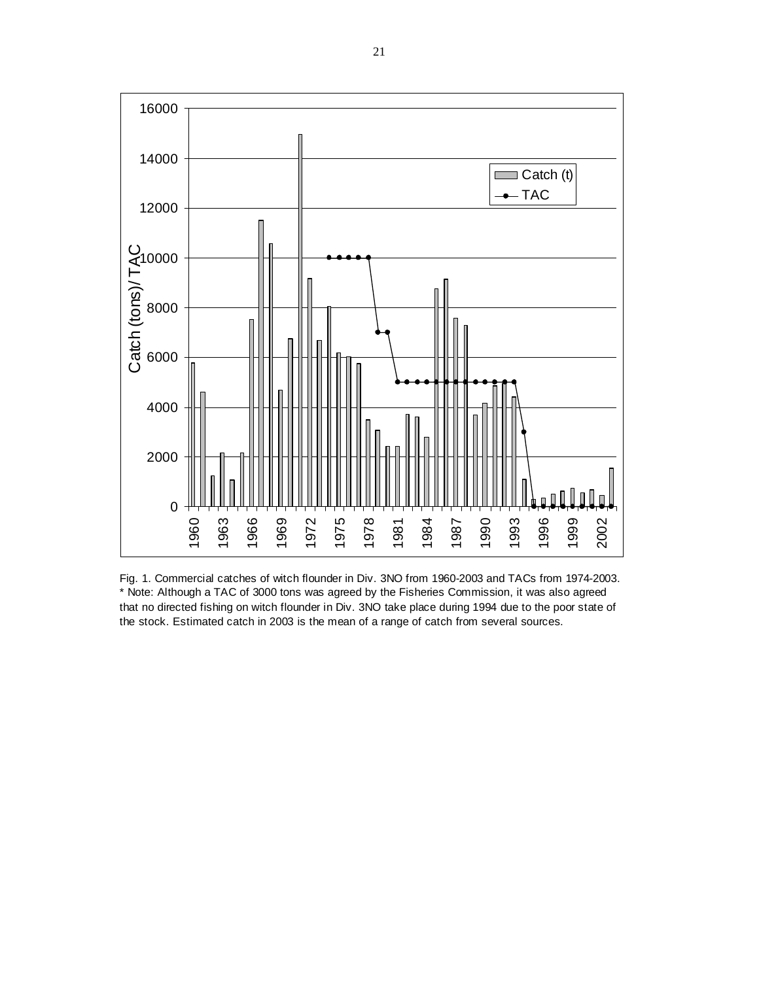

Fig. 1. Commercial catches of witch flounder in Div. 3NO from 1960-2003 and TACs from 1974-2003. \* Note: Although a TAC of 3000 tons was agreed by the Fisheries Commission, it was also agreed that no directed fishing on witch flounder in Div. 3NO take place during 1994 due to the poor state of the stock. Estimated catch in 2003 is the mean of a range of catch from several sources.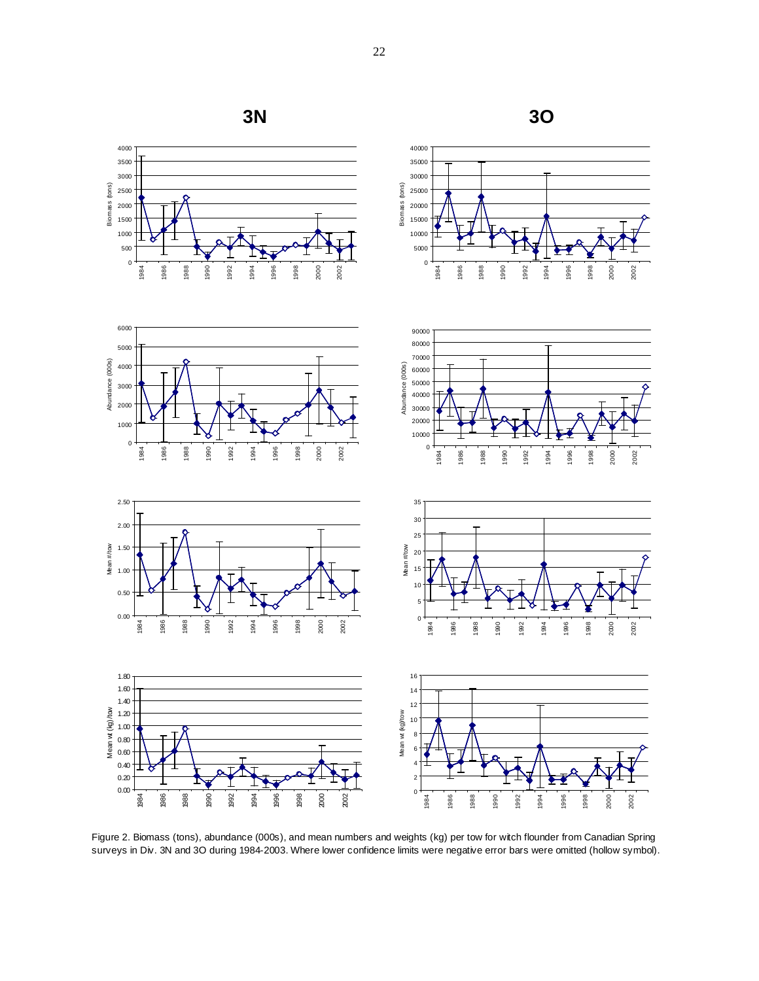

Figure 2. Biomass (tons), abundance (000s), and mean numbers and weights (kg) per tow for witch flounder from Canadian Spring surveys in Div. 3N and 3O during 1984-2003. Where lower confidence limits were negative error bars were omitted (hollow symbol).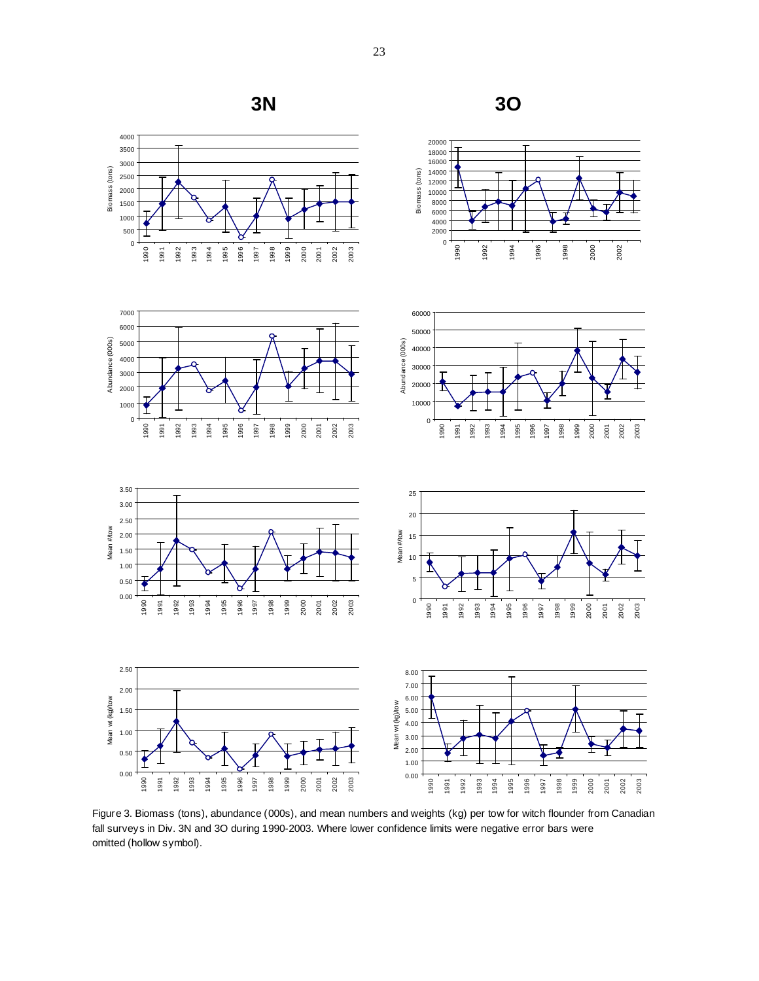

Figure 3. Biomass (tons), abundance (000s), and mean numbers and weights (kg) per tow for witch flounder from Canadian fall surveys in Div. 3N and 3O during 1990-2003. Where lower confidence limits were negative error bars were omitted (hollow symbol).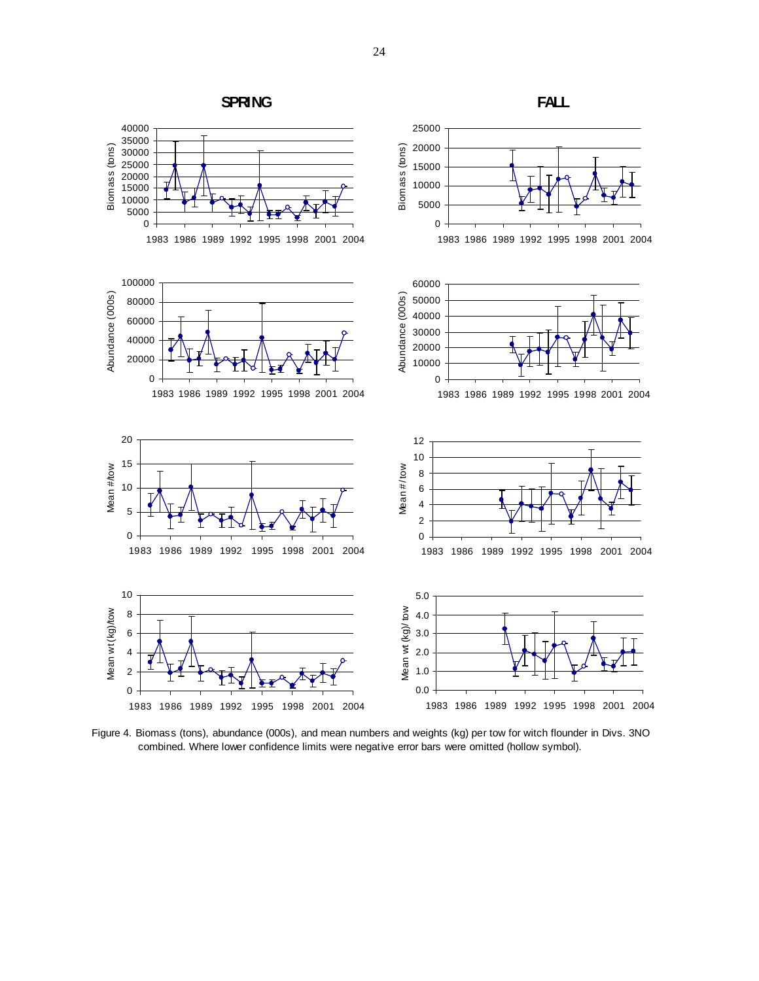

Figure 4. Biomass (tons), abundance (000s), and mean numbers and weights (kg) per tow for witch flounder in Divs. 3NO combined. Where lower confidence limits were negative error bars were omitted (hollow symbol).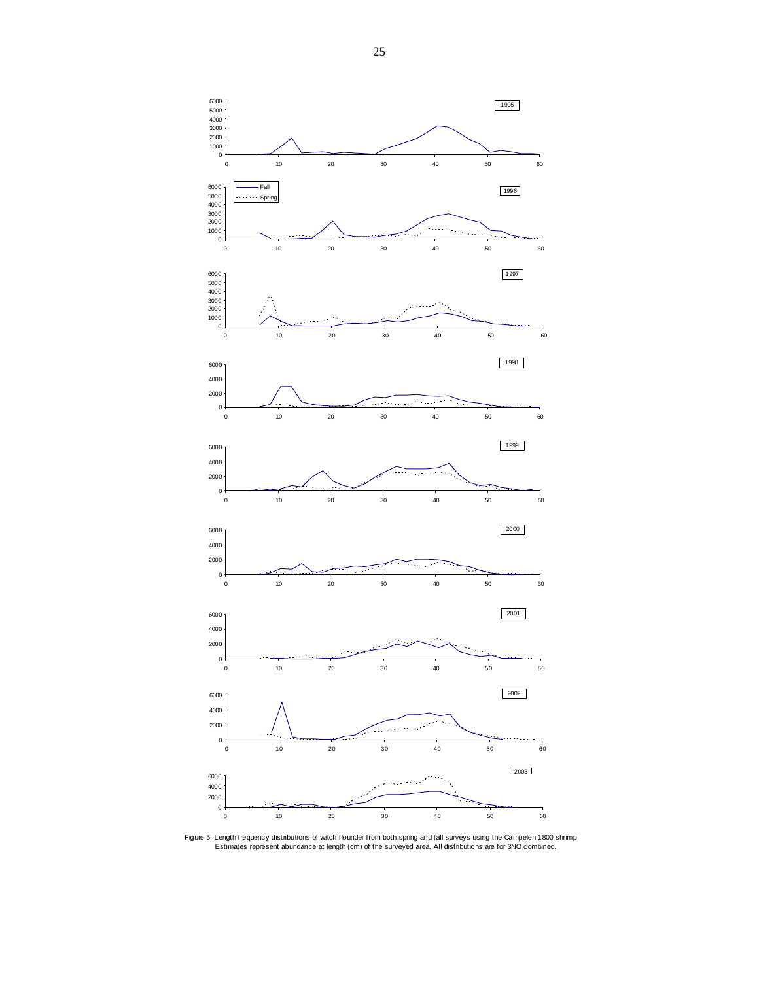

Figure 5. Length frequency distributions of witch flounder from both spring and fall surveys using the Campelen 1800 shrimp<br>Estimates represent abundance at length (cm) of the surveyed area. All distributions are for 3NO c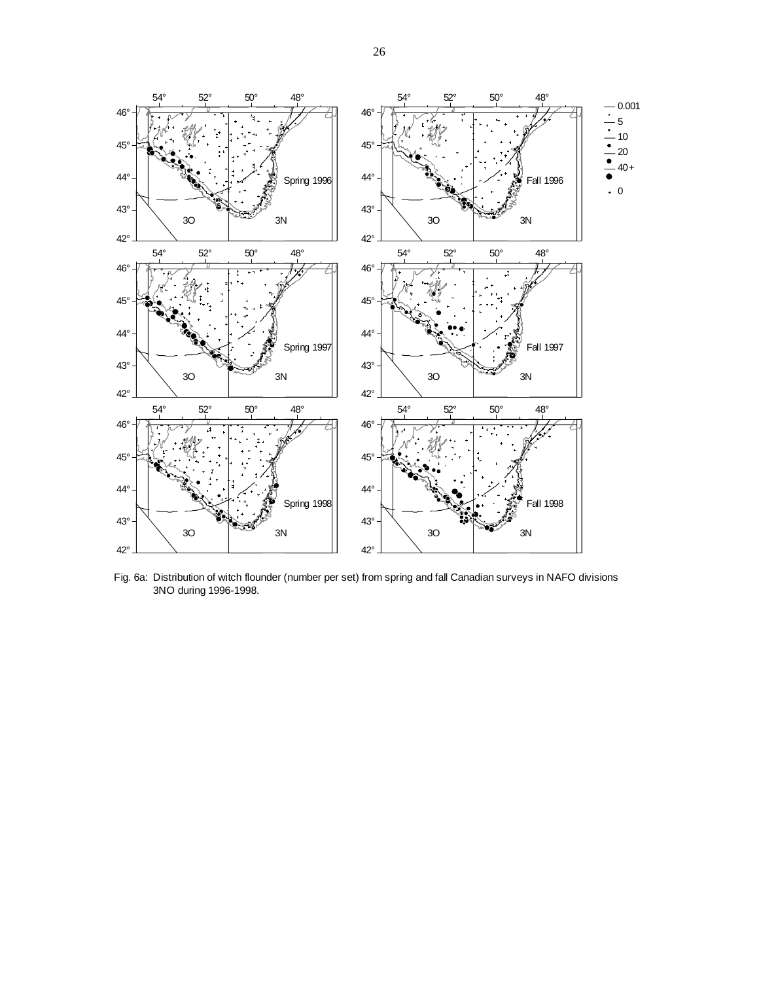

Fig. 6a: Distribution of witch flounder (number per set) from spring and fall Canadian surveys in NAFO divisions 3NO during 1996-1998.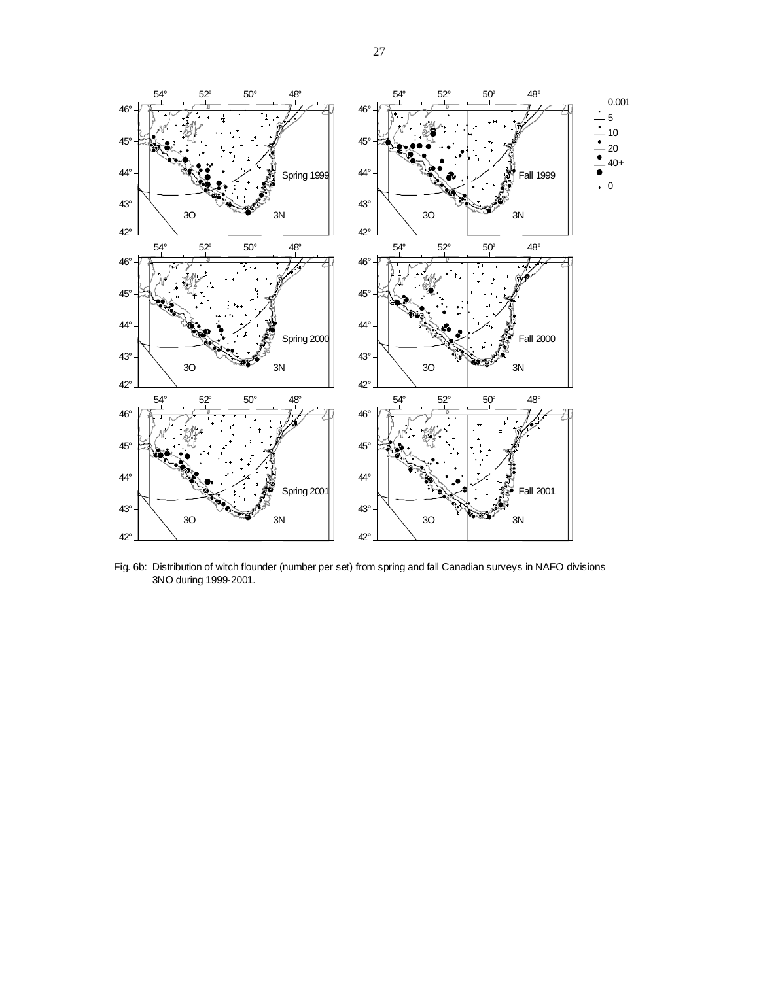

Fig. 6b: Distribution of witch flounder (number per set) from spring and fall Canadian surveys in NAFO divisions 3NO during 1999-2001.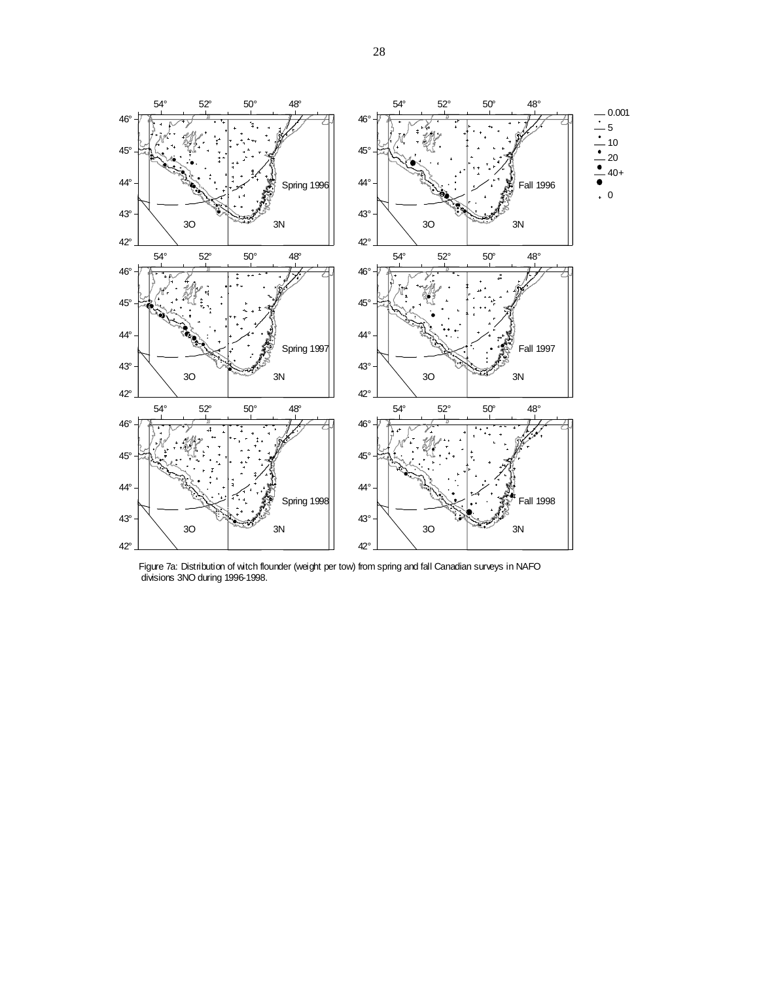

Figure 7a: Distribution of witch flounder (weight per tow) from spring and fall Canadian surveys in NAFO divisions 3NO during 1996-1998.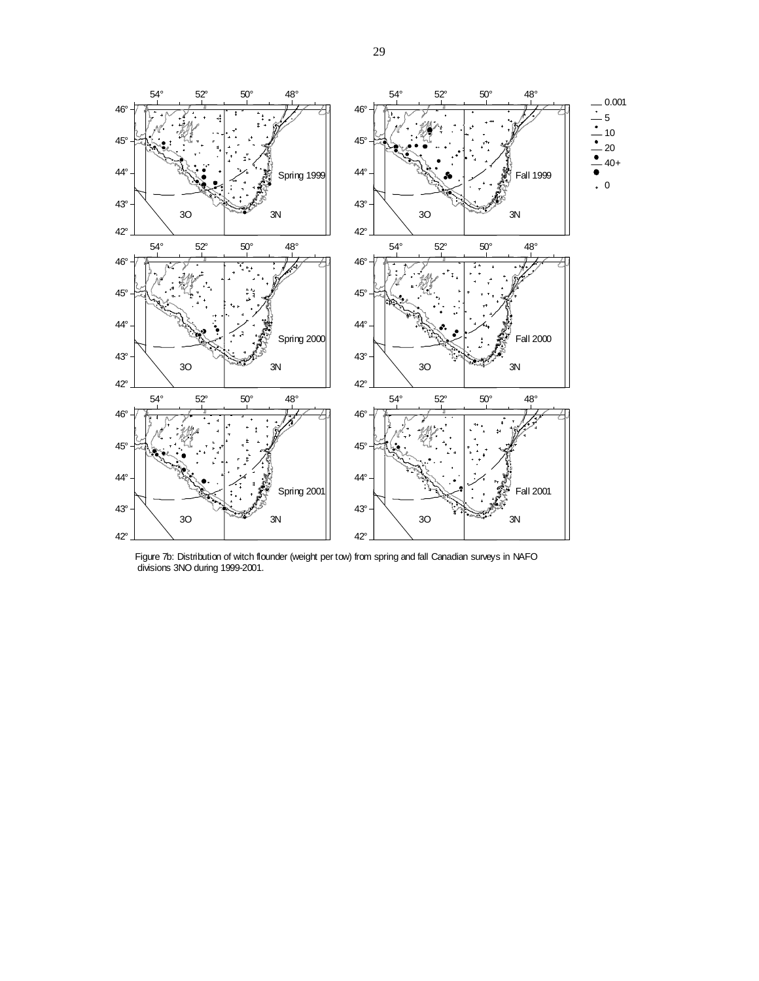

Figure 7b: Distribution of witch flounder (weight per tow) from spring and fall Canadian surveys in NAFO divisions 3NO during 1999-2001.